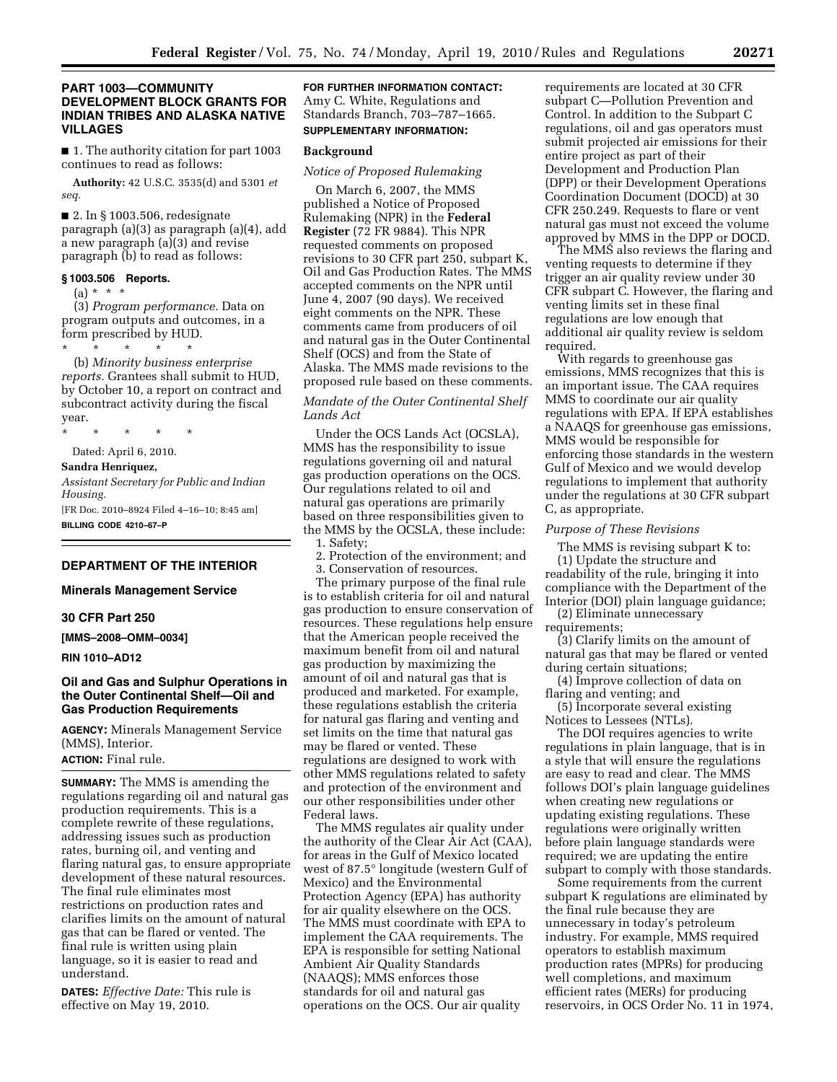## **PART 1003—COMMUNITY DEVELOPMENT BLOCK GRANTS FOR INDIAN TRIBES AND ALASKA NATIVE VILLAGES**

■ 1. The authority citation for part 1003 continues to read as follows:

**Authority:** 42 U.S.C. 3535(d) and 5301 *et seq.* 

■ 2. In § 1003.506, redesignate paragraph (a)(3) as paragraph (a)(4), add a new paragraph (a)(3) and revise paragraph (b) to read as follows:

#### **§ 1003.506 Reports.**

(a) \* \* \*

(3) *Program performance.* Data on program outputs and outcomes, in a form prescribed by HUD.

\* \* \* \* \* (b) *Minority business enterprise reports.* Grantees shall submit to HUD, by October 10, a report on contract and subcontract activity during the fiscal year.

\* \* \* \* \*

Dated: April 6, 2010.

**Sandra Henriquez,** 

*Assistant Secretary for Public and Indian Housing.*  [FR Doc. 2010–8924 Filed 4–16–10; 8:45 am]

**BILLING CODE 4210–67–P** 

#### **DEPARTMENT OF THE INTERIOR**

**Minerals Management Service** 

## **30 CFR Part 250**

**[MMS–2008–OMM–0034]** 

**RIN 1010–AD12** 

## **Oil and Gas and Sulphur Operations in the Outer Continental Shelf—Oil and Gas Production Requirements**

**AGENCY:** Minerals Management Service (MMS), Interior.

# **ACTION:** Final rule.

**SUMMARY:** The MMS is amending the regulations regarding oil and natural gas production requirements. This is a complete rewrite of these regulations, addressing issues such as production rates, burning oil, and venting and flaring natural gas, to ensure appropriate development of these natural resources. The final rule eliminates most restrictions on production rates and clarifies limits on the amount of natural gas that can be flared or vented. The final rule is written using plain language, so it is easier to read and understand.

**DATES:** *Effective Date:* This rule is effective on May 19, 2010.

**FOR FURTHER INFORMATION CONTACT:**  Amy C. White, Regulations and Standards Branch, 703–787–1665. **SUPPLEMENTARY INFORMATION:** 

#### **Background**

#### *Notice of Proposed Rulemaking*

On March 6, 2007, the MMS published a Notice of Proposed Rulemaking (NPR) in the **Federal Register** (72 FR 9884). This NPR requested comments on proposed revisions to 30 CFR part 250, subpart K, Oil and Gas Production Rates. The MMS accepted comments on the NPR until June 4, 2007 (90 days). We received eight comments on the NPR. These comments came from producers of oil and natural gas in the Outer Continental Shelf (OCS) and from the State of Alaska. The MMS made revisions to the proposed rule based on these comments.

## *Mandate of the Outer Continental Shelf Lands Act*

Under the OCS Lands Act (OCSLA), MMS has the responsibility to issue regulations governing oil and natural gas production operations on the OCS. Our regulations related to oil and natural gas operations are primarily based on three responsibilities given to the MMS by the OCSLA, these include: 1. Safety;

2. Protection of the environment; and 3. Conservation of resources.

The primary purpose of the final rule is to establish criteria for oil and natural gas production to ensure conservation of resources. These regulations help ensure that the American people received the maximum benefit from oil and natural gas production by maximizing the amount of oil and natural gas that is produced and marketed. For example, these regulations establish the criteria for natural gas flaring and venting and set limits on the time that natural gas may be flared or vented. These regulations are designed to work with other MMS regulations related to safety and protection of the environment and our other responsibilities under other Federal laws.

The MMS regulates air quality under the authority of the Clear Air Act (CAA), for areas in the Gulf of Mexico located west of 87.5° longitude (western Gulf of Mexico) and the Environmental Protection Agency (EPA) has authority for air quality elsewhere on the OCS. The MMS must coordinate with EPA to implement the CAA requirements. The EPA is responsible for setting National Ambient Air Quality Standards (NAAQS); MMS enforces those standards for oil and natural gas operations on the OCS. Our air quality

requirements are located at 30 CFR subpart C—Pollution Prevention and Control. In addition to the Subpart C regulations, oil and gas operators must submit projected air emissions for their entire project as part of their Development and Production Plan (DPP) or their Development Operations Coordination Document (DOCD) at 30 CFR 250.249. Requests to flare or vent natural gas must not exceed the volume approved by MMS in the DPP or DOCD.

The MMS also reviews the flaring and venting requests to determine if they trigger an air quality review under 30 CFR subpart C. However, the flaring and venting limits set in these final regulations are low enough that additional air quality review is seldom required.

With regards to greenhouse gas emissions, MMS recognizes that this is an important issue. The CAA requires MMS to coordinate our air quality regulations with EPA. If EPA establishes a NAAQS for greenhouse gas emissions, MMS would be responsible for enforcing those standards in the western Gulf of Mexico and we would develop regulations to implement that authority under the regulations at 30 CFR subpart C, as appropriate.

#### *Purpose of These Revisions*

The MMS is revising subpart K to: (1) Update the structure and readability of the rule, bringing it into compliance with the Department of the Interior (DOI) plain language guidance;

(2) Eliminate unnecessary requirements;

(3) Clarify limits on the amount of natural gas that may be flared or vented during certain situations;

(4) Improve collection of data on flaring and venting; and

(5) Incorporate several existing Notices to Lessees (NTLs).

The DOI requires agencies to write regulations in plain language, that is in a style that will ensure the regulations are easy to read and clear. The MMS follows DOI's plain language guidelines when creating new regulations or updating existing regulations. These regulations were originally written before plain language standards were required; we are updating the entire subpart to comply with those standards.

Some requirements from the current subpart K regulations are eliminated by the final rule because they are unnecessary in today's petroleum industry. For example, MMS required operators to establish maximum production rates (MPRs) for producing well completions, and maximum efficient rates (MERs) for producing reservoirs, in OCS Order No. 11 in 1974,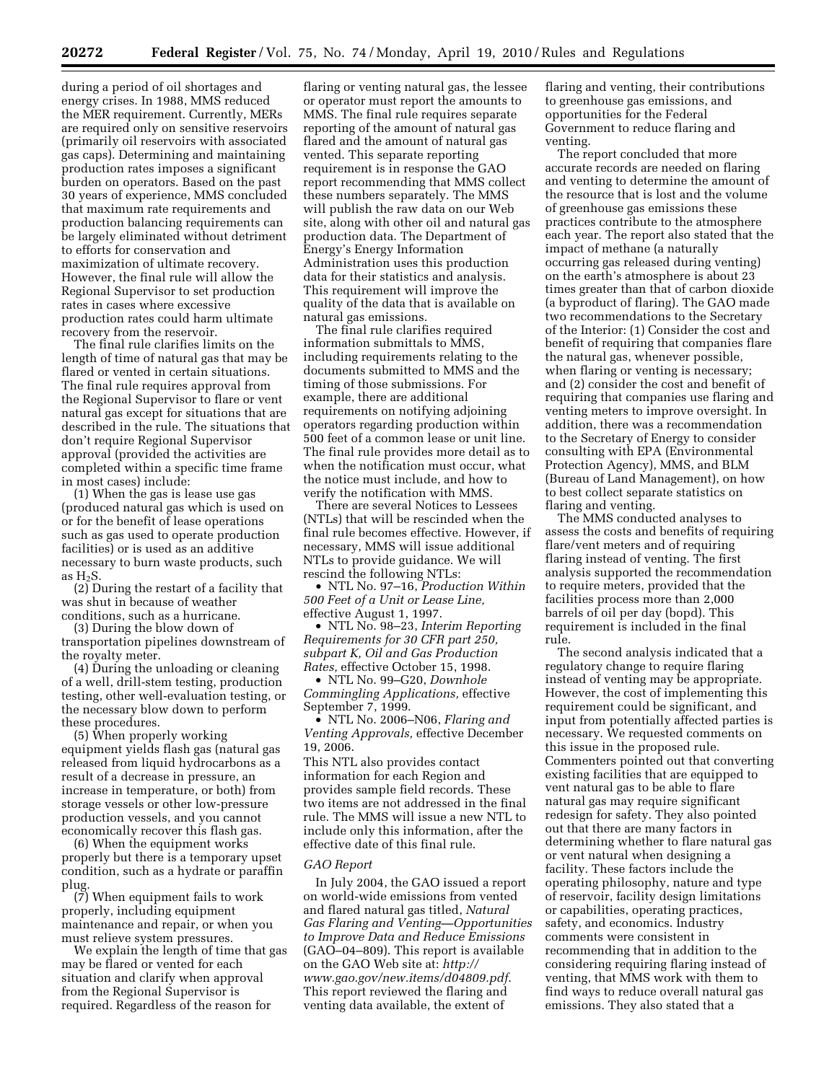during a period of oil shortages and energy crises. In 1988, MMS reduced the MER requirement. Currently, MERs are required only on sensitive reservoirs (primarily oil reservoirs with associated gas caps). Determining and maintaining production rates imposes a significant burden on operators. Based on the past 30 years of experience, MMS concluded that maximum rate requirements and production balancing requirements can be largely eliminated without detriment to efforts for conservation and maximization of ultimate recovery. However, the final rule will allow the Regional Supervisor to set production rates in cases where excessive production rates could harm ultimate recovery from the reservoir.

The final rule clarifies limits on the length of time of natural gas that may be flared or vented in certain situations. The final rule requires approval from the Regional Supervisor to flare or vent natural gas except for situations that are described in the rule. The situations that don't require Regional Supervisor approval (provided the activities are completed within a specific time frame in most cases) include:

(1) When the gas is lease use gas (produced natural gas which is used on or for the benefit of lease operations such as gas used to operate production facilities) or is used as an additive necessary to burn waste products, such as  $H_2S$ .

(2) During the restart of a facility that was shut in because of weather conditions, such as a hurricane.

(3) During the blow down of

transportation pipelines downstream of the royalty meter.

(4) During the unloading or cleaning of a well, drill-stem testing, production testing, other well-evaluation testing, or the necessary blow down to perform these procedures.

(5) When properly working equipment yields flash gas (natural gas released from liquid hydrocarbons as a result of a decrease in pressure, an increase in temperature, or both) from storage vessels or other low-pressure production vessels, and you cannot economically recover this flash gas.

(6) When the equipment works properly but there is a temporary upset condition, such as a hydrate or paraffin plug.

(7) When equipment fails to work properly, including equipment maintenance and repair, or when you must relieve system pressures.

We explain the length of time that gas may be flared or vented for each situation and clarify when approval from the Regional Supervisor is required. Regardless of the reason for

flaring or venting natural gas, the lessee or operator must report the amounts to MMS. The final rule requires separate reporting of the amount of natural gas flared and the amount of natural gas vented. This separate reporting requirement is in response the GAO report recommending that MMS collect these numbers separately. The MMS will publish the raw data on our Web site, along with other oil and natural gas production data. The Department of Energy's Energy Information Administration uses this production data for their statistics and analysis. This requirement will improve the quality of the data that is available on natural gas emissions.

The final rule clarifies required information submittals to MMS, including requirements relating to the documents submitted to MMS and the timing of those submissions. For example, there are additional requirements on notifying adjoining operators regarding production within 500 feet of a common lease or unit line. The final rule provides more detail as to when the notification must occur, what the notice must include, and how to verify the notification with MMS.

There are several Notices to Lessees (NTLs) that will be rescinded when the final rule becomes effective. However, if necessary, MMS will issue additional NTLs to provide guidance. We will rescind the following NTLs:

• NTL No. 97–16, *Production Within 500 Feet of a Unit or Lease Line,*  effective August 1, 1997.

• NTL No. 98–23, *Interim Reporting Requirements for 30 CFR part 250, subpart K, Oil and Gas Production Rates,* effective October 15, 1998.

• NTL No. 99–G20, *Downhole Commingling Applications,* effective September 7, 1999.

• NTL No. 2006–N06, *Flaring and Venting Approvals,* effective December 19, 2006.

This NTL also provides contact information for each Region and provides sample field records. These two items are not addressed in the final rule. The MMS will issue a new NTL to include only this information, after the effective date of this final rule.

#### *GAO Report*

In July 2004, the GAO issued a report on world-wide emissions from vented and flared natural gas titled, *Natural Gas Flaring and Venting—Opportunities to Improve Data and Reduce Emissions*  (GAO–04–809). This report is available on the GAO Web site at: *http:// [www.gao.gov/new.items/d04809.pdf](http://www.gao.gov/new.items/d04809.pdf)*. This report reviewed the flaring and venting data available, the extent of

flaring and venting, their contributions to greenhouse gas emissions, and opportunities for the Federal Government to reduce flaring and venting.

The report concluded that more accurate records are needed on flaring and venting to determine the amount of the resource that is lost and the volume of greenhouse gas emissions these practices contribute to the atmosphere each year. The report also stated that the impact of methane (a naturally occurring gas released during venting) on the earth's atmosphere is about 23 times greater than that of carbon dioxide (a byproduct of flaring). The GAO made two recommendations to the Secretary of the Interior: (1) Consider the cost and benefit of requiring that companies flare the natural gas, whenever possible, when flaring or venting is necessary; and (2) consider the cost and benefit of requiring that companies use flaring and venting meters to improve oversight. In addition, there was a recommendation to the Secretary of Energy to consider consulting with EPA (Environmental Protection Agency), MMS, and BLM (Bureau of Land Management), on how to best collect separate statistics on flaring and venting.

The MMS conducted analyses to assess the costs and benefits of requiring flare/vent meters and of requiring flaring instead of venting. The first analysis supported the recommendation to require meters, provided that the facilities process more than 2,000 barrels of oil per day (bopd). This requirement is included in the final rule.

The second analysis indicated that a regulatory change to require flaring instead of venting may be appropriate. However, the cost of implementing this requirement could be significant, and input from potentially affected parties is necessary. We requested comments on this issue in the proposed rule. Commenters pointed out that converting existing facilities that are equipped to vent natural gas to be able to flare natural gas may require significant redesign for safety. They also pointed out that there are many factors in determining whether to flare natural gas or vent natural when designing a facility. These factors include the operating philosophy, nature and type of reservoir, facility design limitations or capabilities, operating practices, safety, and economics. Industry comments were consistent in recommending that in addition to the considering requiring flaring instead of venting, that MMS work with them to find ways to reduce overall natural gas emissions. They also stated that a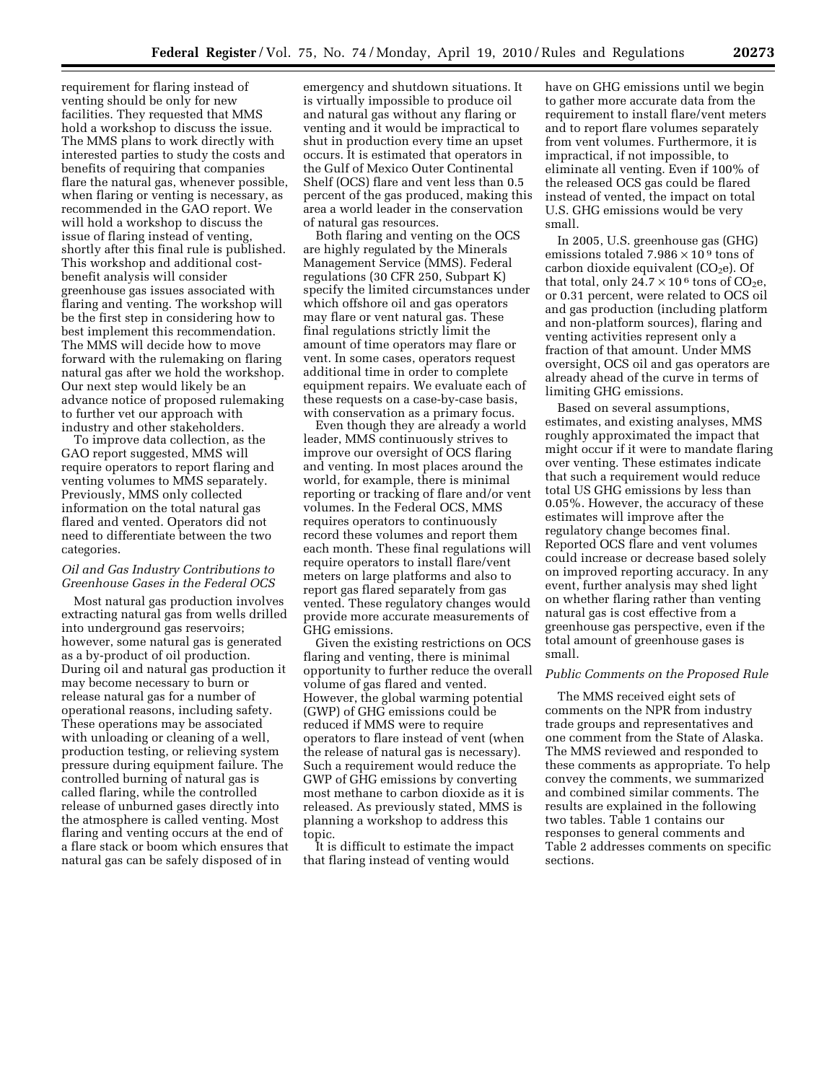requirement for flaring instead of venting should be only for new facilities. They requested that MMS hold a workshop to discuss the issue. The MMS plans to work directly with interested parties to study the costs and benefits of requiring that companies flare the natural gas, whenever possible, when flaring or venting is necessary, as recommended in the GAO report. We will hold a workshop to discuss the issue of flaring instead of venting, shortly after this final rule is published. This workshop and additional costbenefit analysis will consider greenhouse gas issues associated with flaring and venting. The workshop will be the first step in considering how to best implement this recommendation. The MMS will decide how to move forward with the rulemaking on flaring natural gas after we hold the workshop. Our next step would likely be an advance notice of proposed rulemaking to further vet our approach with industry and other stakeholders.

To improve data collection, as the GAO report suggested, MMS will require operators to report flaring and venting volumes to MMS separately. Previously, MMS only collected information on the total natural gas flared and vented. Operators did not need to differentiate between the two categories.

## *Oil and Gas Industry Contributions to Greenhouse Gases in the Federal OCS*

Most natural gas production involves extracting natural gas from wells drilled into underground gas reservoirs; however, some natural gas is generated as a by-product of oil production. During oil and natural gas production it may become necessary to burn or release natural gas for a number of operational reasons, including safety. These operations may be associated with unloading or cleaning of a well, production testing, or relieving system pressure during equipment failure. The controlled burning of natural gas is called flaring, while the controlled release of unburned gases directly into the atmosphere is called venting. Most flaring and venting occurs at the end of a flare stack or boom which ensures that natural gas can be safely disposed of in

emergency and shutdown situations. It is virtually impossible to produce oil and natural gas without any flaring or venting and it would be impractical to shut in production every time an upset occurs. It is estimated that operators in the Gulf of Mexico Outer Continental Shelf (OCS) flare and vent less than 0.5 percent of the gas produced, making this area a world leader in the conservation of natural gas resources.

Both flaring and venting on the OCS are highly regulated by the Minerals Management Service (MMS). Federal regulations (30 CFR 250, Subpart K) specify the limited circumstances under which offshore oil and gas operators may flare or vent natural gas. These final regulations strictly limit the amount of time operators may flare or vent. In some cases, operators request additional time in order to complete equipment repairs. We evaluate each of these requests on a case-by-case basis, with conservation as a primary focus.

Even though they are already a world leader, MMS continuously strives to improve our oversight of OCS flaring and venting. In most places around the world, for example, there is minimal reporting or tracking of flare and/or vent volumes. In the Federal OCS, MMS requires operators to continuously record these volumes and report them each month. These final regulations will require operators to install flare/vent meters on large platforms and also to report gas flared separately from gas vented. These regulatory changes would provide more accurate measurements of GHG emissions.

Given the existing restrictions on OCS flaring and venting, there is minimal opportunity to further reduce the overall volume of gas flared and vented. However, the global warming potential (GWP) of GHG emissions could be reduced if MMS were to require operators to flare instead of vent (when the release of natural gas is necessary). Such a requirement would reduce the GWP of GHG emissions by converting most methane to carbon dioxide as it is released. As previously stated, MMS is planning a workshop to address this topic.

It is difficult to estimate the impact that flaring instead of venting would

have on GHG emissions until we begin to gather more accurate data from the requirement to install flare/vent meters and to report flare volumes separately from vent volumes. Furthermore, it is impractical, if not impossible, to eliminate all venting. Even if 100% of the released OCS gas could be flared instead of vented, the impact on total U.S. GHG emissions would be very small.

In 2005, U.S. greenhouse gas (GHG) emissions totaled  $7.986 \times 10^9$  tons of carbon dioxide equivalent (CO<sub>2</sub>e). Of that total, only  $24.7 \times 10^6$  tons of CO<sub>2</sub>e, or 0.31 percent, were related to OCS oil and gas production (including platform and non-platform sources), flaring and venting activities represent only a fraction of that amount. Under MMS oversight, OCS oil and gas operators are already ahead of the curve in terms of limiting GHG emissions.

Based on several assumptions, estimates, and existing analyses, MMS roughly approximated the impact that might occur if it were to mandate flaring over venting. These estimates indicate that such a requirement would reduce total US GHG emissions by less than 0.05%. However, the accuracy of these estimates will improve after the regulatory change becomes final. Reported OCS flare and vent volumes could increase or decrease based solely on improved reporting accuracy. In any event, further analysis may shed light on whether flaring rather than venting natural gas is cost effective from a greenhouse gas perspective, even if the total amount of greenhouse gases is small.

### *Public Comments on the Proposed Rule*

The MMS received eight sets of comments on the NPR from industry trade groups and representatives and one comment from the State of Alaska. The MMS reviewed and responded to these comments as appropriate. To help convey the comments, we summarized and combined similar comments. The results are explained in the following two tables. Table 1 contains our responses to general comments and Table 2 addresses comments on specific sections.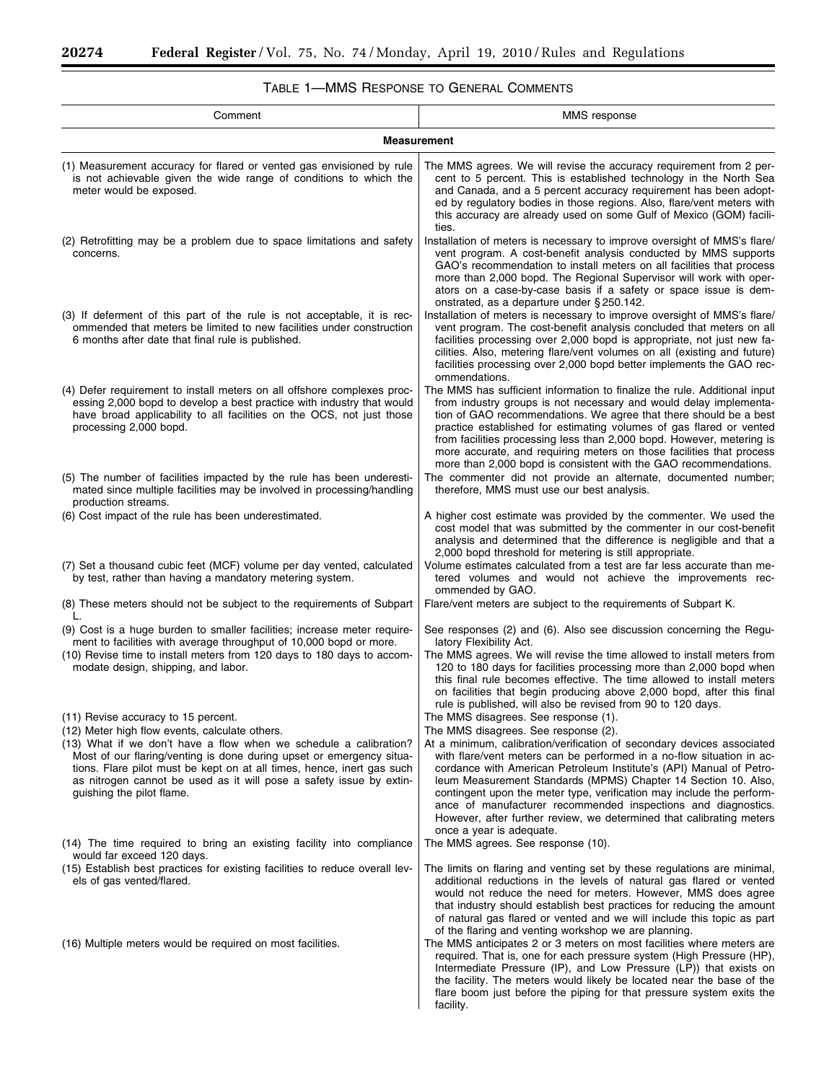Ξ

۰

# TABLE 1—MMS RESPONSE TO GENERAL COMMENTS

| Comment                                                                                                                                                                                                                                                                                                                 | MMS response                                                                                                                                                                                                                                                                                                                                                                                                                                                                                                                           |  |  |
|-------------------------------------------------------------------------------------------------------------------------------------------------------------------------------------------------------------------------------------------------------------------------------------------------------------------------|----------------------------------------------------------------------------------------------------------------------------------------------------------------------------------------------------------------------------------------------------------------------------------------------------------------------------------------------------------------------------------------------------------------------------------------------------------------------------------------------------------------------------------------|--|--|
| <b>Measurement</b>                                                                                                                                                                                                                                                                                                      |                                                                                                                                                                                                                                                                                                                                                                                                                                                                                                                                        |  |  |
| (1) Measurement accuracy for flared or vented gas envisioned by rule<br>is not achievable given the wide range of conditions to which the<br>meter would be exposed.                                                                                                                                                    | The MMS agrees. We will revise the accuracy requirement from 2 per-<br>cent to 5 percent. This is established technology in the North Sea<br>and Canada, and a 5 percent accuracy requirement has been adopt-<br>ed by regulatory bodies in those regions. Also, flare/vent meters with<br>this accuracy are already used on some Gulf of Mexico (GOM) facili-<br>ties.                                                                                                                                                                |  |  |
| (2) Retrofitting may be a problem due to space limitations and safety<br>concerns.                                                                                                                                                                                                                                      | Installation of meters is necessary to improve oversight of MMS's flare/<br>vent program. A cost-benefit analysis conducted by MMS supports<br>GAO's recommendation to install meters on all facilities that process<br>more than 2,000 bopd. The Regional Supervisor will work with oper-<br>ators on a case-by-case basis if a safety or space issue is dem-<br>onstrated, as a departure under § 250.142.                                                                                                                           |  |  |
| (3) If deferment of this part of the rule is not acceptable, it is rec-<br>ommended that meters be limited to new facilities under construction<br>6 months after date that final rule is published.                                                                                                                    | Installation of meters is necessary to improve oversight of MMS's flare/<br>vent program. The cost-benefit analysis concluded that meters on all<br>facilities processing over 2,000 bopd is appropriate, not just new fa-<br>cilities. Also, metering flare/vent volumes on all (existing and future)<br>facilities processing over 2,000 bopd better implements the GAO rec-<br>ommendations.                                                                                                                                        |  |  |
| (4) Defer requirement to install meters on all offshore complexes proc-<br>essing 2,000 bopd to develop a best practice with industry that would<br>have broad applicability to all facilities on the OCS, not just those<br>processing 2,000 bopd.                                                                     | The MMS has sufficient information to finalize the rule. Additional input<br>from industry groups is not necessary and would delay implementa-<br>tion of GAO recommendations. We agree that there should be a best<br>practice established for estimating volumes of gas flared or vented<br>from facilities processing less than 2,000 bopd. However, metering is<br>more accurate, and requiring meters on those facilities that process<br>more than 2,000 bopd is consistent with the GAO recommendations.                        |  |  |
| (5) The number of facilities impacted by the rule has been underesti-<br>mated since multiple facilities may be involved in processing/handling<br>production streams.                                                                                                                                                  | The commenter did not provide an alternate, documented number;<br>therefore, MMS must use our best analysis.                                                                                                                                                                                                                                                                                                                                                                                                                           |  |  |
| (6) Cost impact of the rule has been underestimated.                                                                                                                                                                                                                                                                    | A higher cost estimate was provided by the commenter. We used the<br>cost model that was submitted by the commenter in our cost-benefit<br>analysis and determined that the difference is negligible and that a<br>2,000 bopd threshold for metering is still appropriate.                                                                                                                                                                                                                                                             |  |  |
| (7) Set a thousand cubic feet (MCF) volume per day vented, calculated<br>by test, rather than having a mandatory metering system.                                                                                                                                                                                       | Volume estimates calculated from a test are far less accurate than me-<br>tered volumes and would not achieve the improvements rec-<br>ommended by GAO.                                                                                                                                                                                                                                                                                                                                                                                |  |  |
| (8) These meters should not be subject to the requirements of Subpart                                                                                                                                                                                                                                                   | Flare/vent meters are subject to the requirements of Subpart K.                                                                                                                                                                                                                                                                                                                                                                                                                                                                        |  |  |
| (9) Cost is a huge burden to smaller facilities; increase meter require-<br>ment to facilities with average throughput of 10,000 bopd or more.<br>(10) Revise time to install meters from 120 days to 180 days to accom-<br>modate design, shipping, and labor.                                                         | See responses (2) and (6). Also see discussion concerning the Regu-<br>latory Flexibility Act.<br>The MMS agrees. We will revise the time allowed to install meters from<br>120 to 180 days for facilities processing more than 2,000 bopd when<br>this final rule becomes effective. The time allowed to install meters<br>on facilities that begin producing above 2,000 bopd, after this final<br>rule is published, will also be revised from 90 to 120 days.                                                                      |  |  |
| (11) Revise accuracy to 15 percent.<br>(12) Meter high flow events, calculate others.                                                                                                                                                                                                                                   | The MMS disagrees. See response (1).<br>The MMS disagrees. See response (2).                                                                                                                                                                                                                                                                                                                                                                                                                                                           |  |  |
| (13) What if we don't have a flow when we schedule a calibration?<br>Most of our flaring/venting is done during upset or emergency situa-<br>tions. Flare pilot must be kept on at all times, hence, inert gas such<br>as nitrogen cannot be used as it will pose a safety issue by extin-<br>guishing the pilot flame. | At a minimum, calibration/verification of secondary devices associated<br>with flare/vent meters can be performed in a no-flow situation in ac-<br>cordance with American Petroleum Institute's (API) Manual of Petro-<br>leum Measurement Standards (MPMS) Chapter 14 Section 10. Also,<br>contingent upon the meter type, verification may include the perform-<br>ance of manufacturer recommended inspections and diagnostics.<br>However, after further review, we determined that calibrating meters<br>once a year is adequate. |  |  |
| (14) The time required to bring an existing facility into compliance<br>would far exceed 120 days.                                                                                                                                                                                                                      | The MMS agrees. See response (10).                                                                                                                                                                                                                                                                                                                                                                                                                                                                                                     |  |  |
| (15) Establish best practices for existing facilities to reduce overall lev-<br>els of gas vented/flared.                                                                                                                                                                                                               | The limits on flaring and venting set by these regulations are minimal,<br>additional reductions in the levels of natural gas flared or vented<br>would not reduce the need for meters. However, MMS does agree<br>that industry should establish best practices for reducing the amount<br>of natural gas flared or vented and we will include this topic as part<br>of the flaring and venting workshop we are planning.                                                                                                             |  |  |
| (16) Multiple meters would be required on most facilities.                                                                                                                                                                                                                                                              | The MMS anticipates 2 or 3 meters on most facilities where meters are<br>required. That is, one for each pressure system (High Pressure (HP),<br>Intermediate Pressure (IP), and Low Pressure (LP)) that exists on<br>the facility. The meters would likely be located near the base of the<br>flare boom just before the piping for that pressure system exits the<br>facility.                                                                                                                                                       |  |  |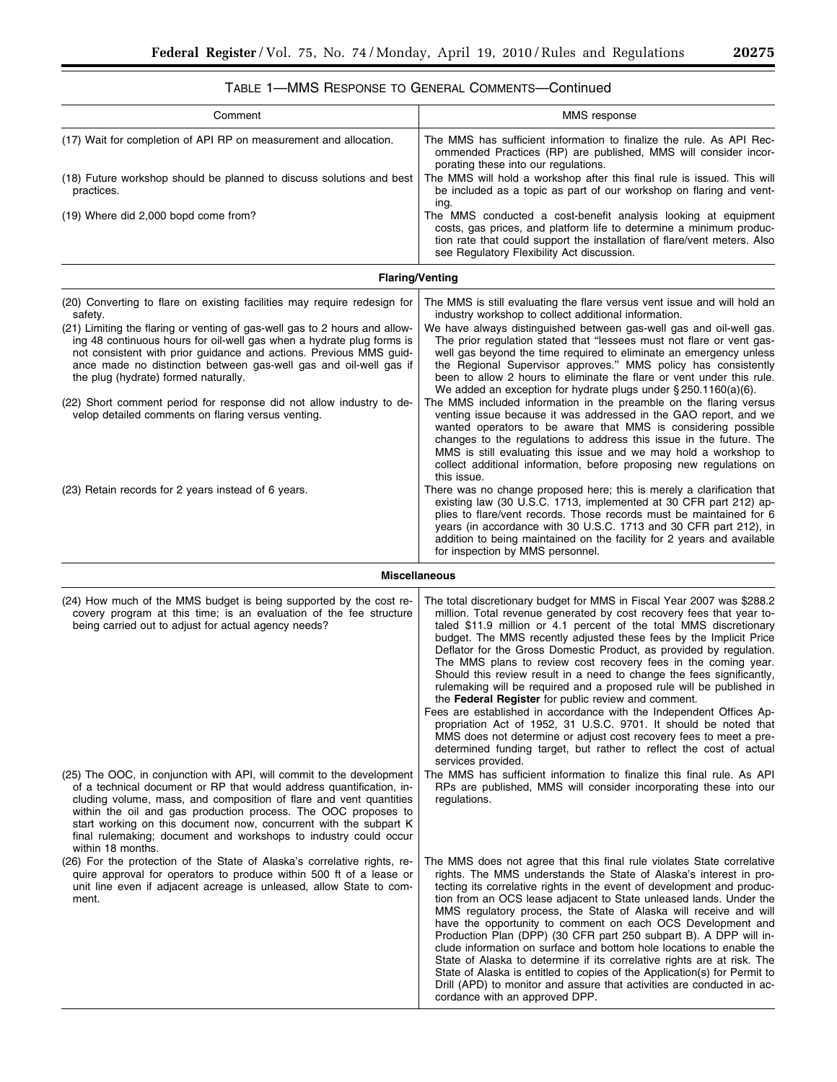▀

| Comment                                                                                                                                                                                                                                                                                                                                                                                                                                             | MMS response                                                                                                                                                                                                                                                                                                                                                                                                                                                                                                                                                                                                                                                                                                                                                                                                                                                                                                                                              |
|-----------------------------------------------------------------------------------------------------------------------------------------------------------------------------------------------------------------------------------------------------------------------------------------------------------------------------------------------------------------------------------------------------------------------------------------------------|-----------------------------------------------------------------------------------------------------------------------------------------------------------------------------------------------------------------------------------------------------------------------------------------------------------------------------------------------------------------------------------------------------------------------------------------------------------------------------------------------------------------------------------------------------------------------------------------------------------------------------------------------------------------------------------------------------------------------------------------------------------------------------------------------------------------------------------------------------------------------------------------------------------------------------------------------------------|
| (17) Wait for completion of API RP on measurement and allocation.<br>(18) Future workshop should be planned to discuss solutions and best                                                                                                                                                                                                                                                                                                           | The MMS has sufficient information to finalize the rule. As API Rec-<br>ommended Practices (RP) are published, MMS will consider incor-<br>porating these into our regulations.<br>The MMS will hold a workshop after this final rule is issued. This will                                                                                                                                                                                                                                                                                                                                                                                                                                                                                                                                                                                                                                                                                                |
| practices.                                                                                                                                                                                                                                                                                                                                                                                                                                          | be included as a topic as part of our workshop on flaring and vent-<br>ing.                                                                                                                                                                                                                                                                                                                                                                                                                                                                                                                                                                                                                                                                                                                                                                                                                                                                               |
| (19) Where did 2,000 bopd come from?                                                                                                                                                                                                                                                                                                                                                                                                                | The MMS conducted a cost-benefit analysis looking at equipment<br>costs, gas prices, and platform life to determine a minimum produc-<br>tion rate that could support the installation of flare/vent meters. Also<br>see Regulatory Flexibility Act discussion.                                                                                                                                                                                                                                                                                                                                                                                                                                                                                                                                                                                                                                                                                           |
| <b>Flaring/Venting</b>                                                                                                                                                                                                                                                                                                                                                                                                                              |                                                                                                                                                                                                                                                                                                                                                                                                                                                                                                                                                                                                                                                                                                                                                                                                                                                                                                                                                           |
| (20) Converting to flare on existing facilities may require redesign for<br>safety.                                                                                                                                                                                                                                                                                                                                                                 | The MMS is still evaluating the flare versus vent issue and will hold an<br>industry workshop to collect additional information.                                                                                                                                                                                                                                                                                                                                                                                                                                                                                                                                                                                                                                                                                                                                                                                                                          |
| (21) Limiting the flaring or venting of gas-well gas to 2 hours and allow-<br>ing 48 continuous hours for oil-well gas when a hydrate plug forms is<br>not consistent with prior guidance and actions. Previous MMS guid-<br>ance made no distinction between gas-well gas and oil-well gas if<br>the plug (hydrate) formed naturally.                                                                                                              | We have always distinguished between gas-well gas and oil-well gas.<br>The prior regulation stated that "lessees must not flare or vent gas-<br>well gas beyond the time required to eliminate an emergency unless<br>the Regional Supervisor approves." MMS policy has consistently<br>been to allow 2 hours to eliminate the flare or vent under this rule.<br>We added an exception for hydrate plugs under $\S 250.1160(a)(6)$ .                                                                                                                                                                                                                                                                                                                                                                                                                                                                                                                      |
| (22) Short comment period for response did not allow industry to de-<br>velop detailed comments on flaring versus venting.                                                                                                                                                                                                                                                                                                                          | The MMS included information in the preamble on the flaring versus<br>venting issue because it was addressed in the GAO report, and we<br>wanted operators to be aware that MMS is considering possible<br>changes to the regulations to address this issue in the future. The<br>MMS is still evaluating this issue and we may hold a workshop to<br>collect additional information, before proposing new regulations on<br>this issue.                                                                                                                                                                                                                                                                                                                                                                                                                                                                                                                  |
| (23) Retain records for 2 years instead of 6 years.                                                                                                                                                                                                                                                                                                                                                                                                 | There was no change proposed here; this is merely a clarification that<br>existing law (30 U.S.C. 1713, implemented at 30 CFR part 212) ap-<br>plies to flare/vent records. Those records must be maintained for 6<br>years (in accordance with 30 U.S.C. 1713 and 30 CFR part 212), in<br>addition to being maintained on the facility for 2 years and available<br>for inspection by MMS personnel.                                                                                                                                                                                                                                                                                                                                                                                                                                                                                                                                                     |
|                                                                                                                                                                                                                                                                                                                                                                                                                                                     | <b>Miscellaneous</b>                                                                                                                                                                                                                                                                                                                                                                                                                                                                                                                                                                                                                                                                                                                                                                                                                                                                                                                                      |
| (24) How much of the MMS budget is being supported by the cost re-<br>covery program at this time; is an evaluation of the fee structure<br>being carried out to adjust for actual agency needs?                                                                                                                                                                                                                                                    | The total discretionary budget for MMS in Fiscal Year 2007 was \$288.2<br>million. Total revenue generated by cost recovery fees that year to-<br>taled \$11.9 million or 4.1 percent of the total MMS discretionary<br>budget. The MMS recently adjusted these fees by the Implicit Price<br>Deflator for the Gross Domestic Product, as provided by regulation.<br>The MMS plans to review cost recovery fees in the coming year.<br>Should this review result in a need to change the fees significantly,<br>rulemaking will be required and a proposed rule will be published in<br>the Federal Register for public review and comment.<br>Fees are established in accordance with the Independent Offices Ap-<br>propriation Act of 1952, 31 U.S.C. 9701. It should be noted that<br>MMS does not determine or adjust cost recovery fees to meet a pre-<br>determined funding target, but rather to reflect the cost of actual<br>services provided. |
| (25) The OOC, in conjunction with API, will commit to the development<br>of a technical document or RP that would address quantification, in-<br>cluding volume, mass, and composition of flare and vent quantities<br>within the oil and gas production process. The OOC proposes to<br>start working on this document now, concurrent with the subpart K<br>final rulemaking; document and workshops to industry could occur<br>within 18 months. | The MMS has sufficient information to finalize this final rule. As API<br>RPs are published, MMS will consider incorporating these into our<br>regulations.                                                                                                                                                                                                                                                                                                                                                                                                                                                                                                                                                                                                                                                                                                                                                                                               |
| (26) For the protection of the State of Alaska's correlative rights, re-<br>quire approval for operators to produce within 500 ft of a lease or<br>unit line even if adjacent acreage is unleased, allow State to com-<br>ment.                                                                                                                                                                                                                     | The MMS does not agree that this final rule violates State correlative<br>rights. The MMS understands the State of Alaska's interest in pro-<br>tecting its correlative rights in the event of development and produc-<br>tion from an OCS lease adjacent to State unleased lands. Under the<br>MMS regulatory process, the State of Alaska will receive and will<br>have the opportunity to comment on each OCS Development and<br>Production Plan (DPP) (30 CFR part 250 subpart B). A DPP will in-<br>clude information on surface and bottom hole locations to enable the<br>State of Alaska to determine if its correlative rights are at risk. The<br>State of Alaska is entitled to copies of the Application(s) for Permit to                                                                                                                                                                                                                     |

Drill (APD) to monitor and assure that activities are conducted in ac-

cordance with an approved DPP.

| TABLE 1—MMS RESPONSE TO GENERAL COMMENTS—Continued |  |  |
|----------------------------------------------------|--|--|
|                                                    |  |  |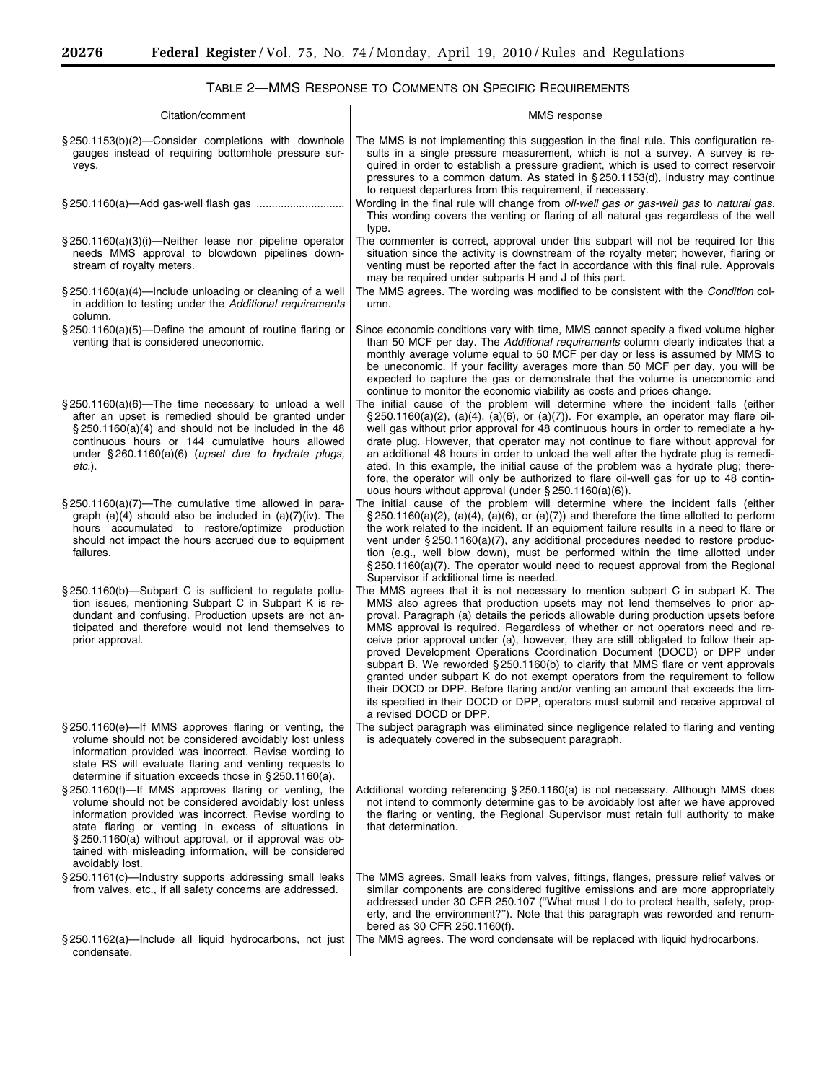▀

| Citation/comment                                                                                                                                                                                                                                                                                                                                                    | MMS response                                                                                                                                                                                                                                                                                                                                                                                                                                                                                                                                                                                                                                                                                                                                                                                                                                                                          |
|---------------------------------------------------------------------------------------------------------------------------------------------------------------------------------------------------------------------------------------------------------------------------------------------------------------------------------------------------------------------|---------------------------------------------------------------------------------------------------------------------------------------------------------------------------------------------------------------------------------------------------------------------------------------------------------------------------------------------------------------------------------------------------------------------------------------------------------------------------------------------------------------------------------------------------------------------------------------------------------------------------------------------------------------------------------------------------------------------------------------------------------------------------------------------------------------------------------------------------------------------------------------|
| §250.1153(b)(2)-Consider completions with downhole<br>gauges instead of requiring bottomhole pressure sur-<br>veys.                                                                                                                                                                                                                                                 | The MMS is not implementing this suggestion in the final rule. This configuration re-<br>sults in a single pressure measurement, which is not a survey. A survey is re-<br>quired in order to establish a pressure gradient, which is used to correct reservoir<br>pressures to a common datum. As stated in $\S$ 250.1153(d), industry may continue<br>to request departures from this requirement, if necessary.                                                                                                                                                                                                                                                                                                                                                                                                                                                                    |
|                                                                                                                                                                                                                                                                                                                                                                     | Wording in the final rule will change from <i>oil-well gas or gas-well gas</i> to <i>natural gas.</i><br>This wording covers the venting or flaring of all natural gas regardless of the well<br>type.                                                                                                                                                                                                                                                                                                                                                                                                                                                                                                                                                                                                                                                                                |
| § 250.1160(a)(3)(i)—Neither lease nor pipeline operator<br>needs MMS approval to blowdown pipelines down-<br>stream of royalty meters.                                                                                                                                                                                                                              | The commenter is correct, approval under this subpart will not be required for this<br>situation since the activity is downstream of the royalty meter; however, flaring or<br>venting must be reported after the fact in accordance with this final rule. Approvals<br>may be required under subparts H and J of this part.                                                                                                                                                                                                                                                                                                                                                                                                                                                                                                                                                          |
| $\S 250.1160(a)(4)$ —Include unloading or cleaning of a well<br>in addition to testing under the Additional requirements<br>column.                                                                                                                                                                                                                                 | The MMS agrees. The wording was modified to be consistent with the Condition col-<br>umn.                                                                                                                                                                                                                                                                                                                                                                                                                                                                                                                                                                                                                                                                                                                                                                                             |
| $\S 250.1160(a)(5)$ —Define the amount of routine flaring or<br>venting that is considered uneconomic.                                                                                                                                                                                                                                                              | Since economic conditions vary with time, MMS cannot specify a fixed volume higher<br>than 50 MCF per day. The Additional requirements column clearly indicates that a<br>monthly average volume equal to 50 MCF per day or less is assumed by MMS to<br>be uneconomic. If your facility averages more than 50 MCF per day, you will be<br>expected to capture the gas or demonstrate that the volume is uneconomic and<br>continue to monitor the economic viability as costs and prices change.                                                                                                                                                                                                                                                                                                                                                                                     |
| §250.1160(a)(6)—The time necessary to unload a well<br>after an upset is remedied should be granted under<br>$\S$ 250.1160(a)(4) and should not be included in the 48<br>continuous hours or 144 cumulative hours allowed<br>under $\S 260.1160(a)(6)$ (upset due to hydrate plugs,<br>etc.).                                                                       | The initial cause of the problem will determine where the incident falls (either<br>$\S 250.1160(a)(2)$ , (a)(4), (a)(6), or (a)(7)). For example, an operator may flare oil-<br>well gas without prior approval for 48 continuous hours in order to remediate a hy-<br>drate plug. However, that operator may not continue to flare without approval for<br>an additional 48 hours in order to unload the well after the hydrate plug is remedi-<br>ated. In this example, the initial cause of the problem was a hydrate plug; there-<br>fore, the operator will only be authorized to flare oil-well gas for up to 48 contin-<br>uous hours without approval (under $\S 250.1160(a)(6)$ ).                                                                                                                                                                                         |
| $\S$ 250.1160(a)(7)—The cumulative time allowed in para-<br>graph $(a)(4)$ should also be included in $(a)(7)(iv)$ . The<br>hours accumulated to restore/optimize production<br>should not impact the hours accrued due to equipment<br>failures.                                                                                                                   | The initial cause of the problem will determine where the incident falls (either<br>$\S$ 250.1160(a)(2), (a)(4), (a)(6), or (a)(7)) and therefore the time allotted to perform<br>the work related to the incident. If an equipment failure results in a need to flare or<br>vent under $\S 250.1160(a)(7)$ , any additional procedures needed to restore produc-<br>tion (e.g., well blow down), must be performed within the time allotted under<br>$\S$ 250.1160(a)(7). The operator would need to request approval from the Regional<br>Supervisor if additional time is needed.                                                                                                                                                                                                                                                                                                  |
| §250.1160(b)-Subpart C is sufficient to regulate pollu-<br>tion issues, mentioning Subpart C in Subpart K is re-<br>dundant and confusing. Production upsets are not an-<br>ticipated and therefore would not lend themselves to<br>prior approval.                                                                                                                 | The MMS agrees that it is not necessary to mention subpart C in subpart K. The<br>MMS also agrees that production upsets may not lend themselves to prior ap-<br>proval. Paragraph (a) details the periods allowable during production upsets before<br>MMS approval is required. Regardless of whether or not operators need and re-<br>ceive prior approval under (a), however, they are still obligated to follow their ap-<br>proved Development Operations Coordination Document (DOCD) or DPP under<br>subpart B. We reworded $\S 250.1160(b)$ to clarify that MMS flare or vent approvals<br>granted under subpart K do not exempt operators from the requirement to follow<br>their DOCD or DPP. Before flaring and/or venting an amount that exceeds the lim-<br>its specified in their DOCD or DPP, operators must submit and receive approval of<br>a revised DOCD or DPP. |
| §250.1160(e)—If MMS approves flaring or venting, the<br>volume should not be considered avoidably lost unless<br>information provided was incorrect. Revise wording to<br>state RS will evaluate flaring and venting requests to<br>determine if situation exceeds those in §250.1160(a).                                                                           | The subject paragraph was eliminated since negligence related to flaring and venting<br>is adequately covered in the subsequent paragraph.                                                                                                                                                                                                                                                                                                                                                                                                                                                                                                                                                                                                                                                                                                                                            |
| §250.1160(f)—If MMS approves flaring or venting, the<br>volume should not be considered avoidably lost unless<br>information provided was incorrect. Revise wording to<br>state flaring or venting in excess of situations in<br>§250.1160(a) without approval, or if approval was ob-<br>tained with misleading information, will be considered<br>avoidably lost. | Additional wording referencing § 250.1160(a) is not necessary. Although MMS does<br>not intend to commonly determine gas to be avoidably lost after we have approved<br>the flaring or venting, the Regional Supervisor must retain full authority to make<br>that determination.                                                                                                                                                                                                                                                                                                                                                                                                                                                                                                                                                                                                     |
| §250.1161(c)-Industry supports addressing small leaks<br>from valves, etc., if all safety concerns are addressed.                                                                                                                                                                                                                                                   | The MMS agrees. Small leaks from valves, fittings, flanges, pressure relief valves or<br>similar components are considered fugitive emissions and are more appropriately<br>addressed under 30 CFR 250.107 ("What must I do to protect health, safety, prop-<br>erty, and the environment?"). Note that this paragraph was reworded and renum-<br>bered as 30 CFR 250.1160(f).                                                                                                                                                                                                                                                                                                                                                                                                                                                                                                        |
| § 250.1162(a)—Include all liquid hydrocarbons, not just<br>condensate.                                                                                                                                                                                                                                                                                              | The MMS agrees. The word condensate will be replaced with liquid hydrocarbons.                                                                                                                                                                                                                                                                                                                                                                                                                                                                                                                                                                                                                                                                                                                                                                                                        |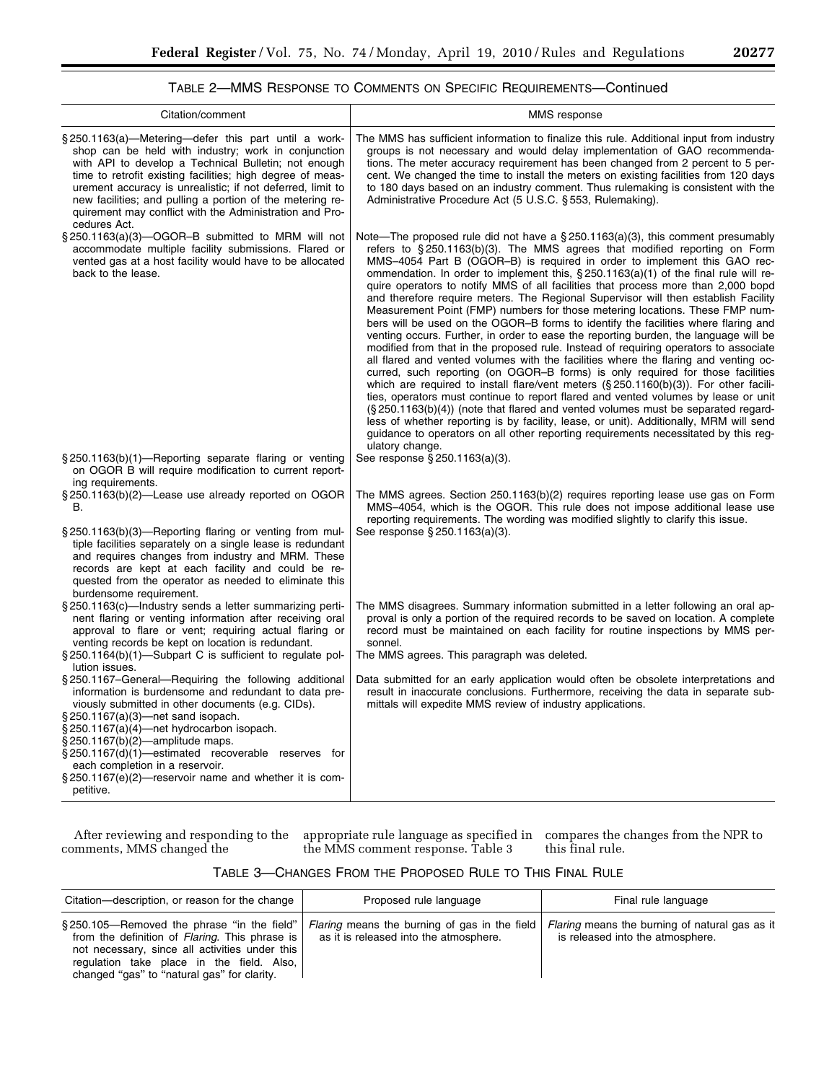÷.

# TABLE 2—MMS RESPONSE TO COMMENTS ON SPECIFIC REQUIREMENTS—Continued

| Citation/comment                                                                                                                                                                                                                                                                                                                                                                                                                                                      | MMS response                                                                                                                                                                                                                                                                                                                                                                                                                                                                                                                                                                                                                                                                                                                                                                                                                                                                                                                                                                                                                                                                                                                                                                                                                                                                                                                                                                                                                                                                                                                                                          |
|-----------------------------------------------------------------------------------------------------------------------------------------------------------------------------------------------------------------------------------------------------------------------------------------------------------------------------------------------------------------------------------------------------------------------------------------------------------------------|-----------------------------------------------------------------------------------------------------------------------------------------------------------------------------------------------------------------------------------------------------------------------------------------------------------------------------------------------------------------------------------------------------------------------------------------------------------------------------------------------------------------------------------------------------------------------------------------------------------------------------------------------------------------------------------------------------------------------------------------------------------------------------------------------------------------------------------------------------------------------------------------------------------------------------------------------------------------------------------------------------------------------------------------------------------------------------------------------------------------------------------------------------------------------------------------------------------------------------------------------------------------------------------------------------------------------------------------------------------------------------------------------------------------------------------------------------------------------------------------------------------------------------------------------------------------------|
| $\S 250.1163(a)$ —Metering—defer this part until a work-<br>shop can be held with industry; work in conjunction<br>with API to develop a Technical Bulletin; not enough<br>time to retrofit existing facilities; high degree of meas-<br>urement accuracy is unrealistic; if not deferred, limit to<br>new facilities; and pulling a portion of the metering re-<br>quirement may conflict with the Administration and Pro-<br>cedures Act.                           | The MMS has sufficient information to finalize this rule. Additional input from industry<br>groups is not necessary and would delay implementation of GAO recommenda-<br>tions. The meter accuracy requirement has been changed from 2 percent to 5 per-<br>cent. We changed the time to install the meters on existing facilities from 120 days<br>to 180 days based on an industry comment. Thus rulemaking is consistent with the<br>Administrative Procedure Act (5 U.S.C. § 553, Rulemaking).                                                                                                                                                                                                                                                                                                                                                                                                                                                                                                                                                                                                                                                                                                                                                                                                                                                                                                                                                                                                                                                                    |
| $\S 250.1163(a)(3)$ —OGOR-B submitted to MRM will not<br>accommodate multiple facility submissions. Flared or<br>vented gas at a host facility would have to be allocated<br>back to the lease.<br>§250.1163(b)(1)-Reporting separate flaring or venting                                                                                                                                                                                                              | Note—The proposed rule did not have a $\S 250.1163(a)(3)$ , this comment presumably<br>refers to $\S 250.1163(b)(3)$ . The MMS agrees that modified reporting on Form<br>MMS-4054 Part B (OGOR-B) is required in order to implement this GAO rec-<br>ommendation. In order to implement this, $\S 250.1163(a)(1)$ of the final rule will re-<br>quire operators to notify MMS of all facilities that process more than 2,000 bopd<br>and therefore require meters. The Regional Supervisor will then establish Facility<br>Measurement Point (FMP) numbers for those metering locations. These FMP num-<br>bers will be used on the OGOR-B forms to identify the facilities where flaring and<br>venting occurs. Further, in order to ease the reporting burden, the language will be<br>modified from that in the proposed rule. Instead of requiring operators to associate<br>all flared and vented volumes with the facilities where the flaring and venting oc-<br>curred, such reporting (on OGOR-B forms) is only required for those facilities<br>which are required to install flare/vent meters $(\S 250.1160(b)(3))$ . For other facili-<br>ties, operators must continue to report flared and vented volumes by lease or unit<br>$(S250.1163(b)(4))$ (note that flared and vented volumes must be separated regard-<br>less of whether reporting is by facility, lease, or unit). Additionally, MRM will send<br>guidance to operators on all other reporting requirements necessitated by this reg-<br>ulatory change.<br>See response § 250.1163(a)(3). |
| on OGOR B will require modification to current report-<br>ing requirements.<br>§250.1163(b)(2)—Lease use already reported on OGOR<br>В.                                                                                                                                                                                                                                                                                                                               | The MMS agrees. Section 250.1163(b)(2) requires reporting lease use gas on Form<br>MMS-4054, which is the OGOR. This rule does not impose additional lease use<br>reporting requirements. The wording was modified slightly to clarify this issue.                                                                                                                                                                                                                                                                                                                                                                                                                                                                                                                                                                                                                                                                                                                                                                                                                                                                                                                                                                                                                                                                                                                                                                                                                                                                                                                    |
| §250.1163(b)(3)—Reporting flaring or venting from mul-<br>tiple facilities separately on a single lease is redundant<br>and requires changes from industry and MRM. These<br>records are kept at each facility and could be re-<br>quested from the operator as needed to eliminate this<br>burdensome requirement.                                                                                                                                                   | See response § 250.1163(a)(3).                                                                                                                                                                                                                                                                                                                                                                                                                                                                                                                                                                                                                                                                                                                                                                                                                                                                                                                                                                                                                                                                                                                                                                                                                                                                                                                                                                                                                                                                                                                                        |
| §250.1163(c)-Industry sends a letter summarizing perti-<br>nent flaring or venting information after receiving oral<br>approval to flare or vent; requiring actual flaring or<br>venting records be kept on location is redundant.<br>§250.1164(b)(1)—Subpart C is sufficient to regulate pol-<br>lution issues.                                                                                                                                                      | The MMS disagrees. Summary information submitted in a letter following an oral ap-<br>proval is only a portion of the required records to be saved on location. A complete<br>record must be maintained on each facility for routine inspections by MMS per-<br>sonnel.<br>The MMS agrees. This paragraph was deleted.                                                                                                                                                                                                                                                                                                                                                                                                                                                                                                                                                                                                                                                                                                                                                                                                                                                                                                                                                                                                                                                                                                                                                                                                                                                |
| §250.1167–General–Requiring the following additional<br>information is burdensome and redundant to data pre-<br>viously submitted in other documents (e.g. CIDs).<br>$\S 250.1167(a)(3)$ net sand isopach.<br>$\S 250.1167(a)(4)$ net hydrocarbon isopach.<br>$\S 250.1167(b)(2)$ —amplitude maps.<br>§250.1167(d)(1)—estimated recoverable reserves for<br>each completion in a reservoir.<br>$\S 250.1167(e)(2)$ reservoir name and whether it is com-<br>petitive. | Data submitted for an early application would often be obsolete interpretations and<br>result in inaccurate conclusions. Furthermore, receiving the data in separate sub-<br>mittals will expedite MMS review of industry applications.                                                                                                                                                                                                                                                                                                                                                                                                                                                                                                                                                                                                                                                                                                                                                                                                                                                                                                                                                                                                                                                                                                                                                                                                                                                                                                                               |

After reviewing and responding to the comments, MMS changed the

appropriate rule language as specified in compares the changes from the NPR to the MMS comment response. Table 3

this final rule.

| TABLE 3-CHANGES FROM THE PROPOSED RULE TO THIS FINAL RULE |  |
|-----------------------------------------------------------|--|
|-----------------------------------------------------------|--|

| Citation—description, or reason for the change                                                                                                                                                                                             | Proposed rule language                                                                  | Final rule language                                                                |
|--------------------------------------------------------------------------------------------------------------------------------------------------------------------------------------------------------------------------------------------|-----------------------------------------------------------------------------------------|------------------------------------------------------------------------------------|
| §250.105—Removed the phrase "in the field"<br>from the definition of Flaring. This phrase is<br>not necessary, since all activities under this<br>regulation take place in the field. Also,<br>changed "gas" to "natural gas" for clarity. | Flaring means the burning of gas in the field<br>as it is released into the atmosphere. | Flaring means the burning of natural gas as it<br>is released into the atmosphere. |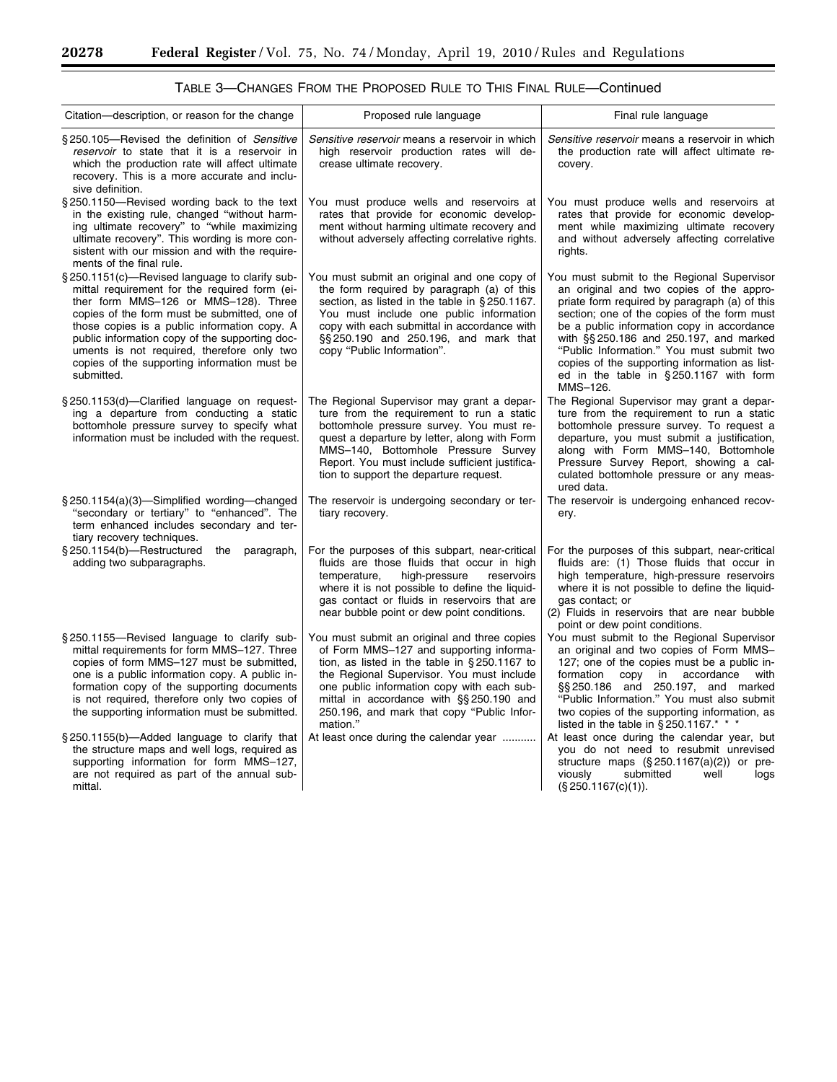$\equiv$ 

٠

| Citation—description, or reason for the change                                                                                                                                                                                                                                                                                                                                                       | Proposed rule language                                                                                                                                                                                                                                                                                                                      | Final rule language                                                                                                                                                                                                                                                                                                                                                                                                                |
|------------------------------------------------------------------------------------------------------------------------------------------------------------------------------------------------------------------------------------------------------------------------------------------------------------------------------------------------------------------------------------------------------|---------------------------------------------------------------------------------------------------------------------------------------------------------------------------------------------------------------------------------------------------------------------------------------------------------------------------------------------|------------------------------------------------------------------------------------------------------------------------------------------------------------------------------------------------------------------------------------------------------------------------------------------------------------------------------------------------------------------------------------------------------------------------------------|
| §250.105—Revised the definition of Sensitive<br>reservoir to state that it is a reservoir in<br>which the production rate will affect ultimate<br>recovery. This is a more accurate and inclu-<br>sive definition.                                                                                                                                                                                   | Sensitive reservoir means a reservoir in which<br>high reservoir production rates will de-<br>crease ultimate recovery.                                                                                                                                                                                                                     | Sensitive reservoir means a reservoir in which<br>the production rate will affect ultimate re-<br>covery.                                                                                                                                                                                                                                                                                                                          |
| §250.1150—Revised wording back to the text<br>in the existing rule, changed "without harm-<br>ing ultimate recovery" to "while maximizing<br>ultimate recovery". This wording is more con-<br>sistent with our mission and with the require-<br>ments of the final rule.                                                                                                                             | You must produce wells and reservoirs at<br>rates that provide for economic develop-<br>ment without harming ultimate recovery and<br>without adversely affecting correlative rights.                                                                                                                                                       | You must produce wells and reservoirs at<br>rates that provide for economic develop-<br>ment while maximizing ultimate recovery<br>and without adversely affecting correlative<br>rights.                                                                                                                                                                                                                                          |
| §250.1151(c)—Revised language to clarify sub-<br>mittal requirement for the required form (ei-<br>ther form MMS-126 or MMS-128). Three<br>copies of the form must be submitted, one of<br>those copies is a public information copy. A<br>public information copy of the supporting doc-<br>uments is not required, therefore only two<br>copies of the supporting information must be<br>submitted. | You must submit an original and one copy of<br>the form required by paragraph (a) of this<br>section, as listed in the table in §250.1167.<br>You must include one public information<br>copy with each submittal in accordance with<br>$\S$ \$250.190 and 250.196, and mark that<br>copy "Public Information".                             | You must submit to the Regional Supervisor<br>an original and two copies of the appro-<br>priate form required by paragraph (a) of this<br>section; one of the copies of the form must<br>be a public information copy in accordance<br>with §§250.186 and 250.197, and marked<br>"Public Information." You must submit two<br>copies of the supporting information as list-<br>ed in the table in §250.1167 with form<br>MMS-126. |
| § 250.1153(d)-Clarified language on request-<br>ing a departure from conducting a static<br>bottomhole pressure survey to specify what<br>information must be included with the request.                                                                                                                                                                                                             | The Regional Supervisor may grant a depar-<br>ture from the requirement to run a static<br>bottomhole pressure survey. You must re-<br>quest a departure by letter, along with Form<br>MMS-140, Bottomhole Pressure Survey<br>Report. You must include sufficient justifica-<br>tion to support the departure request.                      | The Regional Supervisor may grant a depar-<br>ture from the requirement to run a static<br>bottomhole pressure survey. To request a<br>departure, you must submit a justification,<br>along with Form MMS-140, Bottomhole<br>Pressure Survey Report, showing a cal-<br>culated bottomhole pressure or any meas-<br>ured data.                                                                                                      |
| $\S 250.1154(a)(3)$ -Simplified wording-changed<br>"secondary or tertiary" to "enhanced". The<br>term enhanced includes secondary and ter-<br>tiary recovery techniques.                                                                                                                                                                                                                             | The reservoir is undergoing secondary or ter-<br>tiary recovery.                                                                                                                                                                                                                                                                            | The reservoir is undergoing enhanced recov-<br>ery.                                                                                                                                                                                                                                                                                                                                                                                |
| $\S 250.1154(b)$ -Restructured<br>the<br>paragraph,<br>adding two subparagraphs.                                                                                                                                                                                                                                                                                                                     | For the purposes of this subpart, near-critical<br>fluids are those fluids that occur in high<br>high-pressure<br>temperature,<br>reservoirs<br>where it is not possible to define the liquid-<br>gas contact or fluids in reservoirs that are<br>near bubble point or dew point conditions.                                                | For the purposes of this subpart, near-critical<br>fluids are: (1) Those fluids that occur in<br>high temperature, high-pressure reservoirs<br>where it is not possible to define the liquid-<br>gas contact; or<br>(2) Fluids in reservoirs that are near bubble<br>point or dew point conditions.                                                                                                                                |
| §250.1155—Revised language to clarify sub-<br>mittal requirements for form MMS-127. Three<br>copies of form MMS-127 must be submitted,<br>one is a public information copy. A public in-<br>formation copy of the supporting documents<br>is not required, therefore only two copies of<br>the supporting information must be submitted.                                                             | You must submit an original and three copies<br>of Form MMS-127 and supporting informa-<br>tion, as listed in the table in $\S 250.1167$ to<br>the Regional Supervisor. You must include<br>one public information copy with each sub-<br>mittal in accordance with §§250.190 and<br>250.196, and mark that copy "Public Infor-<br>mation." | You must submit to the Regional Supervisor<br>an original and two copies of Form MMS-<br>127; one of the copies must be a public in-<br>formation<br>copy in<br>accordance<br>with<br>§§250.186 and 250.197, and marked<br>"Public Information." You must also submit<br>two copies of the supporting information, as<br>listed in the table in $§$ 250.1167.* * *                                                                 |
| §250.1155(b)-Added language to clarify that<br>the structure maps and well logs, required as<br>supporting information for form MMS-127,<br>are not required as part of the annual sub-<br>mittal.                                                                                                                                                                                                   | At least once during the calendar year                                                                                                                                                                                                                                                                                                      | At least once during the calendar year, but<br>you do not need to resubmit unrevised<br>structure maps $(\S 250.1167(a)(2))$ or pre-<br>submitted<br>viously<br>well<br>logs<br>$(\S 250.1167(c)(1)).$                                                                                                                                                                                                                             |

TABLE 3—CHANGES FROM THE PROPOSED RULE TO THIS FINAL RULE—Continued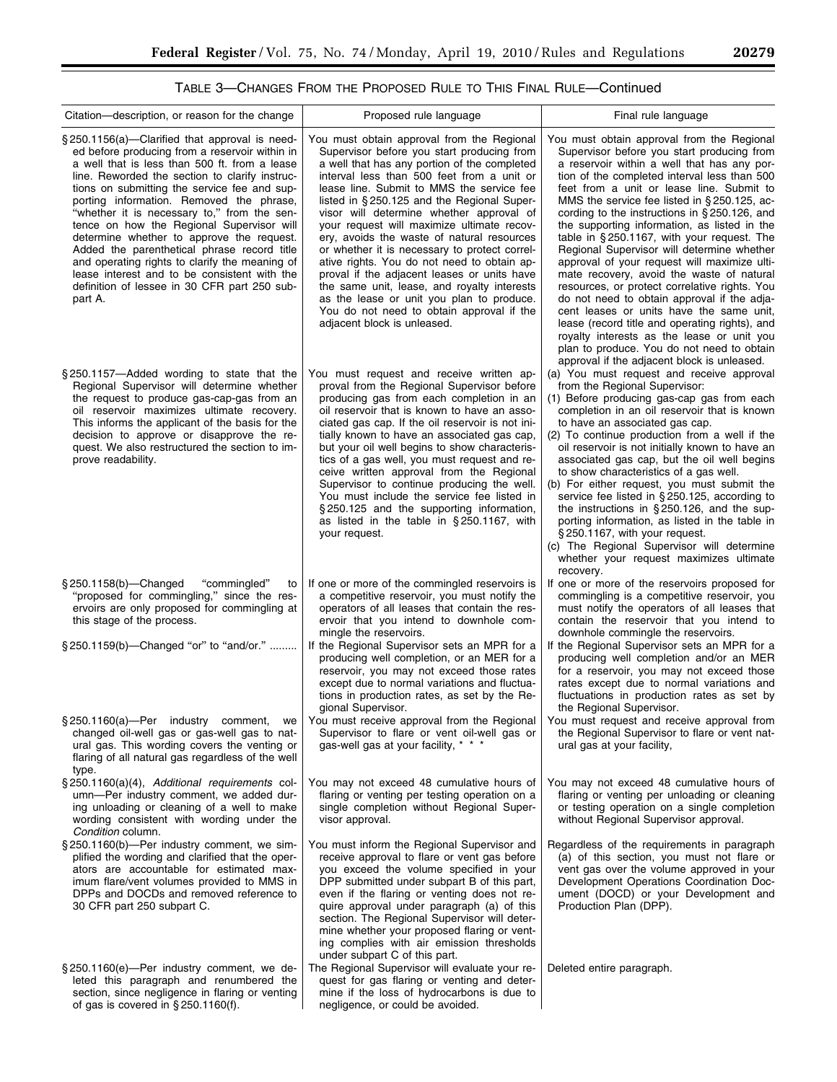e<br>B

# TABLE 3—CHANGES FROM THE PROPOSED RULE TO THIS FINAL RULE—Continued

| Citation—description, or reason for the change                                                                                                                                                                                                                                                                                                                                                                                                                                                                                                                                                                                                           | Proposed rule language                                                                                                                                                                                                                                                                                                                                                                                                                                                                                                                                                                                                                                                                                                                               | Final rule language                                                                                                                                                                                                                                                                                                                                                                                                                                                                                                                                                                                                                                                                                                                                                                                                                                                                   |
|----------------------------------------------------------------------------------------------------------------------------------------------------------------------------------------------------------------------------------------------------------------------------------------------------------------------------------------------------------------------------------------------------------------------------------------------------------------------------------------------------------------------------------------------------------------------------------------------------------------------------------------------------------|------------------------------------------------------------------------------------------------------------------------------------------------------------------------------------------------------------------------------------------------------------------------------------------------------------------------------------------------------------------------------------------------------------------------------------------------------------------------------------------------------------------------------------------------------------------------------------------------------------------------------------------------------------------------------------------------------------------------------------------------------|---------------------------------------------------------------------------------------------------------------------------------------------------------------------------------------------------------------------------------------------------------------------------------------------------------------------------------------------------------------------------------------------------------------------------------------------------------------------------------------------------------------------------------------------------------------------------------------------------------------------------------------------------------------------------------------------------------------------------------------------------------------------------------------------------------------------------------------------------------------------------------------|
| $\S 250.1156(a)$ —Clarified that approval is need-<br>ed before producing from a reservoir within in<br>a well that is less than 500 ft. from a lease<br>line. Reworded the section to clarify instruc-<br>tions on submitting the service fee and sup-<br>porting information. Removed the phrase,<br>"whether it is necessary to," from the sen-<br>tence on how the Regional Supervisor will<br>determine whether to approve the request.<br>Added the parenthetical phrase record title<br>and operating rights to clarify the meaning of<br>lease interest and to be consistent with the<br>definition of lessee in 30 CFR part 250 sub-<br>part A. | You must obtain approval from the Regional<br>Supervisor before you start producing from<br>a well that has any portion of the completed<br>interval less than 500 feet from a unit or<br>lease line. Submit to MMS the service fee<br>listed in $\S 250.125$ and the Regional Super-<br>visor will determine whether approval of<br>your request will maximize ultimate recov-<br>ery, avoids the waste of natural resources<br>or whether it is necessary to protect correl-<br>ative rights. You do not need to obtain ap-<br>proval if the adjacent leases or units have<br>the same unit, lease, and royalty interests<br>as the lease or unit you plan to produce.<br>You do not need to obtain approval if the<br>adjacent block is unleased. | You must obtain approval from the Regional<br>Supervisor before you start producing from<br>a reservoir within a well that has any por-<br>tion of the completed interval less than 500<br>feet from a unit or lease line. Submit to<br>MMS the service fee listed in $\S 250.125$ , ac-<br>cording to the instructions in $\S 250.126$ , and<br>the supporting information, as listed in the<br>table in $\S 250.1167$ , with your request. The<br>Regional Supervisor will determine whether<br>approval of your request will maximize ulti-<br>mate recovery, avoid the waste of natural<br>resources, or protect correlative rights. You<br>do not need to obtain approval if the adja-<br>cent leases or units have the same unit,<br>lease (record title and operating rights), and<br>royalty interests as the lease or unit you<br>plan to produce. You do not need to obtain |
| §250.1157—Added wording to state that the<br>Regional Supervisor will determine whether<br>the request to produce gas-cap-gas from an<br>oil reservoir maximizes ultimate recovery.<br>This informs the applicant of the basis for the<br>decision to approve or disapprove the re-<br>quest. We also restructured the section to im-<br>prove readability.                                                                                                                                                                                                                                                                                              | You must request and receive written ap-<br>proval from the Regional Supervisor before<br>producing gas from each completion in an<br>oil reservoir that is known to have an asso-<br>ciated gas cap. If the oil reservoir is not ini-<br>tially known to have an associated gas cap,<br>but your oil well begins to show characteris-<br>tics of a gas well, you must request and re-<br>ceive written approval from the Regional<br>Supervisor to continue producing the well.<br>You must include the service fee listed in<br>§250.125 and the supporting information,<br>as listed in the table in $\S$ 250.1167, with<br>your request.                                                                                                         | approval if the adjacent block is unleased.<br>(a) You must request and receive approval<br>from the Regional Supervisor:<br>(1) Before producing gas-cap gas from each<br>completion in an oil reservoir that is known<br>to have an associated gas cap.<br>(2) To continue production from a well if the<br>oil reservoir is not initially known to have an<br>associated gas cap, but the oil well begins<br>to show characteristics of a gas well.<br>(b) For either request, you must submit the<br>service fee listed in §250.125, according to<br>the instructions in $\S 250.126$ , and the sup-<br>porting information, as listed in the table in<br>$\S 250.1167$ , with your request.<br>(c) The Regional Supervisor will determine<br>whether your request maximizes ultimate<br>recovery.                                                                                |
| $\S 250.1158(b)$ -Changed<br>"commingled"<br>to<br>"proposed for commingling," since the res-<br>ervoirs are only proposed for commingling at<br>this stage of the process.                                                                                                                                                                                                                                                                                                                                                                                                                                                                              | If one or more of the commingled reservoirs is<br>a competitive reservoir, you must notify the<br>operators of all leases that contain the res-<br>ervoir that you intend to downhole com-<br>mingle the reservoirs.                                                                                                                                                                                                                                                                                                                                                                                                                                                                                                                                 | If one or more of the reservoirs proposed for<br>commingling is a competitive reservoir, you<br>must notify the operators of all leases that<br>contain the reservoir that you intend to<br>downhole commingle the reservoirs.                                                                                                                                                                                                                                                                                                                                                                                                                                                                                                                                                                                                                                                        |
| § 250.1159(b)—Changed "or" to "and/or."                                                                                                                                                                                                                                                                                                                                                                                                                                                                                                                                                                                                                  | If the Regional Supervisor sets an MPR for a<br>producing well completion, or an MER for a<br>reservoir, you may not exceed those rates<br>except due to normal variations and fluctua-<br>tions in production rates, as set by the Re-<br>gional Supervisor.                                                                                                                                                                                                                                                                                                                                                                                                                                                                                        | If the Regional Supervisor sets an MPR for a<br>producing well completion and/or an MER<br>for a reservoir, you may not exceed those<br>rates except due to normal variations and<br>fluctuations in production rates as set by<br>the Regional Supervisor.                                                                                                                                                                                                                                                                                                                                                                                                                                                                                                                                                                                                                           |
| § 250.1160(a)-Per industry comment,<br>changed oil-well gas or gas-well gas to nat-<br>ural gas. This wording covers the venting or<br>flaring of all natural gas regardless of the well<br>type.                                                                                                                                                                                                                                                                                                                                                                                                                                                        | we   You must receive approval from the Regional   You must request and receive approval from<br>Supervisor to flare or vent oil-well gas or<br>gas-well gas at your facility, * * *                                                                                                                                                                                                                                                                                                                                                                                                                                                                                                                                                                 | the Regional Supervisor to flare or vent nat-<br>ural gas at your facility,                                                                                                                                                                                                                                                                                                                                                                                                                                                                                                                                                                                                                                                                                                                                                                                                           |
| § 250.1160(a)(4), Additional requirements col-<br>umn-Per industry comment, we added dur-<br>ing unloading or cleaning of a well to make<br>wording consistent with wording under the<br>Condition column.                                                                                                                                                                                                                                                                                                                                                                                                                                               | You may not exceed 48 cumulative hours of<br>flaring or venting per testing operation on a<br>single completion without Regional Super-<br>visor approval.                                                                                                                                                                                                                                                                                                                                                                                                                                                                                                                                                                                           | You may not exceed 48 cumulative hours of<br>flaring or venting per unloading or cleaning<br>or testing operation on a single completion<br>without Regional Supervisor approval.                                                                                                                                                                                                                                                                                                                                                                                                                                                                                                                                                                                                                                                                                                     |
| § 250.1160(b)-Per industry comment, we sim-<br>plified the wording and clarified that the oper-<br>ators are accountable for estimated max-<br>imum flare/vent volumes provided to MMS in<br>DPPs and DOCDs and removed reference to<br>30 CFR part 250 subpart C.                                                                                                                                                                                                                                                                                                                                                                                       | You must inform the Regional Supervisor and<br>receive approval to flare or vent gas before<br>you exceed the volume specified in your<br>DPP submitted under subpart B of this part,<br>even if the flaring or venting does not re-<br>quire approval under paragraph (a) of this<br>section. The Regional Supervisor will deter-<br>mine whether your proposed flaring or vent-<br>ing complies with air emission thresholds<br>under subpart C of this part.                                                                                                                                                                                                                                                                                      | Regardless of the requirements in paragraph<br>(a) of this section, you must not flare or<br>vent gas over the volume approved in your<br>Development Operations Coordination Doc-<br>ument (DOCD) or your Development and<br>Production Plan (DPP).                                                                                                                                                                                                                                                                                                                                                                                                                                                                                                                                                                                                                                  |
| §250.1160(e)-Per industry comment, we de-<br>leted this paragraph and renumbered the<br>section, since negligence in flaring or venting<br>of gas is covered in $\S 250.1160(f)$ .                                                                                                                                                                                                                                                                                                                                                                                                                                                                       | The Regional Supervisor will evaluate your re-<br>quest for gas flaring or venting and deter-<br>mine if the loss of hydrocarbons is due to<br>negligence, or could be avoided.                                                                                                                                                                                                                                                                                                                                                                                                                                                                                                                                                                      | Deleted entire paragraph.                                                                                                                                                                                                                                                                                                                                                                                                                                                                                                                                                                                                                                                                                                                                                                                                                                                             |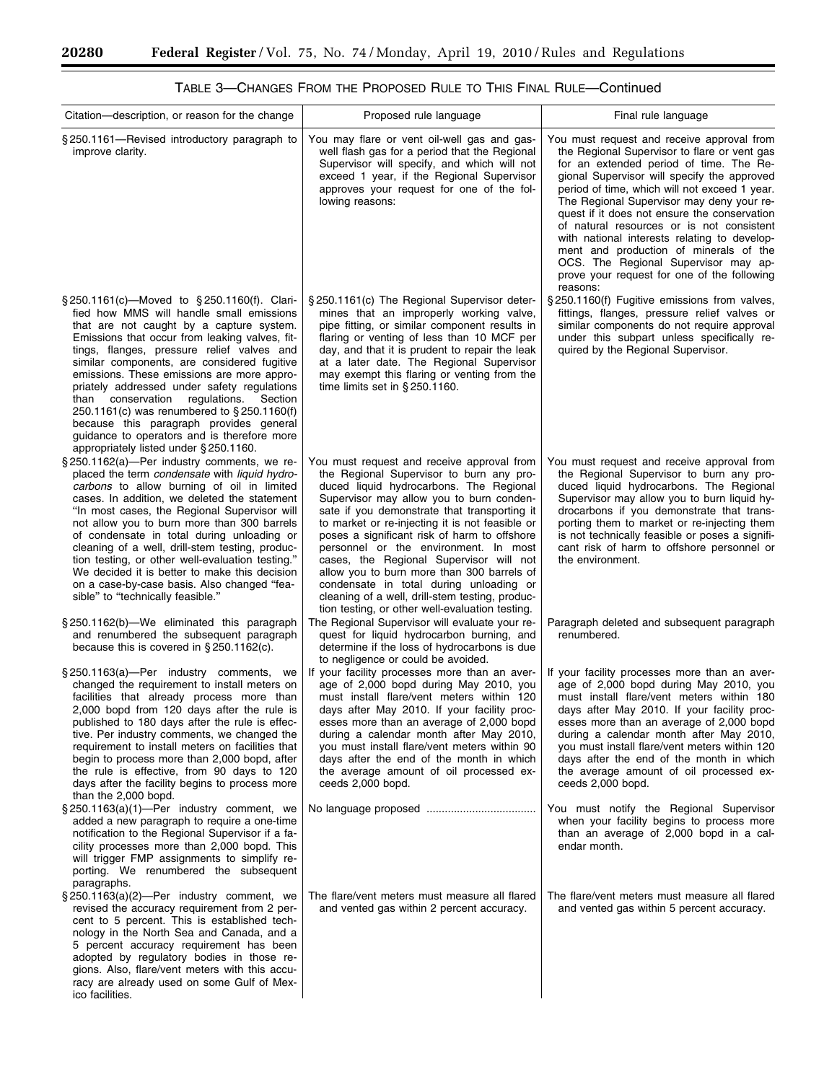$\equiv$ 

٠

| Citation—description, or reason for the change                                                                                                                                                                                                                                                                                                                                                                                                                                                                                                                                                                        | Proposed rule language                                                                                                                                                                                                                                                                                                                                                                                                                                                                                                                                                                                              | Final rule language                                                                                                                                                                                                                                                                                                                                                                                                                                                                                                                                                          |
|-----------------------------------------------------------------------------------------------------------------------------------------------------------------------------------------------------------------------------------------------------------------------------------------------------------------------------------------------------------------------------------------------------------------------------------------------------------------------------------------------------------------------------------------------------------------------------------------------------------------------|---------------------------------------------------------------------------------------------------------------------------------------------------------------------------------------------------------------------------------------------------------------------------------------------------------------------------------------------------------------------------------------------------------------------------------------------------------------------------------------------------------------------------------------------------------------------------------------------------------------------|------------------------------------------------------------------------------------------------------------------------------------------------------------------------------------------------------------------------------------------------------------------------------------------------------------------------------------------------------------------------------------------------------------------------------------------------------------------------------------------------------------------------------------------------------------------------------|
| §250.1161-Revised introductory paragraph to<br>improve clarity.                                                                                                                                                                                                                                                                                                                                                                                                                                                                                                                                                       | You may flare or vent oil-well gas and gas-<br>well flash gas for a period that the Regional<br>Supervisor will specify, and which will not<br>exceed 1 year, if the Regional Supervisor<br>approves your request for one of the fol-<br>lowing reasons:                                                                                                                                                                                                                                                                                                                                                            | You must request and receive approval from<br>the Regional Supervisor to flare or vent gas<br>for an extended period of time. The Re-<br>gional Supervisor will specify the approved<br>period of time, which will not exceed 1 year.<br>The Regional Supervisor may deny your re-<br>quest if it does not ensure the conservation<br>of natural resources or is not consistent<br>with national interests relating to develop-<br>ment and production of minerals of the<br>OCS. The Regional Supervisor may ap-<br>prove your request for one of the following<br>reasons: |
| § 250.1161(c)-Moved to § 250.1160(f). Clari-<br>fied how MMS will handle small emissions<br>that are not caught by a capture system.<br>Emissions that occur from leaking valves, fit-<br>tings, flanges, pressure relief valves and<br>similar components, are considered fugitive<br>emissions. These emissions are more appro-<br>priately addressed under safety regulations<br>conservation<br>regulations.<br>Section<br>than<br>250.1161(c) was renumbered to §250.1160(f)<br>because this paragraph provides general<br>guidance to operators and is therefore more<br>appropriately listed under § 250.1160. | §250.1161(c) The Regional Supervisor deter-<br>mines that an improperly working valve,<br>pipe fitting, or similar component results in<br>flaring or venting of less than 10 MCF per<br>day, and that it is prudent to repair the leak<br>at a later date. The Regional Supervisor<br>may exempt this flaring or venting from the<br>time limits set in $\S$ 250.1160.                                                                                                                                                                                                                                             | §250.1160(f) Fugitive emissions from valves,<br>fittings, flanges, pressure relief valves or<br>similar components do not require approval<br>under this subpart unless specifically re-<br>quired by the Regional Supervisor.                                                                                                                                                                                                                                                                                                                                               |
| $\S 250.1162(a)$ -Per industry comments, we re-<br>placed the term condensate with liquid hydro-<br>carbons to allow burning of oil in limited<br>cases. In addition, we deleted the statement<br>"In most cases, the Regional Supervisor will<br>not allow you to burn more than 300 barrels<br>of condensate in total during unloading or<br>cleaning of a well, drill-stem testing, produc-<br>tion testing, or other well-evaluation testing."<br>We decided it is better to make this decision<br>on a case-by-case basis. Also changed "fea-<br>sible" to "technically feasible."                               | You must request and receive approval from<br>the Regional Supervisor to burn any pro-<br>duced liquid hydrocarbons. The Regional<br>Supervisor may allow you to burn conden-<br>sate if you demonstrate that transporting it<br>to market or re-injecting it is not feasible or<br>poses a significant risk of harm to offshore<br>personnel or the environment. In most<br>cases, the Regional Supervisor will not<br>allow you to burn more than 300 barrels of<br>condensate in total during unloading or<br>cleaning of a well, drill-stem testing, produc-<br>tion testing, or other well-evaluation testing. | You must request and receive approval from<br>the Regional Supervisor to burn any pro-<br>duced liquid hydrocarbons. The Regional<br>Supervisor may allow you to burn liquid hy-<br>drocarbons if you demonstrate that trans-<br>porting them to market or re-injecting them<br>is not technically feasible or poses a signifi-<br>cant risk of harm to offshore personnel or<br>the environment.                                                                                                                                                                            |
| §250.1162(b)-We eliminated this paragraph<br>and renumbered the subsequent paragraph<br>because this is covered in $\S 250.1162(c)$ .                                                                                                                                                                                                                                                                                                                                                                                                                                                                                 | The Regional Supervisor will evaluate your re-<br>quest for liquid hydrocarbon burning, and<br>determine if the loss of hydrocarbons is due<br>to negligence or could be avoided.                                                                                                                                                                                                                                                                                                                                                                                                                                   | Paragraph deleted and subsequent paragraph<br>renumbered.                                                                                                                                                                                                                                                                                                                                                                                                                                                                                                                    |
| § 250.1163(a)—Per industry comments, we<br>changed the requirement to install meters on<br>facilities that already process more than<br>2,000 bopd from 120 days after the rule is<br>published to 180 days after the rule is effec-<br>tive. Per industry comments, we changed the<br>requirement to install meters on facilities that<br>begin to process more than 2,000 bopd, after<br>the rule is effective, from 90 days to 120<br>days after the facility begins to process more<br>than the 2,000 bopd.                                                                                                       | If your facility processes more than an aver-<br>age of 2,000 bopd during May 2010, you<br>must install flare/vent meters within 120<br>days after May 2010. If your facility proc-<br>esses more than an average of 2,000 bopd<br>during a calendar month after May 2010,<br>you must install flare/vent meters within 90<br>days after the end of the month in which<br>the average amount of oil processed ex-<br>ceeds 2,000 bopd.                                                                                                                                                                              | If your facility processes more than an aver-<br>age of 2,000 bopd during May 2010, you<br>must install flare/vent meters within 180<br>days after May 2010. If your facility proc-<br>esses more than an average of 2,000 bopd<br>during a calendar month after May 2010,<br>you must install flare/vent meters within 120<br>days after the end of the month in which<br>the average amount of oil processed ex-<br>ceeds 2,000 bopd.                                                                                                                                      |
| $\S 250.1163(a)(1)$ -Per industry comment, we<br>added a new paragraph to require a one-time<br>notification to the Regional Supervisor if a fa-<br>cility processes more than 2,000 bopd. This<br>will trigger FMP assignments to simplify re-<br>porting. We renumbered the subsequent<br>paragraphs.                                                                                                                                                                                                                                                                                                               |                                                                                                                                                                                                                                                                                                                                                                                                                                                                                                                                                                                                                     | You must notify the Regional Supervisor<br>when your facility begins to process more<br>than an average of 2,000 bopd in a cal-<br>endar month.                                                                                                                                                                                                                                                                                                                                                                                                                              |
| $\S 250.1163(a)(2)$ -Per industry comment, we<br>revised the accuracy requirement from 2 per-<br>cent to 5 percent. This is established tech-<br>nology in the North Sea and Canada, and a<br>5 percent accuracy requirement has been<br>adopted by regulatory bodies in those re-<br>gions. Also, flare/vent meters with this accu-<br>racy are already used on some Gulf of Mex-<br>ico facilities.                                                                                                                                                                                                                 | The flare/vent meters must measure all flared<br>and vented gas within 2 percent accuracy.                                                                                                                                                                                                                                                                                                                                                                                                                                                                                                                          | The flare/vent meters must measure all flared<br>and vented gas within 5 percent accuracy.                                                                                                                                                                                                                                                                                                                                                                                                                                                                                   |

# TABLE 3—CHANGES FROM THE PROPOSED RULE TO THIS FINAL RULE—Continued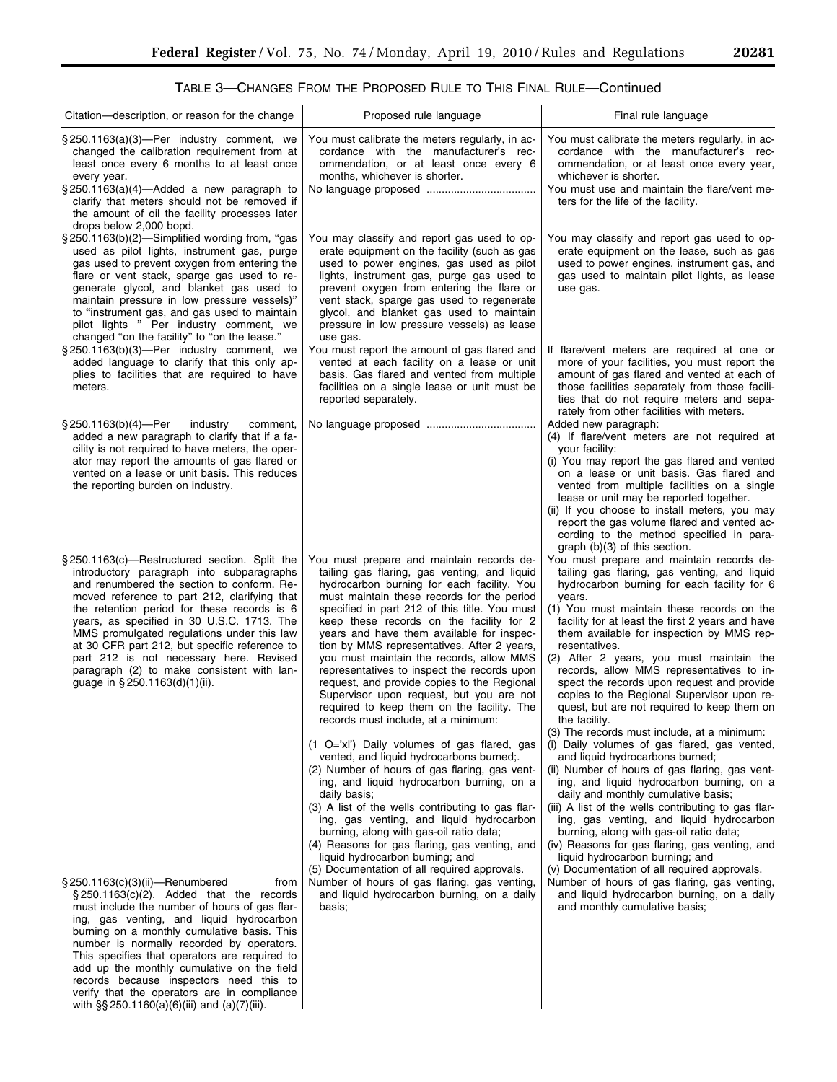| TABLE 3-CHANGES FROM THE PROPOSED RULE TO THIS FINAL RULE-Continued |  |
|---------------------------------------------------------------------|--|
|---------------------------------------------------------------------|--|

| Citation—description, or reason for the change                                                                                                                                                                                                                                                                                                                                                                                                                                                                                     | Proposed rule language                                                                                                                                                                                                                                                                                                                                                                                                                                                                                                                                                                                                                                                                                                                                                                                                                                                                                                                                                                                                                                          | Final rule language                                                                                                                                                                                                                                                                                                                                                                                                                                                                                                                                                                                                                                                                                                                                                                                                                                                                                                                                                                                                                             |
|------------------------------------------------------------------------------------------------------------------------------------------------------------------------------------------------------------------------------------------------------------------------------------------------------------------------------------------------------------------------------------------------------------------------------------------------------------------------------------------------------------------------------------|-----------------------------------------------------------------------------------------------------------------------------------------------------------------------------------------------------------------------------------------------------------------------------------------------------------------------------------------------------------------------------------------------------------------------------------------------------------------------------------------------------------------------------------------------------------------------------------------------------------------------------------------------------------------------------------------------------------------------------------------------------------------------------------------------------------------------------------------------------------------------------------------------------------------------------------------------------------------------------------------------------------------------------------------------------------------|-------------------------------------------------------------------------------------------------------------------------------------------------------------------------------------------------------------------------------------------------------------------------------------------------------------------------------------------------------------------------------------------------------------------------------------------------------------------------------------------------------------------------------------------------------------------------------------------------------------------------------------------------------------------------------------------------------------------------------------------------------------------------------------------------------------------------------------------------------------------------------------------------------------------------------------------------------------------------------------------------------------------------------------------------|
| §250.1163(a)(3)-Per industry comment, we<br>changed the calibration requirement from at<br>least once every 6 months to at least once<br>every year.<br>§ 250.1163(a)(4)-Added a new paragraph to<br>clarify that meters should not be removed if<br>the amount of oil the facility processes later<br>drops below 2,000 bopd.                                                                                                                                                                                                     | You must calibrate the meters regularly, in ac-<br>cordance with the manufacturer's rec-<br>ommendation, or at least once every 6<br>months, whichever is shorter.                                                                                                                                                                                                                                                                                                                                                                                                                                                                                                                                                                                                                                                                                                                                                                                                                                                                                              | You must calibrate the meters regularly, in ac-<br>cordance with the manufacturer's rec-<br>ommendation, or at least once every year,<br>whichever is shorter.<br>You must use and maintain the flare/vent me-<br>ters for the life of the facility.                                                                                                                                                                                                                                                                                                                                                                                                                                                                                                                                                                                                                                                                                                                                                                                            |
| § 250.1163(b)(2)—Simplified wording from, "gas<br>used as pilot lights, instrument gas, purge<br>gas used to prevent oxygen from entering the<br>flare or vent stack, sparge gas used to re-<br>generate glycol, and blanket gas used to<br>maintain pressure in low pressure vessels)"<br>to "instrument gas, and gas used to maintain<br>pilot lights " Per industry comment, we<br>changed "on the facility" to "on the lease."                                                                                                 | You may classify and report gas used to op-<br>erate equipment on the facility (such as gas<br>used to power engines, gas used as pilot<br>lights, instrument gas, purge gas used to<br>prevent oxygen from entering the flare or<br>vent stack, sparge gas used to regenerate<br>glycol, and blanket gas used to maintain<br>pressure in low pressure vessels) as lease<br>use gas.                                                                                                                                                                                                                                                                                                                                                                                                                                                                                                                                                                                                                                                                            | You may classify and report gas used to op-<br>erate equipment on the lease, such as gas<br>used to power engines, instrument gas, and<br>gas used to maintain pilot lights, as lease<br>use gas.                                                                                                                                                                                                                                                                                                                                                                                                                                                                                                                                                                                                                                                                                                                                                                                                                                               |
| $\S 250.1163(b)(3)$ -Per industry comment, we<br>added language to clarify that this only ap-<br>plies to facilities that are required to have<br>meters.                                                                                                                                                                                                                                                                                                                                                                          | You must report the amount of gas flared and<br>vented at each facility on a lease or unit<br>basis. Gas flared and vented from multiple<br>facilities on a single lease or unit must be<br>reported separately.                                                                                                                                                                                                                                                                                                                                                                                                                                                                                                                                                                                                                                                                                                                                                                                                                                                | If flare/vent meters are required at one or<br>more of your facilities, you must report the<br>amount of gas flared and vented at each of<br>those facilities separately from those facili-<br>ties that do not require meters and sepa-<br>rately from other facilities with meters.                                                                                                                                                                                                                                                                                                                                                                                                                                                                                                                                                                                                                                                                                                                                                           |
| § 250.1163(b)(4)—Per<br>industry<br>comment,<br>added a new paragraph to clarify that if a fa-<br>cility is not required to have meters, the oper-<br>ator may report the amounts of gas flared or<br>vented on a lease or unit basis. This reduces<br>the reporting burden on industry.                                                                                                                                                                                                                                           |                                                                                                                                                                                                                                                                                                                                                                                                                                                                                                                                                                                                                                                                                                                                                                                                                                                                                                                                                                                                                                                                 | Added new paragraph:<br>(4) If flare/vent meters are not required at<br>your facility:<br>(i) You may report the gas flared and vented<br>on a lease or unit basis. Gas flared and<br>vented from multiple facilities on a single<br>lease or unit may be reported together.<br>(ii) If you choose to install meters, you may<br>report the gas volume flared and vented ac-<br>cording to the method specified in para-<br>graph (b)(3) of this section.                                                                                                                                                                                                                                                                                                                                                                                                                                                                                                                                                                                       |
| §250.1163(c)—Restructured section. Split the<br>introductory paragraph into subparagraphs<br>and renumbered the section to conform. Re-<br>moved reference to part 212, clarifying that<br>the retention period for these records is 6<br>years, as specified in 30 U.S.C. 1713. The<br>MMS promulgated regulations under this law<br>at 30 CFR part 212, but specific reference to<br>part 212 is not necessary here. Revised<br>paragraph (2) to make consistent with lan-<br>guage in §250.1163(d)(1)(ii).                      | You must prepare and maintain records de-<br>tailing gas flaring, gas venting, and liquid<br>hydrocarbon burning for each facility. You<br>must maintain these records for the period<br>specified in part 212 of this title. You must<br>keep these records on the facility for 2<br>years and have them available for inspec-<br>tion by MMS representatives. After 2 years,<br>you must maintain the records, allow MMS<br>representatives to inspect the records upon<br>request, and provide copies to the Regional<br>Supervisor upon request, but you are not<br>required to keep them on the facility. The<br>records must include, at a minimum:<br>(1 O='xl') Daily volumes of gas flared, gas<br>vented, and liquid hydrocarbons burned;.<br>(2) Number of hours of gas flaring, gas vent-<br>ing, and liquid hydrocarbon burning, on a<br>daily basis;<br>(3) A list of the wells contributing to gas flar-<br>ing, gas venting, and liquid hydrocarbon<br>burning, along with gas-oil ratio data;<br>(4) Reasons for gas flaring, gas venting, and | You must prepare and maintain records de-<br>tailing gas flaring, gas venting, and liquid<br>hydrocarbon burning for each facility for 6<br>years.<br>(1) You must maintain these records on the<br>facility for at least the first 2 years and have<br>them available for inspection by MMS rep-<br>resentatives.<br>(2) After 2 years, you must maintain the<br>records, allow MMS representatives to in-<br>spect the records upon request and provide<br>copies to the Regional Supervisor upon re-<br>quest, but are not required to keep them on<br>the facility.<br>(3) The records must include, at a minimum:<br>(i) Daily volumes of gas flared, gas vented,<br>and liquid hydrocarbons burned;<br>(ii) Number of hours of gas flaring, gas vent-<br>ing, and liquid hydrocarbon burning, on a<br>daily and monthly cumulative basis;<br>(iii) A list of the wells contributing to gas flar-<br>ing, gas venting, and liquid hydrocarbon<br>burning, along with gas-oil ratio data;<br>(iv) Reasons for gas flaring, gas venting, and |
| $\S 250.1163(c)(3)(ii)$ —Renumbered<br>from<br>$\S 250.1163(c)(2)$ . Added that the records<br>must include the number of hours of gas flar-<br>ing, gas venting, and liquid hydrocarbon<br>burning on a monthly cumulative basis. This<br>number is normally recorded by operators.<br>This specifies that operators are required to<br>add up the monthly cumulative on the field<br>records because inspectors need this to<br>verify that the operators are in compliance<br>with $\S$ \$ 250.1160(a)(6)(iii) and (a)(7)(iii). | liquid hydrocarbon burning; and<br>(5) Documentation of all required approvals.<br>Number of hours of gas flaring, gas venting,<br>and liquid hydrocarbon burning, on a daily<br>basis;                                                                                                                                                                                                                                                                                                                                                                                                                                                                                                                                                                                                                                                                                                                                                                                                                                                                         | liquid hydrocarbon burning; and<br>(v) Documentation of all required approvals.<br>Number of hours of gas flaring, gas venting,<br>and liquid hydrocarbon burning, on a daily<br>and monthly cumulative basis;                                                                                                                                                                                                                                                                                                                                                                                                                                                                                                                                                                                                                                                                                                                                                                                                                                  |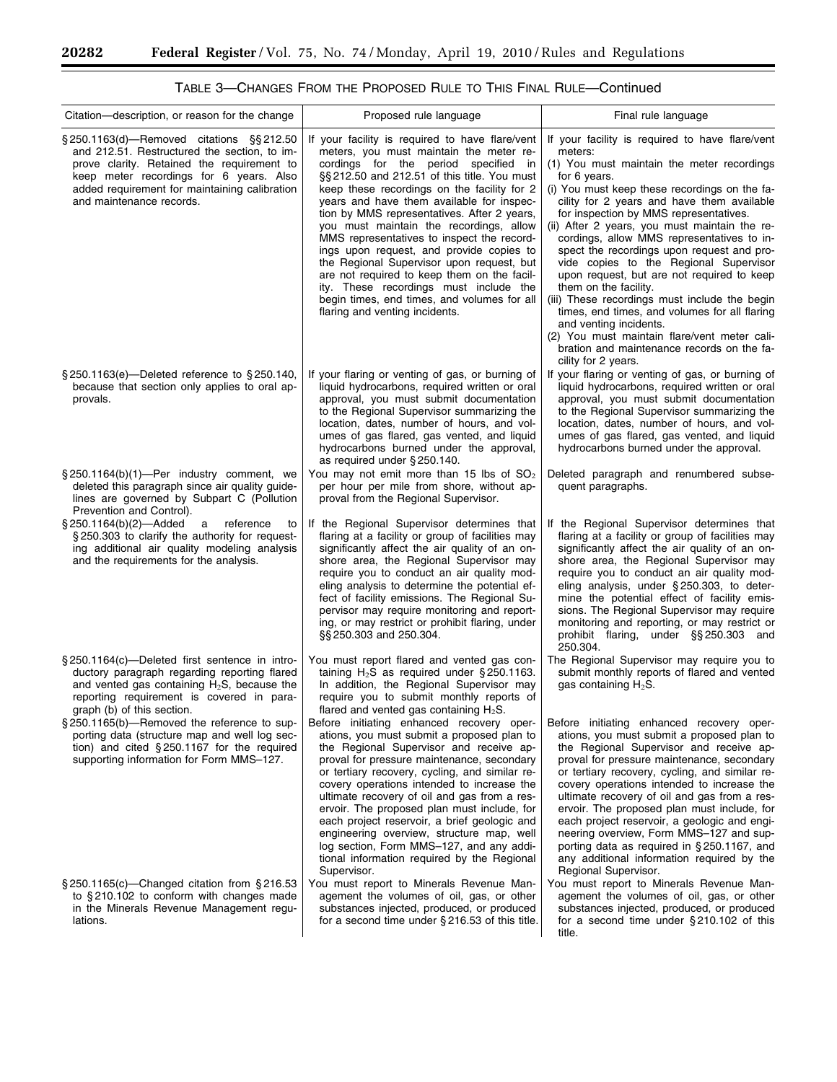$\equiv$ 

÷.

| Citation—description, or reason for the change                                                                                                                                                                                                                   | Proposed rule language                                                                                                                                                                                                                                                                                                                                                                                                                                                                                                                                                                                                                                                                    | Final rule language                                                                                                                                                                                                                                                                                                                                                                                                                                                                                                                                                                                                                                                                                                                                                              |
|------------------------------------------------------------------------------------------------------------------------------------------------------------------------------------------------------------------------------------------------------------------|-------------------------------------------------------------------------------------------------------------------------------------------------------------------------------------------------------------------------------------------------------------------------------------------------------------------------------------------------------------------------------------------------------------------------------------------------------------------------------------------------------------------------------------------------------------------------------------------------------------------------------------------------------------------------------------------|----------------------------------------------------------------------------------------------------------------------------------------------------------------------------------------------------------------------------------------------------------------------------------------------------------------------------------------------------------------------------------------------------------------------------------------------------------------------------------------------------------------------------------------------------------------------------------------------------------------------------------------------------------------------------------------------------------------------------------------------------------------------------------|
| § 250.1163(d)-Removed citations § \$212.50<br>and 212.51. Restructured the section, to im-<br>prove clarity. Retained the requirement to<br>keep meter recordings for 6 years. Also<br>added requirement for maintaining calibration<br>and maintenance records. | If your facility is required to have flare/vent<br>meters, you must maintain the meter re-<br>cordings for the period specified in<br>§§ 212.50 and 212.51 of this title. You must<br>keep these recordings on the facility for 2<br>years and have them available for inspec-<br>tion by MMS representatives. After 2 years,<br>you must maintain the recordings, allow<br>MMS representatives to inspect the record-<br>ings upon request, and provide copies to<br>the Regional Supervisor upon request, but<br>are not required to keep them on the facil-<br>ity. These recordings must include the<br>begin times, end times, and volumes for all<br>flaring and venting incidents. | If your facility is required to have flare/vent<br>meters:<br>(1) You must maintain the meter recordings<br>for 6 years.<br>(i) You must keep these recordings on the fa-<br>cility for 2 years and have them available<br>for inspection by MMS representatives.<br>(ii) After 2 years, you must maintain the re-<br>cordings, allow MMS representatives to in-<br>spect the recordings upon request and pro-<br>vide copies to the Regional Supervisor<br>upon request, but are not required to keep<br>them on the facility.<br>(iii) These recordings must include the begin<br>times, end times, and volumes for all flaring<br>and venting incidents.<br>(2) You must maintain flare/vent meter cali-<br>bration and maintenance records on the fa-<br>cility for 2 years. |
| §250.1163(e)-Deleted reference to §250.140,<br>because that section only applies to oral ap-<br>provals.                                                                                                                                                         | If your flaring or venting of gas, or burning of<br>liquid hydrocarbons, required written or oral<br>approval, you must submit documentation<br>to the Regional Supervisor summarizing the<br>location, dates, number of hours, and vol-<br>umes of gas flared, gas vented, and liquid<br>hydrocarbons burned under the approval,<br>as required under §250.140.                                                                                                                                                                                                                                                                                                                          | If your flaring or venting of gas, or burning of<br>liquid hydrocarbons, required written or oral<br>approval, you must submit documentation<br>to the Regional Supervisor summarizing the<br>location, dates, number of hours, and vol-<br>umes of gas flared, gas vented, and liquid<br>hydrocarbons burned under the approval.                                                                                                                                                                                                                                                                                                                                                                                                                                                |
| §250.1164(b)(1)-Per industry comment, we<br>deleted this paragraph since air quality guide-<br>lines are governed by Subpart C (Pollution<br>Prevention and Control).                                                                                            | You may not emit more than 15 lbs of $SO2$<br>per hour per mile from shore, without ap-<br>proval from the Regional Supervisor.                                                                                                                                                                                                                                                                                                                                                                                                                                                                                                                                                           | Deleted paragraph and renumbered subse-<br>quent paragraphs.                                                                                                                                                                                                                                                                                                                                                                                                                                                                                                                                                                                                                                                                                                                     |
| $\S 250.1164(b)(2)$ —Added<br>a<br>reference<br>to<br>§250.303 to clarify the authority for request-<br>ing additional air quality modeling analysis<br>and the requirements for the analysis.                                                                   | If the Regional Supervisor determines that<br>flaring at a facility or group of facilities may<br>significantly affect the air quality of an on-<br>shore area, the Regional Supervisor may<br>require you to conduct an air quality mod-<br>eling analysis to determine the potential ef-<br>fect of facility emissions. The Regional Su-<br>pervisor may require monitoring and report-<br>ing, or may restrict or prohibit flaring, under<br>§§ 250.303 and 250.304.                                                                                                                                                                                                                   | If the Regional Supervisor determines that<br>flaring at a facility or group of facilities may<br>significantly affect the air quality of an on-<br>shore area, the Regional Supervisor may<br>require you to conduct an air quality mod-<br>eling analysis, under §250.303, to deter-<br>mine the potential effect of facility emis-<br>sions. The Regional Supervisor may require<br>monitoring and reporting, or may restrict or<br>prohibit flaring, under §§250.303 and<br>250.304.                                                                                                                                                                                                                                                                                         |
| §250.1164(c)—Deleted first sentence in intro-<br>ductory paragraph regarding reporting flared<br>and vented gas containing $H_2S$ , because the<br>reporting requirement is covered in para-<br>graph (b) of this section.                                       | You must report flared and vented gas con-<br>taining $H_2S$ as required under § 250.1163.<br>In addition, the Regional Supervisor may<br>require you to submit monthly reports of<br>flared and vented gas containing $H_2S$ .                                                                                                                                                                                                                                                                                                                                                                                                                                                           | The Regional Supervisor may require you to<br>submit monthly reports of flared and vented<br>gas containing $H_2S$ .                                                                                                                                                                                                                                                                                                                                                                                                                                                                                                                                                                                                                                                             |
| §250.1165(b)-Removed the reference to sup-<br>porting data (structure map and well log sec-<br>tion) and cited §250.1167 for the required<br>supporting information for Form MMS-127.                                                                            | Before initiating enhanced recovery oper-<br>ations, you must submit a proposed plan to<br>the Regional Supervisor and receive ap-<br>proval for pressure maintenance, secondary<br>or tertiary recovery, cycling, and similar re-<br>covery operations intended to increase the<br>ultimate recovery of oil and gas from a res-<br>ervoir. The proposed plan must include, for<br>each project reservoir, a brief geologic and<br>engineering overview, structure map, well<br>log section, Form MMS-127, and any addi-<br>tional information required by the Regional<br>Supervisor.                                                                                                    | Before initiating enhanced recovery oper-<br>ations, you must submit a proposed plan to<br>the Regional Supervisor and receive ap-<br>proval for pressure maintenance, secondary<br>or tertiary recovery, cycling, and similar re-<br>covery operations intended to increase the<br>ultimate recovery of oil and gas from a res-<br>ervoir. The proposed plan must include, for<br>each project reservoir, a geologic and engi-<br>neering overview, Form MMS-127 and sup-<br>porting data as required in $\S 250.1167$ , and<br>any additional information required by the<br>Regional Supervisor.                                                                                                                                                                              |
| $\S 250.1165(c)$ -Changed citation from $\S 216.53$<br>to $\S 210.102$ to conform with changes made<br>in the Minerals Revenue Management regu-<br>lations.                                                                                                      | You must report to Minerals Revenue Man-<br>agement the volumes of oil, gas, or other<br>substances injected, produced, or produced<br>for a second time under $\S 216.53$ of this title.                                                                                                                                                                                                                                                                                                                                                                                                                                                                                                 | You must report to Minerals Revenue Man-<br>agement the volumes of oil, gas, or other<br>substances injected, produced, or produced<br>for a second time under $\S 210.102$ of this<br>title.                                                                                                                                                                                                                                                                                                                                                                                                                                                                                                                                                                                    |

# TABLE 3—CHANGES FROM THE PROPOSED RULE TO THIS FINAL RULE—Continued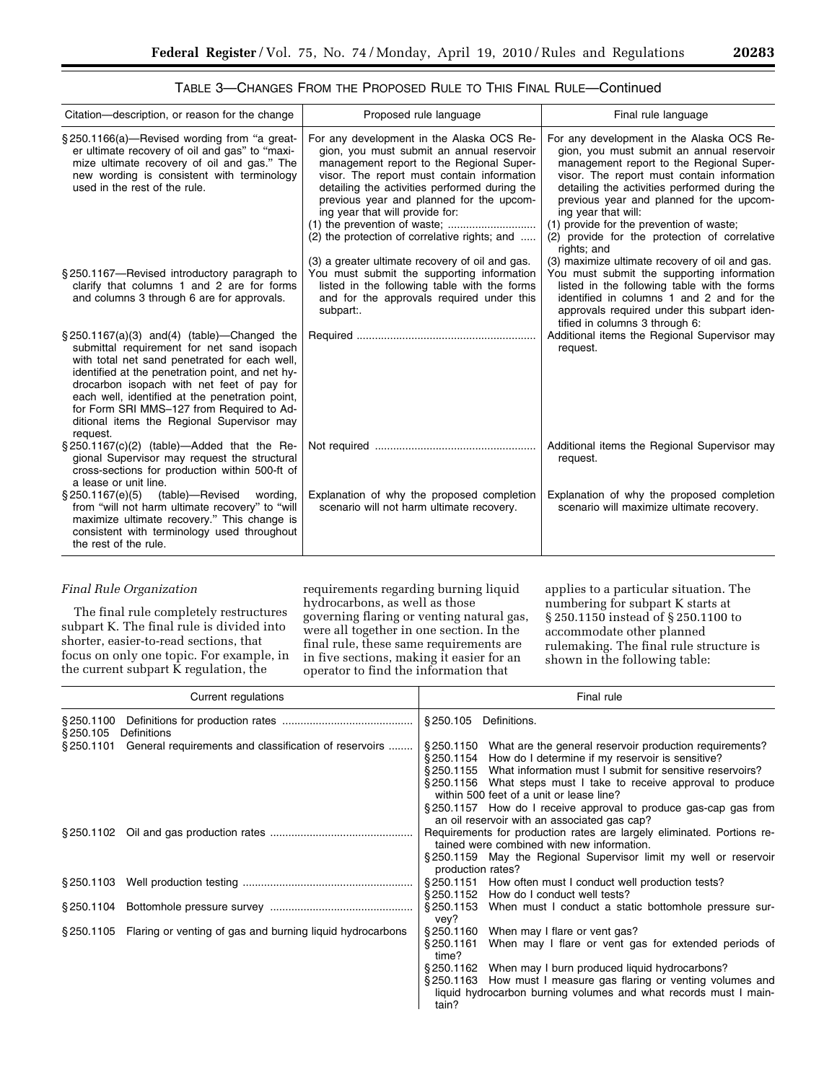| TABLE 3—CHANGES FROM THE PROPOSED RULE TO THIS FINAL RULE—Continued |  |
|---------------------------------------------------------------------|--|
|---------------------------------------------------------------------|--|

| Citation—description, or reason for the change                                                                                                                                                                                                                                                                                                                                                             | Proposed rule language                                                                                                                                                                                                                                                                                                                                            | Final rule language                                                                                                                                                                                                                                                                                                                                                                                              |
|------------------------------------------------------------------------------------------------------------------------------------------------------------------------------------------------------------------------------------------------------------------------------------------------------------------------------------------------------------------------------------------------------------|-------------------------------------------------------------------------------------------------------------------------------------------------------------------------------------------------------------------------------------------------------------------------------------------------------------------------------------------------------------------|------------------------------------------------------------------------------------------------------------------------------------------------------------------------------------------------------------------------------------------------------------------------------------------------------------------------------------------------------------------------------------------------------------------|
| §250.1166(a)—Revised wording from "a great-<br>er ultimate recovery of oil and gas" to "maxi-<br>mize ultimate recovery of oil and gas." The<br>new wording is consistent with terminology<br>used in the rest of the rule.                                                                                                                                                                                | For any development in the Alaska OCS Re-<br>gion, you must submit an annual reservoir<br>management report to the Regional Super-<br>visor. The report must contain information<br>detailing the activities performed during the<br>previous year and planned for the upcom-<br>ing year that will provide for:<br>(2) the protection of correlative rights; and | For any development in the Alaska OCS Re-<br>gion, you must submit an annual reservoir<br>management report to the Regional Super-<br>visor. The report must contain information<br>detailing the activities performed during the<br>previous year and planned for the upcom-<br>ing year that will:<br>(1) provide for the prevention of waste;<br>(2) provide for the protection of correlative<br>rights; and |
| §250.1167—Revised introductory paragraph to<br>clarify that columns 1 and 2 are for forms<br>and columns 3 through 6 are for approvals.                                                                                                                                                                                                                                                                    | (3) a greater ultimate recovery of oil and gas.<br>You must submit the supporting information<br>listed in the following table with the forms<br>and for the approvals required under this<br>subpart:.                                                                                                                                                           | (3) maximize ultimate recovery of oil and gas.<br>You must submit the supporting information<br>listed in the following table with the forms<br>identified in columns 1 and 2 and for the<br>approvals required under this subpart iden-<br>tified in columns 3 through 6:                                                                                                                                       |
| $\S 250.1167(a)(3)$ and (4) (table)—Changed the<br>submittal requirement for net sand isopach<br>with total net sand penetrated for each well,<br>identified at the penetration point, and net hy-<br>drocarbon isopach with net feet of pay for<br>each well, identified at the penetration point,<br>for Form SRI MMS-127 from Required to Ad-<br>ditional items the Regional Supervisor may<br>request. |                                                                                                                                                                                                                                                                                                                                                                   | Additional items the Regional Supervisor may<br>request.                                                                                                                                                                                                                                                                                                                                                         |
| $\S 250.1167(c)(2)$ (table)—Added that the Re-<br>gional Supervisor may request the structural<br>cross-sections for production within 500-ft of<br>a lease or unit line.                                                                                                                                                                                                                                  |                                                                                                                                                                                                                                                                                                                                                                   | Additional items the Regional Supervisor may<br>request.                                                                                                                                                                                                                                                                                                                                                         |
| (table)—Revised wording,<br>$\S 250.1167(e)(5)$<br>from "will not harm ultimate recovery" to "will<br>maximize ultimate recovery." This change is<br>consistent with terminology used throughout<br>the rest of the rule.                                                                                                                                                                                  | Explanation of why the proposed completion<br>scenario will not harm ultimate recovery.                                                                                                                                                                                                                                                                           | Explanation of why the proposed completion<br>scenario will maximize ultimate recovery.                                                                                                                                                                                                                                                                                                                          |

## *Final Rule Organization*

The final rule completely restructures subpart K. The final rule is divided into shorter, easier-to-read sections, that focus on only one topic. For example, in the current subpart K regulation, the

requirements regarding burning liquid hydrocarbons, as well as those governing flaring or venting natural gas, were all together in one section. In the final rule, these same requirements are in five sections, making it easier for an operator to find the information that

applies to a particular situation. The numbering for subpart K starts at § 250.1150 instead of § 250.1100 to accommodate other planned rulemaking. The final rule structure is shown in the following table:

|                                       | Current regulations                                                 |                                            | Final rule                                                                                                                                                                                                                                                                                                           |
|---------------------------------------|---------------------------------------------------------------------|--------------------------------------------|----------------------------------------------------------------------------------------------------------------------------------------------------------------------------------------------------------------------------------------------------------------------------------------------------------------------|
| §250.1100<br>Definitions<br>§ 250.105 |                                                                     | § 250.105                                  | Definitions.                                                                                                                                                                                                                                                                                                         |
| \$250.1101                            | General requirements and classification of reservoirs               |                                            | §250.1150 What are the general reservoir production requirements?<br>§250.1154 How do I determine if my reservoir is sensitive?<br>§250.1155 What information must I submit for sensitive reservoirs?<br>§250.1156 What steps must I take to receive approval to produce<br>within 500 feet of a unit or lease line? |
|                                       |                                                                     |                                            | §250.1157 How do I receive approval to produce gas-cap gas from<br>an oil reservoir with an associated gas cap?                                                                                                                                                                                                      |
|                                       |                                                                     | production rates?                          | Requirements for production rates are largely eliminated. Portions re-<br>tained were combined with new information.<br>§250.1159 May the Regional Supervisor limit my well or reservoir                                                                                                                             |
|                                       |                                                                     | § 250.1151                                 | How often must I conduct well production tests?<br>§250.1152 How do I conduct well tests?                                                                                                                                                                                                                            |
|                                       |                                                                     | § 250.1153<br>vey?                         | When must I conduct a static bottomhole pressure sur-                                                                                                                                                                                                                                                                |
|                                       | §250.1105 Flaring or venting of gas and burning liquid hydrocarbons | § 250.1160<br>§ 250.1161<br>time?<br>tain? | When may I flare or vent gas?<br>When may I flare or vent gas for extended periods of<br>§250.1162 When may I burn produced liquid hydrocarbons?<br>§250.1163 How must I measure gas flaring or venting volumes and<br>liquid hydrocarbon burning volumes and what records must I main-                              |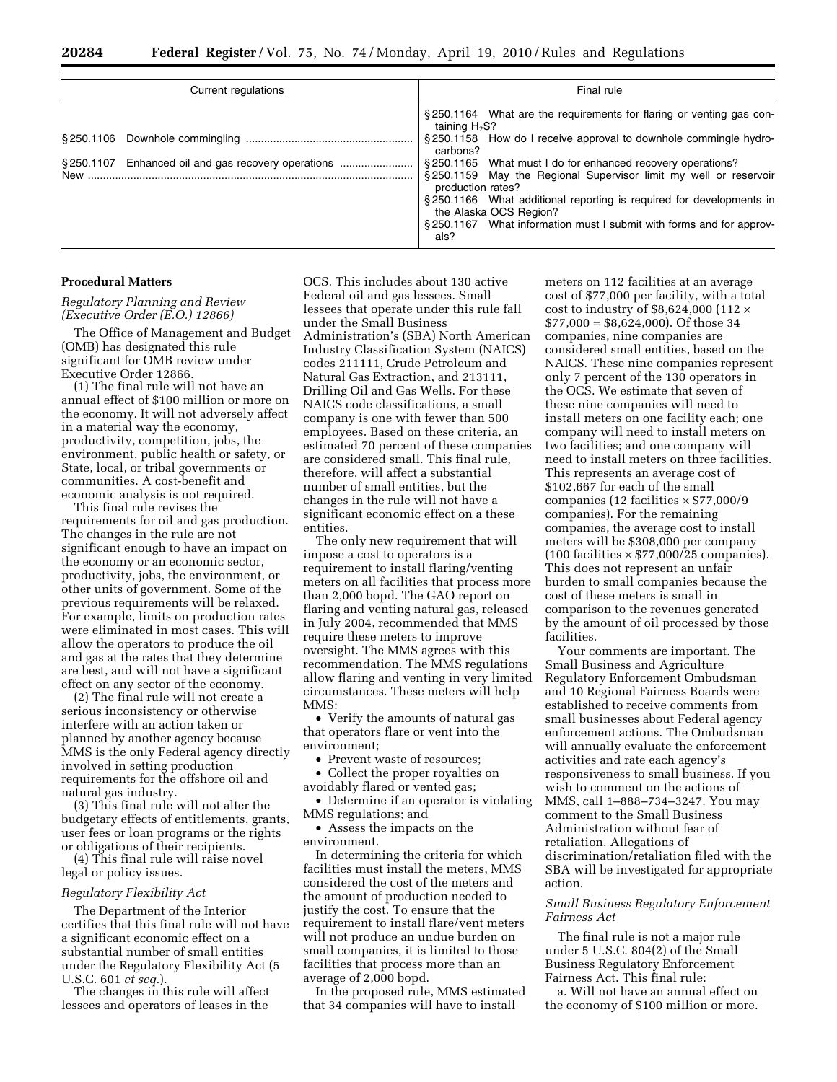| Current regulations                                | Final rule                                                                                                                                                                                                                                                                                                                                                                                                                                                                                                     |
|----------------------------------------------------|----------------------------------------------------------------------------------------------------------------------------------------------------------------------------------------------------------------------------------------------------------------------------------------------------------------------------------------------------------------------------------------------------------------------------------------------------------------------------------------------------------------|
| §250.1107 Enhanced oil and gas recovery operations | §250.1164 What are the requirements for flaring or venting gas con-<br>taining $H_2S$ ?<br>§250.1158 How do I receive approval to downhole commingle hydro-<br>carbons?<br>§250.1165 What must I do for enhanced recovery operations?<br>§250.1159 May the Regional Supervisor limit my well or reservoir<br>production rates?<br>§250.1166 What additional reporting is required for developments in<br>the Alaska OCS Region?<br>§250.1167 What information must I submit with forms and for approv-<br>als? |

#### **Procedural Matters**

*Regulatory Planning and Review (Executive Order (E.O.) 12866)* 

The Office of Management and Budget (OMB) has designated this rule significant for OMB review under Executive Order 12866.

(1) The final rule will not have an annual effect of \$100 million or more on the economy. It will not adversely affect in a material way the economy, productivity, competition, jobs, the environment, public health or safety, or State, local, or tribal governments or communities. A cost-benefit and economic analysis is not required.

This final rule revises the requirements for oil and gas production. The changes in the rule are not significant enough to have an impact on the economy or an economic sector, productivity, jobs, the environment, or other units of government. Some of the previous requirements will be relaxed. For example, limits on production rates were eliminated in most cases. This will allow the operators to produce the oil and gas at the rates that they determine are best, and will not have a significant effect on any sector of the economy.

(2) The final rule will not create a serious inconsistency or otherwise interfere with an action taken or planned by another agency because MMS is the only Federal agency directly involved in setting production requirements for the offshore oil and natural gas industry.

(3) This final rule will not alter the budgetary effects of entitlements, grants, user fees or loan programs or the rights or obligations of their recipients.

(4) This final rule will raise novel legal or policy issues.

## *Regulatory Flexibility Act*

The Department of the Interior certifies that this final rule will not have a significant economic effect on a substantial number of small entities under the Regulatory Flexibility Act (5 U.S.C. 601 *et seq.*).

The changes in this rule will affect lessees and operators of leases in the

OCS. This includes about 130 active Federal oil and gas lessees. Small lessees that operate under this rule fall under the Small Business Administration's (SBA) North American Industry Classification System (NAICS) codes 211111, Crude Petroleum and Natural Gas Extraction, and 213111, Drilling Oil and Gas Wells. For these NAICS code classifications, a small company is one with fewer than 500 employees. Based on these criteria, an estimated 70 percent of these companies are considered small. This final rule, therefore, will affect a substantial number of small entities, but the changes in the rule will not have a significant economic effect on a these entities.

The only new requirement that will impose a cost to operators is a requirement to install flaring/venting meters on all facilities that process more than 2,000 bopd. The GAO report on flaring and venting natural gas, released in July 2004, recommended that MMS require these meters to improve oversight. The MMS agrees with this recommendation. The MMS regulations allow flaring and venting in very limited circumstances. These meters will help MMS:

• Verify the amounts of natural gas that operators flare or vent into the environment;

• Prevent waste of resources:

• Collect the proper royalties on avoidably flared or vented gas;

• Determine if an operator is violating MMS regulations; and

• Assess the impacts on the environment.

In determining the criteria for which facilities must install the meters, MMS considered the cost of the meters and the amount of production needed to justify the cost. To ensure that the requirement to install flare/vent meters will not produce an undue burden on small companies, it is limited to those facilities that process more than an average of 2,000 bopd.

In the proposed rule, MMS estimated that 34 companies will have to install

meters on 112 facilities at an average cost of \$77,000 per facility, with a total cost to industry of \$8,624,000 (112  $\times$ \$77,000 = \$8,624,000). Of those 34 companies, nine companies are considered small entities, based on the NAICS. These nine companies represent only 7 percent of the 130 operators in the OCS. We estimate that seven of these nine companies will need to install meters on one facility each; one company will need to install meters on two facilities; and one company will need to install meters on three facilities. This represents an average cost of \$102,667 for each of the small companies (12 facilities  $\times$  \$77,000/9 companies). For the remaining companies, the average cost to install meters will be \$308,000 per company (100 facilities  $\times$  \$77,000/25 companies). This does not represent an unfair burden to small companies because the cost of these meters is small in comparison to the revenues generated by the amount of oil processed by those facilities.

Your comments are important. The Small Business and Agriculture Regulatory Enforcement Ombudsman and 10 Regional Fairness Boards were established to receive comments from small businesses about Federal agency enforcement actions. The Ombudsman will annually evaluate the enforcement activities and rate each agency's responsiveness to small business. If you wish to comment on the actions of MMS, call 1–888–734–3247. You may comment to the Small Business Administration without fear of retaliation. Allegations of discrimination/retaliation filed with the SBA will be investigated for appropriate action.

## *Small Business Regulatory Enforcement Fairness Act*

The final rule is not a major rule under 5 U.S.C. 804(2) of the Small Business Regulatory Enforcement Fairness Act. This final rule:

a. Will not have an annual effect on the economy of \$100 million or more.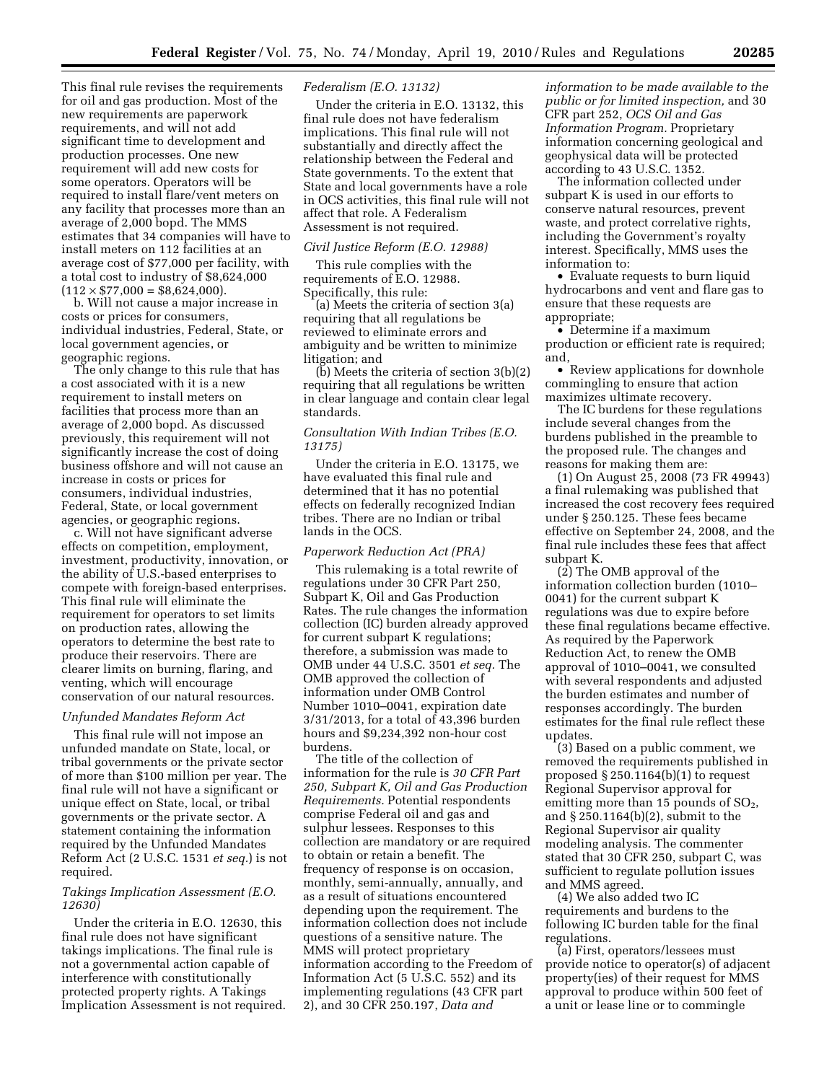This final rule revises the requirements for oil and gas production. Most of the new requirements are paperwork requirements, and will not add significant time to development and production processes. One new requirement will add new costs for some operators. Operators will be required to install flare/vent meters on any facility that processes more than an average of 2,000 bopd. The MMS estimates that 34 companies will have to install meters on 112 facilities at an average cost of \$77,000 per facility, with a total cost to industry of \$8,624,000  $(112 \times $77,000 = $8,624,000).$ 

b. Will not cause a major increase in costs or prices for consumers, individual industries, Federal, State, or local government agencies, or geographic regions.

The only change to this rule that has a cost associated with it is a new requirement to install meters on facilities that process more than an average of 2,000 bopd. As discussed previously, this requirement will not significantly increase the cost of doing business offshore and will not cause an increase in costs or prices for consumers, individual industries, Federal, State, or local government agencies, or geographic regions.

c. Will not have significant adverse effects on competition, employment, investment, productivity, innovation, or the ability of U.S.-based enterprises to compete with foreign-based enterprises. This final rule will eliminate the requirement for operators to set limits on production rates, allowing the operators to determine the best rate to produce their reservoirs. There are clearer limits on burning, flaring, and venting, which will encourage conservation of our natural resources.

#### *Unfunded Mandates Reform Act*

This final rule will not impose an unfunded mandate on State, local, or tribal governments or the private sector of more than \$100 million per year. The final rule will not have a significant or unique effect on State, local, or tribal governments or the private sector. A statement containing the information required by the Unfunded Mandates Reform Act (2 U.S.C. 1531 *et seq.*) is not required.

## *Takings Implication Assessment (E.O. 12630)*

Under the criteria in E.O. 12630, this final rule does not have significant takings implications. The final rule is not a governmental action capable of interference with constitutionally protected property rights. A Takings Implication Assessment is not required.

## *Federalism (E.O. 13132)*

Under the criteria in E.O. 13132, this final rule does not have federalism implications. This final rule will not substantially and directly affect the relationship between the Federal and State governments. To the extent that State and local governments have a role in OCS activities, this final rule will not affect that role. A Federalism Assessment is not required.

### *Civil Justice Reform (E.O. 12988)*

This rule complies with the requirements of E.O. 12988. Specifically, this rule:

(a) Meets the criteria of section 3(a) requiring that all regulations be reviewed to eliminate errors and ambiguity and be written to minimize litigation; and

(b) Meets the criteria of section 3(b)(2) requiring that all regulations be written in clear language and contain clear legal standards.

## *Consultation With Indian Tribes (E.O. 13175)*

Under the criteria in E.O. 13175, we have evaluated this final rule and determined that it has no potential effects on federally recognized Indian tribes. There are no Indian or tribal lands in the OCS.

#### *Paperwork Reduction Act (PRA)*

This rulemaking is a total rewrite of regulations under 30 CFR Part 250, Subpart K, Oil and Gas Production Rates. The rule changes the information collection (IC) burden already approved for current subpart K regulations; therefore, a submission was made to OMB under 44 U.S.C. 3501 *et seq.* The OMB approved the collection of information under OMB Control Number 1010–0041, expiration date 3/31/2013, for a total of 43,396 burden hours and \$9,234,392 non-hour cost burdens.

The title of the collection of information for the rule is *30 CFR Part 250, Subpart K, Oil and Gas Production Requirements.* Potential respondents comprise Federal oil and gas and sulphur lessees. Responses to this collection are mandatory or are required to obtain or retain a benefit. The frequency of response is on occasion, monthly, semi-annually, annually, and as a result of situations encountered depending upon the requirement. The information collection does not include questions of a sensitive nature. The MMS will protect proprietary information according to the Freedom of Information Act (5 U.S.C. 552) and its implementing regulations (43 CFR part 2), and 30 CFR 250.197, *Data and* 

*information to be made available to the public or for limited inspection,* and 30 CFR part 252, *OCS Oil and Gas Information Program.* Proprietary information concerning geological and geophysical data will be protected according to 43 U.S.C. 1352.

The information collected under subpart K is used in our efforts to conserve natural resources, prevent waste, and protect correlative rights, including the Government's royalty interest. Specifically, MMS uses the information to:

• Evaluate requests to burn liquid hydrocarbons and vent and flare gas to ensure that these requests are appropriate;

• Determine if a maximum production or efficient rate is required; and,

• Review applications for downhole commingling to ensure that action maximizes ultimate recovery.

The IC burdens for these regulations include several changes from the burdens published in the preamble to the proposed rule. The changes and reasons for making them are:

(1) On August 25, 2008 (73 FR 49943) a final rulemaking was published that increased the cost recovery fees required under § 250.125. These fees became effective on September 24, 2008, and the final rule includes these fees that affect subpart K.

(2) The OMB approval of the information collection burden (1010– 0041) for the current subpart K regulations was due to expire before these final regulations became effective. As required by the Paperwork Reduction Act, to renew the OMB approval of 1010–0041, we consulted with several respondents and adjusted the burden estimates and number of responses accordingly. The burden estimates for the final rule reflect these updates.

(3) Based on a public comment, we removed the requirements published in proposed § 250.1164(b)(1) to request Regional Supervisor approval for emitting more than 15 pounds of  $SO<sub>2</sub>$ , and § 250.1164(b)(2), submit to the Regional Supervisor air quality modeling analysis. The commenter stated that 30 CFR 250, subpart C, was sufficient to regulate pollution issues and MMS agreed.

(4) We also added two IC requirements and burdens to the following IC burden table for the final regulations.

(a) First, operators/lessees must provide notice to operator(s) of adjacent property(ies) of their request for MMS approval to produce within 500 feet of a unit or lease line or to commingle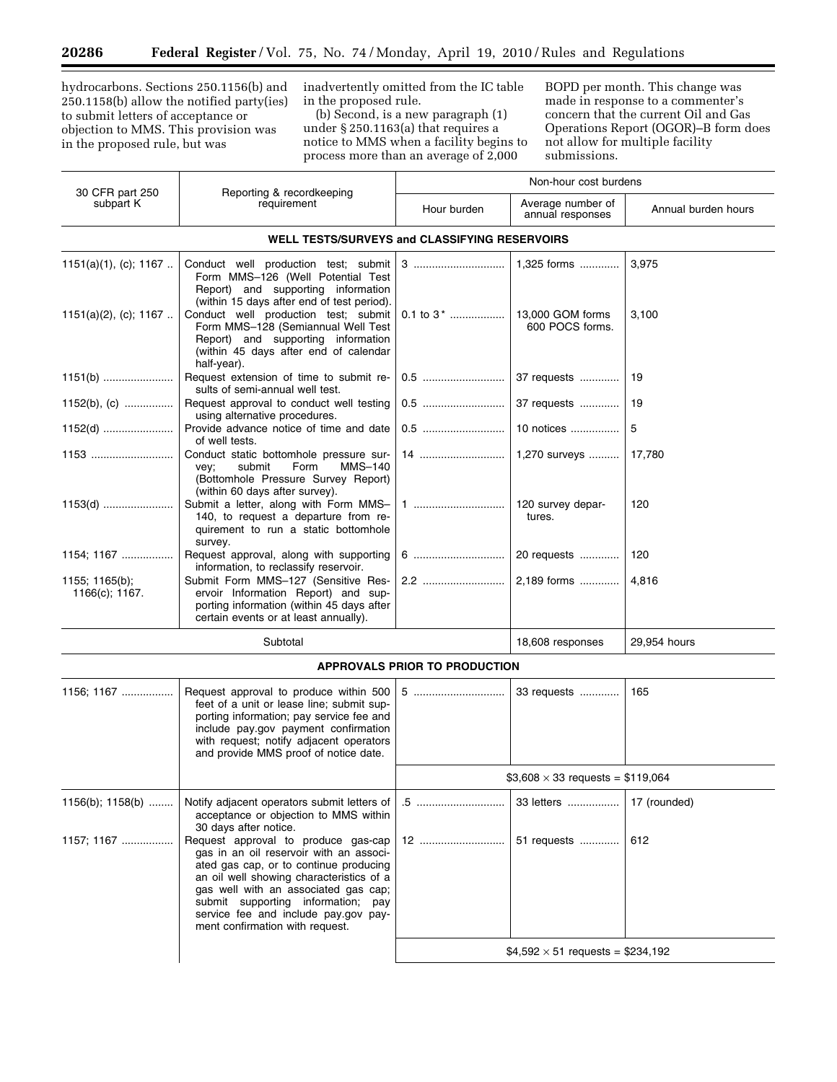Ξ

hydrocarbons. Sections 250.1156(b) and 250.1158(b) allow the notified party(ies) to submit letters of acceptance or objection to MMS. This provision was in the proposed rule, but was

inadvertently omitted from the IC table in the proposed rule.

(b) Second, is a new paragraph (1) under § 250.1163(a) that requires a notice to MMS when a facility begins to process more than an average of 2,000

 $\overline{\phantom{a}}$ 

BOPD per month. This change was made in response to a commenter's concern that the current Oil and Gas Operations Report (OGOR)–B form does not allow for multiple facility submissions.

 $$4,592 \times 51$  requests = \$234,192

|                                  |                                                                                                                                                                                                                                                                                            | Non-hour cost burdens                |                                          |                     |
|----------------------------------|--------------------------------------------------------------------------------------------------------------------------------------------------------------------------------------------------------------------------------------------------------------------------------------------|--------------------------------------|------------------------------------------|---------------------|
| 30 CFR part 250<br>subpart K     | Reporting & recordkeeping<br>requirement                                                                                                                                                                                                                                                   | Hour burden                          | Average number of<br>annual responses    | Annual burden hours |
|                                  | <b>WELL TESTS/SURVEYS and CLASSIFYING RESERVOIRS</b>                                                                                                                                                                                                                                       |                                      |                                          |                     |
| $1151(a)(1)$ , (c); 1167         | Conduct well production test; submit<br>Form MMS-126 (Well Potential Test<br>Report) and supporting information<br>(within 15 days after end of test period).                                                                                                                              | 3                                    | 1,325 forms                              | 3,975               |
| $1151(a)(2)$ , (c); 1167         | Conduct well production test; submit<br>Form MMS-128 (Semiannual Well Test<br>Report) and supporting information<br>(within 45 days after end of calendar<br>half-year).                                                                                                                   | 0.1 to 3 <sup>*</sup>                | 13,000 GOM forms<br>600 POCS forms.      | 3,100               |
| $1151(b)$                        | Request extension of time to submit re-<br>sults of semi-annual well test.                                                                                                                                                                                                                 |                                      | 37 requests                              | 19                  |
| 1152(b), (c)                     | Request approval to conduct well testing<br>using alternative procedures.                                                                                                                                                                                                                  | 0.5                                  | 37 requests                              | 19                  |
| $1152(d)$                        | Provide advance notice of time and date<br>of well tests.                                                                                                                                                                                                                                  |                                      | 10 notices                               | 5                   |
|                                  | Conduct static bottomhole pressure sur-<br>Form<br>submit<br>MMS-140<br>vey;<br>(Bottomhole Pressure Survey Report)<br>(within 60 days after survey).                                                                                                                                      | 14                                   | 1,270 surveys                            | 17,780              |
| $1153(d)$                        | Submit a letter, along with Form MMS-<br>140, to request a departure from re-<br>quirement to run a static bottomhole<br>survey.                                                                                                                                                           |                                      | 120 survey depar-<br>tures.              | 120                 |
| 1154; 1167                       | Request approval, along with supporting<br>information, to reclassify reservoir.                                                                                                                                                                                                           |                                      | 20 requests                              | 120                 |
| 1155; 1165(b);<br>1166(c); 1167. | Submit Form MMS-127 (Sensitive Res-<br>ervoir Information Report) and sup-<br>porting information (within 45 days after<br>certain events or at least annually).                                                                                                                           | 2.2                                  | 2,189 forms                              | 4,816               |
|                                  | Subtotal                                                                                                                                                                                                                                                                                   |                                      | 18,608 responses                         | 29,954 hours        |
|                                  |                                                                                                                                                                                                                                                                                            | <b>APPROVALS PRIOR TO PRODUCTION</b> |                                          |                     |
| 1156; 1167                       | Request approval to produce within 500<br>feet of a unit or lease line; submit sup-<br>porting information; pay service fee and<br>include pay.gov payment confirmation<br>with request; notify adjacent operators<br>and provide MMS proof of notice date.                                | 5                                    | 33 requests                              | 165                 |
|                                  |                                                                                                                                                                                                                                                                                            |                                      | \$3,608 $\times$ 33 requests = \$119,064 |                     |
| $1156(b)$ ; $1158(b)$            | Notify adjacent operators submit letters of<br>acceptance or objection to MMS within<br>30 days after notice.                                                                                                                                                                              | .5                                   | 33 letters                               | 17 (rounded)        |
| 1157; 1167                       | Request approval to produce gas-cap<br>gas in an oil reservoir with an associ-<br>ated gas cap, or to continue producing<br>an oil well showing characteristics of a<br>gas well with an associated gas cap;<br>submit supporting information; pay<br>service fee and include pay.gov pay- | 12                                   | 51 requests                              | 612                 |

ment confirmation with request.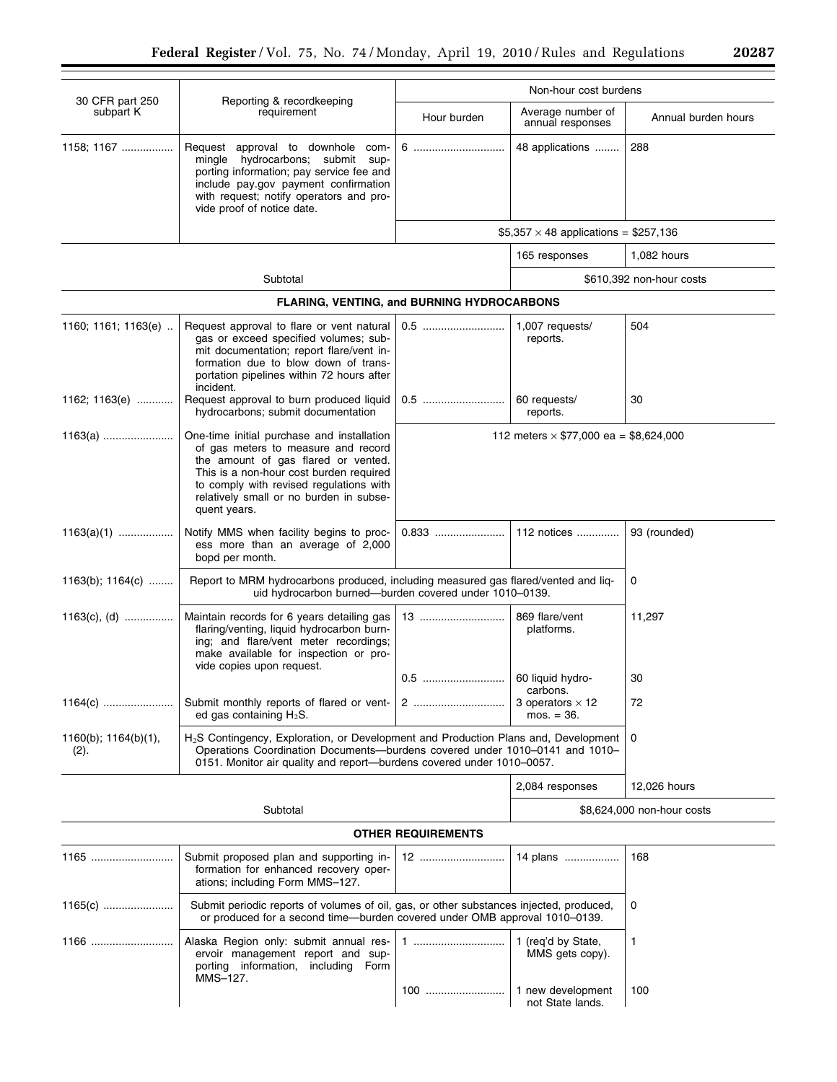|                                                                                                                                                                  |                                                                                                                                                                                                                                                                                                                            |                           | Non-hour cost burdens                        |                            |
|------------------------------------------------------------------------------------------------------------------------------------------------------------------|----------------------------------------------------------------------------------------------------------------------------------------------------------------------------------------------------------------------------------------------------------------------------------------------------------------------------|---------------------------|----------------------------------------------|----------------------------|
| 30 CFR part 250<br>subpart K                                                                                                                                     | Reporting & recordkeeping<br>requirement                                                                                                                                                                                                                                                                                   | Hour burden               | Average number of<br>annual responses        | Annual burden hours        |
| 1158; 1167                                                                                                                                                       | Request approval to downhole com-<br>mingle hydrocarbons; submit sup-<br>porting information; pay service fee and<br>include pay.gov payment confirmation<br>with request; notify operators and pro-<br>vide proof of notice date.                                                                                         | 6                         | 48 applications                              | 288                        |
|                                                                                                                                                                  |                                                                                                                                                                                                                                                                                                                            |                           | \$5,357 $\times$ 48 applications = \$257,136 |                            |
|                                                                                                                                                                  |                                                                                                                                                                                                                                                                                                                            |                           | 165 responses                                | 1,082 hours                |
|                                                                                                                                                                  | Subtotal                                                                                                                                                                                                                                                                                                                   |                           |                                              | \$610,392 non-hour costs   |
|                                                                                                                                                                  | FLARING, VENTING, and BURNING HYDROCARBONS                                                                                                                                                                                                                                                                                 |                           |                                              |                            |
| 1160; 1161; 1163(e)                                                                                                                                              | Request approval to flare or vent natural<br>gas or exceed specified volumes; sub-<br>mit documentation; report flare/vent in-<br>formation due to blow down of trans-<br>portation pipelines within 72 hours after<br>incident.                                                                                           |                           | 1,007 requests/<br>reports.                  | 504                        |
| 1162; 1163(e)                                                                                                                                                    | Request approval to burn produced liquid<br>hydrocarbons; submit documentation                                                                                                                                                                                                                                             |                           | 60 requests/<br>reports.                     | 30                         |
| $1163(a)$                                                                                                                                                        | One-time initial purchase and installation<br>112 meters $\times$ \$77,000 ea = \$8,624,000<br>of gas meters to measure and record<br>the amount of gas flared or vented.<br>This is a non-hour cost burden required<br>to comply with revised regulations with<br>relatively small or no burden in subse-<br>quent years. |                           |                                              |                            |
| $1163(a)(1)$                                                                                                                                                     | Notify MMS when facility begins to proc-<br>ess more than an average of 2,000<br>bopd per month.                                                                                                                                                                                                                           | 0.833                     | 112 notices                                  | 93 (rounded)               |
| Report to MRM hydrocarbons produced, including measured gas flared/vented and liq-<br>1163(b); 1164(c)<br>uid hydrocarbon burned-burden covered under 1010-0139. |                                                                                                                                                                                                                                                                                                                            |                           | 0                                            |                            |
| $1163(c)$ , (d)                                                                                                                                                  | Maintain records for 6 years detailing gas<br>flaring/venting, liquid hydrocarbon burn-<br>ing; and flare/vent meter recordings;<br>make available for inspection or pro-<br>vide copies upon request.                                                                                                                     | 13                        | 869 flare/vent<br>platforms.                 | 11,297                     |
|                                                                                                                                                                  |                                                                                                                                                                                                                                                                                                                            |                           | 60 liquid hydro-<br>carbons.                 | 30                         |
| 1164(c)                                                                                                                                                          | Submit monthly reports of flared or vent-<br>ed gas containing $H_2S$ .                                                                                                                                                                                                                                                    | 2                         | 3 operators $\times$ 12<br>$mos. = 36.$      | 72                         |
| $1160(b)$ ; $1164(b)(1)$ ,<br>(2).                                                                                                                               | H <sub>2</sub> S Contingency, Exploration, or Development and Production Plans and, Development<br>Operations Coordination Documents-burdens covered under 1010-0141 and 1010-<br>0151. Monitor air quality and report-burdens covered under 1010-0057.                                                                    |                           |                                              | 0                          |
|                                                                                                                                                                  |                                                                                                                                                                                                                                                                                                                            |                           | 2,084 responses                              | 12,026 hours               |
|                                                                                                                                                                  | Subtotal                                                                                                                                                                                                                                                                                                                   |                           |                                              | \$8,624,000 non-hour costs |
|                                                                                                                                                                  |                                                                                                                                                                                                                                                                                                                            | <b>OTHER REQUIREMENTS</b> |                                              |                            |
| 1165                                                                                                                                                             | Submit proposed plan and supporting in-<br>formation for enhanced recovery oper-<br>ations; including Form MMS-127.                                                                                                                                                                                                        |                           | 14 plans                                     | 168                        |
| 1165(c)                                                                                                                                                          | Submit periodic reports of volumes of oil, gas, or other substances injected, produced,<br>or produced for a second time—burden covered under OMB approval 1010–0139.                                                                                                                                                      |                           |                                              | 0                          |
| 1166                                                                                                                                                             | Alaska Region only: submit annual res-<br>ervoir management report and sup-<br>porting information, including Form<br>MMS-127.                                                                                                                                                                                             |                           | 1 (req'd by State,<br>MMS gets copy).        | 1                          |
|                                                                                                                                                                  |                                                                                                                                                                                                                                                                                                                            | 100                       | 1 new development<br>not State lands.        | 100                        |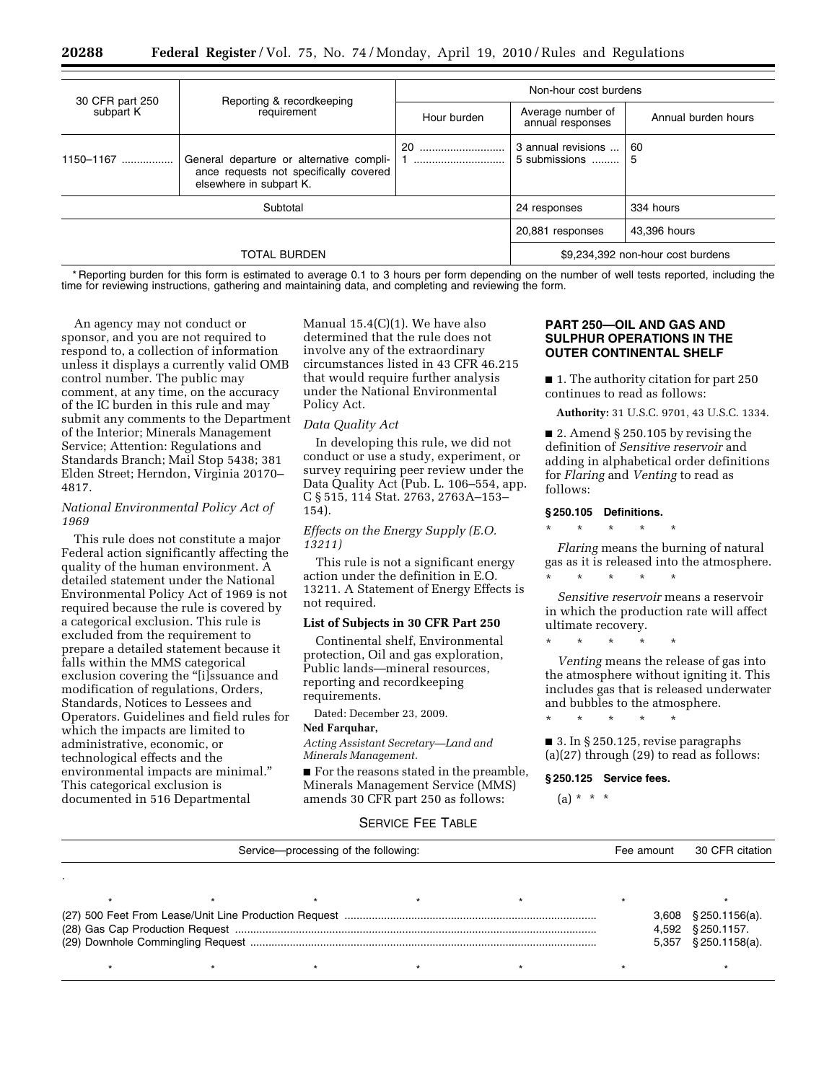|                              |                                                                                                               | Non-hour cost burdens |                                       |                                   |
|------------------------------|---------------------------------------------------------------------------------------------------------------|-----------------------|---------------------------------------|-----------------------------------|
| 30 CFR part 250<br>subpart K | Reporting & recordkeeping<br>requirement                                                                      | Hour burden           | Average number of<br>annual responses | Annual burden hours               |
| 1150-1167                    | General departure or alternative compli-<br>ance requests not specifically covered<br>elsewhere in subpart K. | 20                    | 3 annual revisions<br>5 submissions   | 60<br>5                           |
| Subtotal                     |                                                                                                               |                       | 24 responses                          | 334 hours                         |
|                              |                                                                                                               |                       | 20,881 responses                      | 43.396 hours                      |
| <b>TOTAL BURDEN</b>          |                                                                                                               |                       |                                       | \$9,234,392 non-hour cost burdens |

\* Reporting burden for this form is estimated to average 0.1 to 3 hours per form depending on the number of well tests reported, including the time for reviewing instructions, gathering and maintaining data, and completing and reviewing the form.

An agency may not conduct or sponsor, and you are not required to respond to, a collection of information unless it displays a currently valid OMB control number. The public may comment, at any time, on the accuracy of the IC burden in this rule and may submit any comments to the Department of the Interior; Minerals Management Service; Attention: Regulations and Standards Branch; Mail Stop 5438; 381 Elden Street; Herndon, Virginia 20170– 4817.

## *National Environmental Policy Act of 1969*

This rule does not constitute a major Federal action significantly affecting the quality of the human environment. A detailed statement under the National Environmental Policy Act of 1969 is not required because the rule is covered by a categorical exclusion. This rule is excluded from the requirement to prepare a detailed statement because it falls within the MMS categorical exclusion covering the "[i]ssuance and modification of regulations, Orders, Standards, Notices to Lessees and Operators. Guidelines and field rules for which the impacts are limited to administrative, economic, or technological effects and the environmental impacts are minimal.'' This categorical exclusion is documented in 516 Departmental

Manual 15.4(C)(1). We have also determined that the rule does not involve any of the extraordinary circumstances listed in 43 CFR 46.215 that would require further analysis under the National Environmental Policy Act.

#### *Data Quality Act*

In developing this rule, we did not conduct or use a study, experiment, or survey requiring peer review under the Data Quality Act (Pub. L. 106–554, app. C § 515, 114 Stat. 2763, 2763A–153– 154).

## *Effects on the Energy Supply (E.O. 13211)*

This rule is not a significant energy action under the definition in E.O. 13211. A Statement of Energy Effects is not required.

### **List of Subjects in 30 CFR Part 250**

Continental shelf, Environmental protection, Oil and gas exploration, Public lands—mineral resources, reporting and recordkeeping requirements.

Dated: December 23, 2009.

## **Ned Farquhar,**

*Acting Assistant Secretary—Land and Minerals Management.* 

■ For the reasons stated in the preamble, Minerals Management Service (MMS) amends 30 CFR part 250 as follows:

## **PART 250—OIL AND GAS AND SULPHUR OPERATIONS IN THE OUTER CONTINENTAL SHELF**

■ 1. The authority citation for part 250 continues to read as follows:

**Authority:** 31 U.S.C. 9701, 43 U.S.C. 1334.

■ 2. Amend § 250.105 by revising the definition of *Sensitive reservoir* and adding in alphabetical order definitions for *Flaring* and *Venting* to read as follows:

## **§ 250.105 Definitions.**

\* \* \* \* \*

*Flaring* means the burning of natural gas as it is released into the atmosphere. \* \* \* \* \*

*Sensitive reservoir* means a reservoir in which the production rate will affect ultimate recovery.

\* \* \* \* \*

*Venting* means the release of gas into the atmosphere without igniting it. This includes gas that is released underwater and bubbles to the atmosphere.

\* \* \* \* \*

■ 3. In § 250.125, revise paragraphs (a)(27) through (29) to read as follows:

## **§ 250.125 Service fees.**

## $(a) * * * *$

## SERVICE FEE TABLE

| Service-processing of the following: |  |  | Fee amount | 30 CFR citation |                          |
|--------------------------------------|--|--|------------|-----------------|--------------------------|
|                                      |  |  |            |                 |                          |
|                                      |  |  |            |                 |                          |
|                                      |  |  |            |                 | $3,608$ $$250.1156(a)$ . |
|                                      |  |  |            |                 | 4,592 § 250.1157.        |
|                                      |  |  |            |                 | $5,357$ $§$ 250.1158(a). |
|                                      |  |  |            |                 |                          |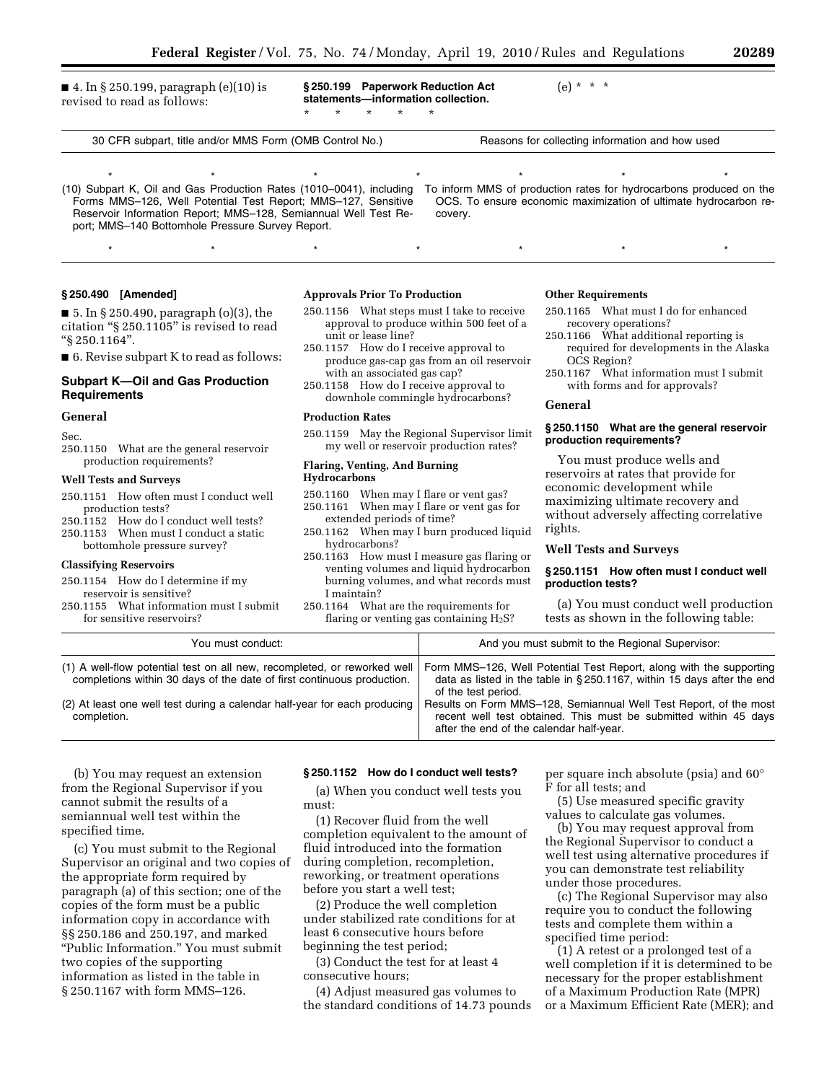■ 4. In § 250.199, paragraph (e)(10) is revised to read as follows:

**§ 250.199 Paperwork Reduction Act statements—information collection.**  \* \* \* \* \*

(e) \* \* \*

30 CFR subpart, title and/or MMS Form (OMB Control No.) Reasons for collecting information and how used

\* \* \* \* \* \* \* \* \* \* \* \* \* \* To inform MMS of production rates for hydrocarbons produced on the OCS. To ensure economic maximization of ultimate hydrocarbon re-

(10) Subpart K, Oil and Gas Production Rates (1010–0041), including Forms MMS–126, Well Potential Test Report; MMS–127, Sensitive Reservoir Information Report; MMS–128, Semiannual Well Test Report; MMS–140 Bottomhole Pressure Survey Report.

#### **§ 250.490 [Amended]**

■ 5. In § 250.490, paragraph (o)(3), the citation ''§ 250.1105'' is revised to read ''§ 250.1164''.

■ 6. Revise subpart K to read as follows:

## **Subpart K—Oil and Gas Production Requirements**

#### **General**

Sec.

250.1150 What are the general reservoir production requirements?

#### **Well Tests and Surveys**

- 250.1151 How often must I conduct well production tests?
- 250.1152 How do I conduct well tests?
- 250.1153 When must I conduct a static
- bottomhole pressure survey?

## **Classifying Reservoirs**

- 250.1154 How do I determine if my reservoir is sensitive?
- 250.1155 What information must I submit for sensitive reservoirs?

#### **Approvals Prior To Production**

250.1156 What steps must I take to receive approval to produce within 500 feet of a unit or lease line?

\* \* \* \* \* \* \* \* \* \* \* \* \* \*

covery.

- 250.1157 How do I receive approval to produce gas-cap gas from an oil reservoir with an associated gas cap?
- 250.1158 How do I receive approval to downhole commingle hydrocarbons?

#### **Production Rates**

250.1159 May the Regional Supervisor limit my well or reservoir production rates?

## **Flaring, Venting, And Burning Hydrocarbons**

- 250.1160 When may I flare or vent gas? 250.1161 When may I flare or vent gas for
- extended periods of time? 250.1162 When may I burn produced liquid
- hydrocarbons?
- 250.1163 How must I measure gas flaring or venting volumes and liquid hydrocarbon burning volumes, and what records must I maintain?
- 250.1164 What are the requirements for flaring or venting gas containing  $H_2S$ ?

#### **Other Requirements**

- 250.1165 What must I do for enhanced recovery operations?
- 250.1166 What additional reporting is required for developments in the Alaska OCS Region?
- 250.1167 What information must I submit with forms and for approvals?

#### **General**

## **§ 250.1150 What are the general reservoir production requirements?**

You must produce wells and reservoirs at rates that provide for economic development while maximizing ultimate recovery and without adversely affecting correlative rights.

#### **Well Tests and Surveys**

## **§ 250.1151 How often must I conduct well production tests?**

(a) You must conduct well production tests as shown in the following table:

| You must conduct:                                                                                                                                  | And you must submit to the Regional Supervisor:                                                                                                                                   |
|----------------------------------------------------------------------------------------------------------------------------------------------------|-----------------------------------------------------------------------------------------------------------------------------------------------------------------------------------|
| (1) A well-flow potential test on all new, recompleted, or reworked well<br>completions within 30 days of the date of first continuous production. | Form MMS-126, Well Potential Test Report, along with the supporting<br>data as listed in the table in $\S 250.1167$ , within 15 days after the end<br>of the test period.         |
| (2) At least one well test during a calendar half-year for each producing<br>completion.                                                           | Results on Form MMS-128, Semiannual Well Test Report, of the most<br>recent well test obtained. This must be submitted within 45 days<br>after the end of the calendar half-year. |

(b) You may request an extension from the Regional Supervisor if you cannot submit the results of a semiannual well test within the specified time.

(c) You must submit to the Regional Supervisor an original and two copies of the appropriate form required by paragraph (a) of this section; one of the copies of the form must be a public information copy in accordance with §§ 250.186 and 250.197, and marked ''Public Information.'' You must submit two copies of the supporting information as listed in the table in § 250.1167 with form MMS–126.

#### **§ 250.1152 How do I conduct well tests?**

(a) When you conduct well tests you must:

(1) Recover fluid from the well completion equivalent to the amount of fluid introduced into the formation during completion, recompletion, reworking, or treatment operations before you start a well test;

(2) Produce the well completion under stabilized rate conditions for at least 6 consecutive hours before beginning the test period;

(3) Conduct the test for at least 4 consecutive hours;

(4) Adjust measured gas volumes to the standard conditions of 14.73 pounds per square inch absolute (psia) and 60° F for all tests; and

(5) Use measured specific gravity values to calculate gas volumes.

(b) You may request approval from the Regional Supervisor to conduct a well test using alternative procedures if you can demonstrate test reliability under those procedures.

(c) The Regional Supervisor may also require you to conduct the following tests and complete them within a specified time period:

(1) A retest or a prolonged test of a well completion if it is determined to be necessary for the proper establishment of a Maximum Production Rate (MPR) or a Maximum Efficient Rate (MER); and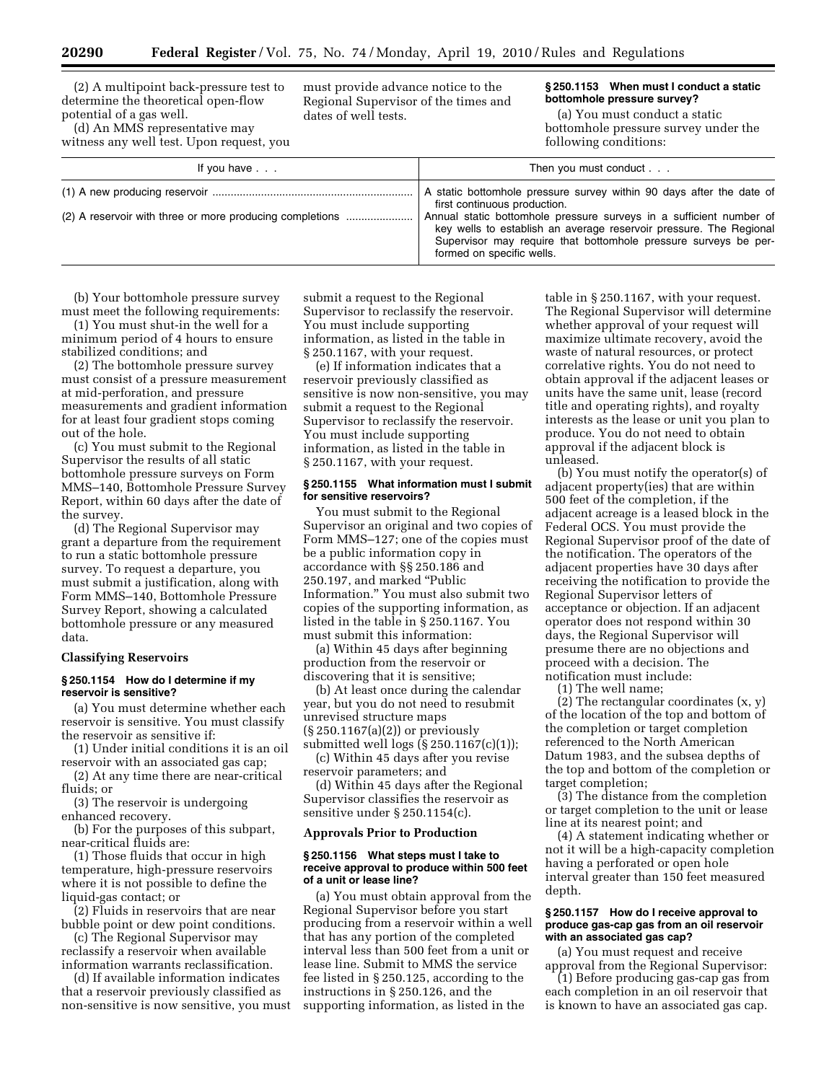(2) A multipoint back-pressure test to determine the theoretical open-flow potential of a gas well.

(d) An MMS representative may witness any well test. Upon request, you must provide advance notice to the Regional Supervisor of the times and dates of well tests.

## **§ 250.1153 When must I conduct a static bottomhole pressure survey?**

(a) You must conduct a static bottomhole pressure survey under the following conditions:

| If you have                                              | Then you must conduct                                                                                                                                                                                                                                                                                                                             |
|----------------------------------------------------------|---------------------------------------------------------------------------------------------------------------------------------------------------------------------------------------------------------------------------------------------------------------------------------------------------------------------------------------------------|
| (2) A reservoir with three or more producing completions | A static bottomhole pressure survey within 90 days after the date of<br>first continuous production.<br>Annual static bottomhole pressure surveys in a sufficient number of<br>key wells to establish an average reservoir pressure. The Regional<br>Supervisor may require that bottomhole pressure surveys be per-<br>formed on specific wells. |

(b) Your bottomhole pressure survey must meet the following requirements:

(1) You must shut-in the well for a minimum period of 4 hours to ensure stabilized conditions; and

(2) The bottomhole pressure survey must consist of a pressure measurement at mid-perforation, and pressure measurements and gradient information for at least four gradient stops coming out of the hole.

(c) You must submit to the Regional Supervisor the results of all static bottomhole pressure surveys on Form MMS–140, Bottomhole Pressure Survey Report, within 60 days after the date of the survey.

(d) The Regional Supervisor may grant a departure from the requirement to run a static bottomhole pressure survey. To request a departure, you must submit a justification, along with Form MMS–140, Bottomhole Pressure Survey Report, showing a calculated bottomhole pressure or any measured data.

## **Classifying Reservoirs**

## **§ 250.1154 How do I determine if my reservoir is sensitive?**

(a) You must determine whether each reservoir is sensitive. You must classify the reservoir as sensitive if:

(1) Under initial conditions it is an oil reservoir with an associated gas cap;

(2) At any time there are near-critical fluids; or

(3) The reservoir is undergoing enhanced recovery.

(b) For the purposes of this subpart, near-critical fluids are:

(1) Those fluids that occur in high temperature, high-pressure reservoirs where it is not possible to define the liquid-gas contact; or

(2) Fluids in reservoirs that are near bubble point or dew point conditions.

(c) The Regional Supervisor may reclassify a reservoir when available information warrants reclassification.

(d) If available information indicates that a reservoir previously classified as non-sensitive is now sensitive, you must submit a request to the Regional Supervisor to reclassify the reservoir. You must include supporting information, as listed in the table in § 250.1167, with your request.

(e) If information indicates that a reservoir previously classified as sensitive is now non-sensitive, you may submit a request to the Regional Supervisor to reclassify the reservoir. You must include supporting information, as listed in the table in § 250.1167, with your request.

## **§ 250.1155 What information must I submit for sensitive reservoirs?**

You must submit to the Regional Supervisor an original and two copies of Form MMS–127; one of the copies must be a public information copy in accordance with §§ 250.186 and 250.197, and marked ''Public Information.'' You must also submit two copies of the supporting information, as listed in the table in § 250.1167. You must submit this information:

(a) Within 45 days after beginning production from the reservoir or discovering that it is sensitive;

(b) At least once during the calendar year, but you do not need to resubmit unrevised structure maps (§ 250.1167(a)(2)) or previously submitted well logs (§ 250.1167(c)(1));

(c) Within 45 days after you revise reservoir parameters; and

(d) Within 45 days after the Regional Supervisor classifies the reservoir as sensitive under § 250.1154(c).

## **Approvals Prior to Production**

#### **§ 250.1156 What steps must I take to receive approval to produce within 500 feet of a unit or lease line?**

(a) You must obtain approval from the Regional Supervisor before you start producing from a reservoir within a well that has any portion of the completed interval less than 500 feet from a unit or lease line. Submit to MMS the service fee listed in § 250.125, according to the instructions in § 250.126, and the supporting information, as listed in the

table in § 250.1167, with your request. The Regional Supervisor will determine whether approval of your request will maximize ultimate recovery, avoid the waste of natural resources, or protect correlative rights. You do not need to obtain approval if the adjacent leases or units have the same unit, lease (record title and operating rights), and royalty interests as the lease or unit you plan to produce. You do not need to obtain approval if the adjacent block is unleased.

(b) You must notify the operator(s) of adjacent property(ies) that are within 500 feet of the completion, if the adjacent acreage is a leased block in the Federal OCS. You must provide the Regional Supervisor proof of the date of the notification. The operators of the adjacent properties have 30 days after receiving the notification to provide the Regional Supervisor letters of acceptance or objection. If an adjacent operator does not respond within 30 days, the Regional Supervisor will presume there are no objections and proceed with a decision. The notification must include:

(1) The well name;

(2) The rectangular coordinates (x, y) of the location of the top and bottom of the completion or target completion referenced to the North American Datum 1983, and the subsea depths of the top and bottom of the completion or target completion;

(3) The distance from the completion or target completion to the unit or lease line at its nearest point; and

(4) A statement indicating whether or not it will be a high-capacity completion having a perforated or open hole interval greater than 150 feet measured depth.

## **§ 250.1157 How do I receive approval to produce gas-cap gas from an oil reservoir with an associated gas cap?**

(a) You must request and receive approval from the Regional Supervisor:

(1) Before producing gas-cap gas from each completion in an oil reservoir that is known to have an associated gas cap.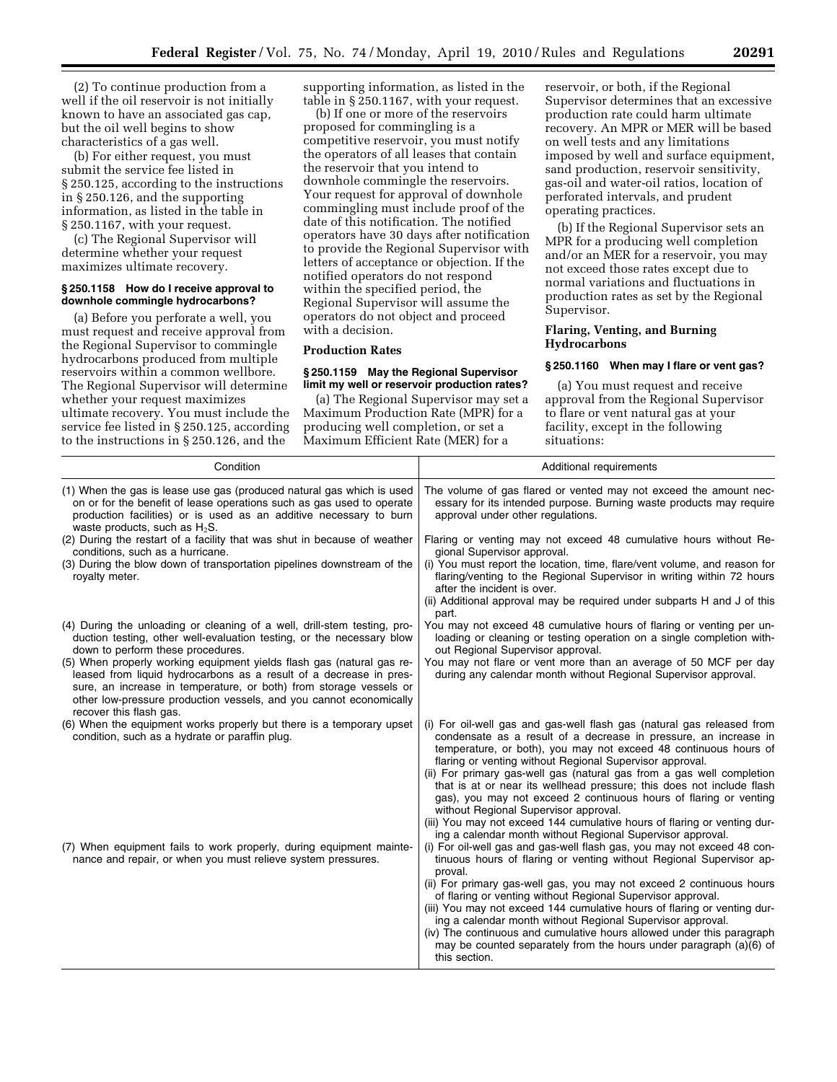(2) To continue production from a well if the oil reservoir is not initially known to have an associated gas cap, but the oil well begins to show characteristics of a gas well.

(b) For either request, you must submit the service fee listed in § 250.125, according to the instructions in § 250.126, and the supporting information, as listed in the table in § 250.1167, with your request.

(c) The Regional Supervisor will determine whether your request maximizes ultimate recovery.

#### **§ 250.1158 How do I receive approval to downhole commingle hydrocarbons?**

(a) Before you perforate a well, you must request and receive approval from the Regional Supervisor to commingle hydrocarbons produced from multiple reservoirs within a common wellbore. The Regional Supervisor will determine whether your request maximizes ultimate recovery. You must include the service fee listed in § 250.125, according to the instructions in § 250.126, and the

supporting information, as listed in the table in § 250.1167, with your request.

(b) If one or more of the reservoirs proposed for commingling is a competitive reservoir, you must notify the operators of all leases that contain the reservoir that you intend to downhole commingle the reservoirs. Your request for approval of downhole commingling must include proof of the date of this notification. The notified operators have 30 days after notification to provide the Regional Supervisor with letters of acceptance or objection. If the notified operators do not respond within the specified period, the Regional Supervisor will assume the operators do not object and proceed with a decision.

### **Production Rates**

#### **§ 250.1159 May the Regional Supervisor limit my well or reservoir production rates?**

(a) The Regional Supervisor may set a Maximum Production Rate (MPR) for a producing well completion, or set a Maximum Efficient Rate (MER) for a

reservoir, or both, if the Regional Supervisor determines that an excessive production rate could harm ultimate recovery. An MPR or MER will be based on well tests and any limitations imposed by well and surface equipment, sand production, reservoir sensitivity, gas-oil and water-oil ratios, location of perforated intervals, and prudent operating practices.

(b) If the Regional Supervisor sets an MPR for a producing well completion and/or an MER for a reservoir, you may not exceed those rates except due to normal variations and fluctuations in production rates as set by the Regional Supervisor.

## **Flaring, Venting, and Burning Hydrocarbons**

## **§ 250.1160 When may I flare or vent gas?**

(a) You must request and receive approval from the Regional Supervisor to flare or vent natural gas at your facility, except in the following situations:

| Condition                                                                                                                                                                                                                                                                                                          | Additional requirements                                                                                                                                                                                                                                                                                                                                                                                                                                                                                                                    |  |  |  |
|--------------------------------------------------------------------------------------------------------------------------------------------------------------------------------------------------------------------------------------------------------------------------------------------------------------------|--------------------------------------------------------------------------------------------------------------------------------------------------------------------------------------------------------------------------------------------------------------------------------------------------------------------------------------------------------------------------------------------------------------------------------------------------------------------------------------------------------------------------------------------|--|--|--|
| (1) When the gas is lease use gas (produced natural gas which is used<br>on or for the benefit of lease operations such as gas used to operate<br>production facilities) or is used as an additive necessary to burn<br>waste products, such as $H_2S$ .                                                           | The volume of gas flared or vented may not exceed the amount nec-<br>essary for its intended purpose. Burning waste products may require<br>approval under other regulations.                                                                                                                                                                                                                                                                                                                                                              |  |  |  |
| (2) During the restart of a facility that was shut in because of weather<br>conditions, such as a hurricane.                                                                                                                                                                                                       | Flaring or venting may not exceed 48 cumulative hours without Re-<br>gional Supervisor approval.                                                                                                                                                                                                                                                                                                                                                                                                                                           |  |  |  |
| (3) During the blow down of transportation pipelines downstream of the<br>royalty meter.                                                                                                                                                                                                                           | (i) You must report the location, time, flare/vent volume, and reason for<br>flaring/venting to the Regional Supervisor in writing within 72 hours<br>after the incident is over.<br>(ii) Additional approval may be required under subparts H and J of this                                                                                                                                                                                                                                                                               |  |  |  |
| (4) During the unloading or cleaning of a well, drill-stem testing, pro-<br>duction testing, other well-evaluation testing, or the necessary blow<br>down to perform these procedures.                                                                                                                             | part.<br>You may not exceed 48 cumulative hours of flaring or venting per un-<br>loading or cleaning or testing operation on a single completion with-<br>out Regional Supervisor approval.                                                                                                                                                                                                                                                                                                                                                |  |  |  |
| (5) When properly working equipment yields flash gas (natural gas re-<br>leased from liquid hydrocarbons as a result of a decrease in pres-<br>sure, an increase in temperature, or both) from storage vessels or<br>other low-pressure production vessels, and you cannot economically<br>recover this flash gas. | You may not flare or vent more than an average of 50 MCF per day<br>during any calendar month without Regional Supervisor approval.                                                                                                                                                                                                                                                                                                                                                                                                        |  |  |  |
| (6) When the equipment works properly but there is a temporary upset<br>condition, such as a hydrate or paraffin plug.                                                                                                                                                                                             | (i) For oil-well gas and gas-well flash gas (natural gas released from<br>condensate as a result of a decrease in pressure, an increase in<br>temperature, or both), you may not exceed 48 continuous hours of<br>flaring or venting without Regional Supervisor approval.<br>(ii) For primary gas-well gas (natural gas from a gas well completion<br>that is at or near its wellhead pressure; this does not include flash<br>gas), you may not exceed 2 continuous hours of flaring or venting<br>without Regional Supervisor approval. |  |  |  |
| (7) When equipment fails to work properly, during equipment mainte-<br>nance and repair, or when you must relieve system pressures.                                                                                                                                                                                | (iii) You may not exceed 144 cumulative hours of flaring or venting dur-<br>ing a calendar month without Regional Supervisor approval.<br>(i) For oil-well gas and gas-well flash gas, you may not exceed 48 con-<br>tinuous hours of flaring or venting without Regional Supervisor ap-<br>proval.<br>(ii) For primary gas-well gas, you may not exceed 2 continuous hours                                                                                                                                                                |  |  |  |
|                                                                                                                                                                                                                                                                                                                    | of flaring or venting without Regional Supervisor approval.<br>(iii) You may not exceed 144 cumulative hours of flaring or venting dur-<br>ing a calendar month without Regional Supervisor approval.<br>(iv) The continuous and cumulative hours allowed under this paragraph<br>may be counted separately from the hours under paragraph (a)(6) of<br>this section.                                                                                                                                                                      |  |  |  |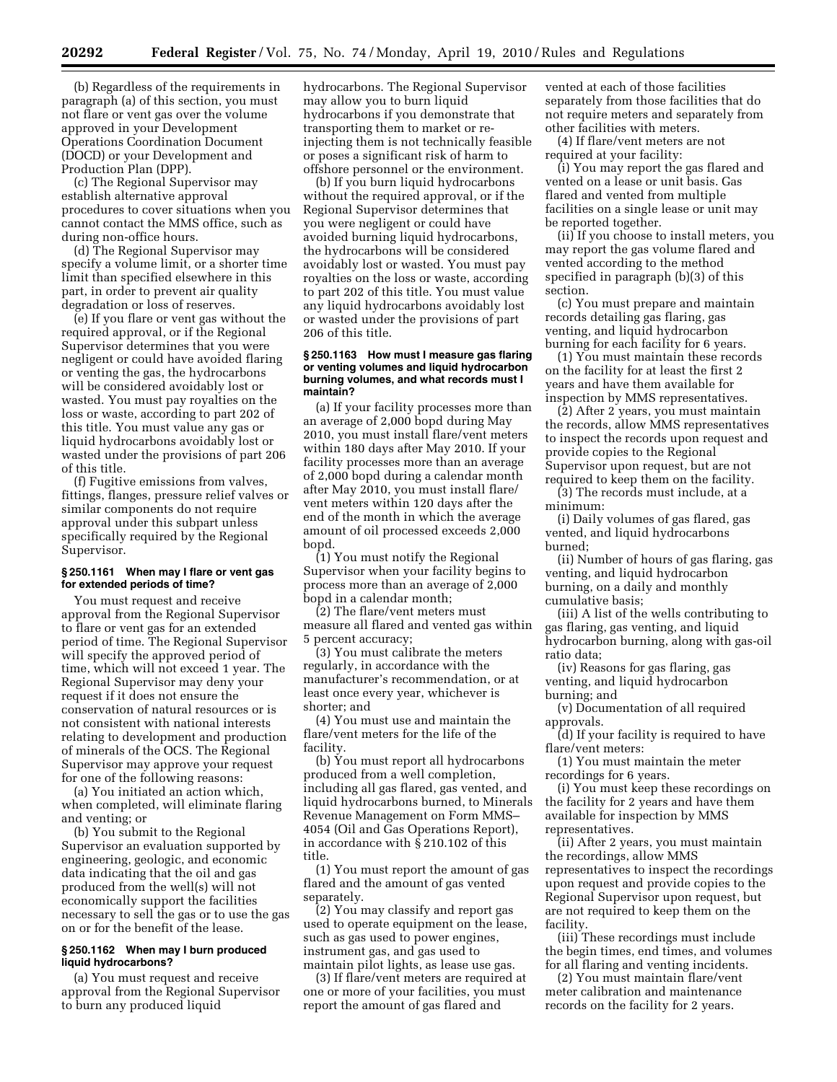(b) Regardless of the requirements in paragraph (a) of this section, you must not flare or vent gas over the volume approved in your Development Operations Coordination Document (DOCD) or your Development and Production Plan (DPP).

(c) The Regional Supervisor may establish alternative approval procedures to cover situations when you cannot contact the MMS office, such as during non-office hours.

(d) The Regional Supervisor may specify a volume limit, or a shorter time limit than specified elsewhere in this part, in order to prevent air quality degradation or loss of reserves.

(e) If you flare or vent gas without the required approval, or if the Regional Supervisor determines that you were negligent or could have avoided flaring or venting the gas, the hydrocarbons will be considered avoidably lost or wasted. You must pay royalties on the loss or waste, according to part 202 of this title. You must value any gas or liquid hydrocarbons avoidably lost or wasted under the provisions of part 206 of this title.

(f) Fugitive emissions from valves, fittings, flanges, pressure relief valves or similar components do not require approval under this subpart unless specifically required by the Regional Supervisor.

## **§ 250.1161 When may I flare or vent gas for extended periods of time?**

You must request and receive approval from the Regional Supervisor to flare or vent gas for an extended period of time. The Regional Supervisor will specify the approved period of time, which will not exceed 1 year. The Regional Supervisor may deny your request if it does not ensure the conservation of natural resources or is not consistent with national interests relating to development and production of minerals of the OCS. The Regional Supervisor may approve your request for one of the following reasons:

(a) You initiated an action which, when completed, will eliminate flaring and venting; or

(b) You submit to the Regional Supervisor an evaluation supported by engineering, geologic, and economic data indicating that the oil and gas produced from the well(s) will not economically support the facilities necessary to sell the gas or to use the gas on or for the benefit of the lease.

## **§ 250.1162 When may I burn produced liquid hydrocarbons?**

(a) You must request and receive approval from the Regional Supervisor to burn any produced liquid

hydrocarbons. The Regional Supervisor may allow you to burn liquid hydrocarbons if you demonstrate that transporting them to market or reinjecting them is not technically feasible or poses a significant risk of harm to offshore personnel or the environment.

(b) If you burn liquid hydrocarbons without the required approval, or if the Regional Supervisor determines that you were negligent or could have avoided burning liquid hydrocarbons, the hydrocarbons will be considered avoidably lost or wasted. You must pay royalties on the loss or waste, according to part 202 of this title. You must value any liquid hydrocarbons avoidably lost or wasted under the provisions of part 206 of this title.

#### **§ 250.1163 How must I measure gas flaring or venting volumes and liquid hydrocarbon burning volumes, and what records must I maintain?**

(a) If your facility processes more than an average of 2,000 bopd during May 2010, you must install flare/vent meters within 180 days after May 2010. If your facility processes more than an average of 2,000 bopd during a calendar month after May 2010, you must install flare/ vent meters within 120 days after the end of the month in which the average amount of oil processed exceeds 2,000 bopd.

(1) You must notify the Regional Supervisor when your facility begins to process more than an average of 2,000 bopd in a calendar month;

(2) The flare/vent meters must measure all flared and vented gas within 5 percent accuracy;

(3) You must calibrate the meters regularly, in accordance with the manufacturer's recommendation, or at least once every year, whichever is shorter; and

(4) You must use and maintain the flare/vent meters for the life of the facility.

(b) You must report all hydrocarbons produced from a well completion, including all gas flared, gas vented, and liquid hydrocarbons burned, to Minerals Revenue Management on Form MMS– 4054 (Oil and Gas Operations Report), in accordance with § 210.102 of this title.

(1) You must report the amount of gas flared and the amount of gas vented separately.

(2) You may classify and report gas used to operate equipment on the lease, such as gas used to power engines, instrument gas, and gas used to maintain pilot lights, as lease use gas.

(3) If flare/vent meters are required at one or more of your facilities, you must report the amount of gas flared and

vented at each of those facilities separately from those facilities that do not require meters and separately from other facilities with meters.

(4) If flare/vent meters are not required at your facility:

(i) You may report the gas flared and vented on a lease or unit basis. Gas flared and vented from multiple facilities on a single lease or unit may be reported together.

(ii) If you choose to install meters, you may report the gas volume flared and vented according to the method specified in paragraph (b)(3) of this section.

(c) You must prepare and maintain records detailing gas flaring, gas venting, and liquid hydrocarbon burning for each facility for 6 years.

(1) You must maintain these records on the facility for at least the first 2 years and have them available for inspection by MMS representatives.

(2) After 2 years, you must maintain the records, allow MMS representatives to inspect the records upon request and provide copies to the Regional Supervisor upon request, but are not required to keep them on the facility.

(3) The records must include, at a minimum:

(i) Daily volumes of gas flared, gas vented, and liquid hydrocarbons burned;

(ii) Number of hours of gas flaring, gas venting, and liquid hydrocarbon burning, on a daily and monthly cumulative basis;

(iii) A list of the wells contributing to gas flaring, gas venting, and liquid hydrocarbon burning, along with gas-oil ratio data;

(iv) Reasons for gas flaring, gas venting, and liquid hydrocarbon burning; and

(v) Documentation of all required approvals.

(d) If your facility is required to have flare/vent meters:

(1) You must maintain the meter recordings for 6 years.

(i) You must keep these recordings on the facility for 2 years and have them available for inspection by MMS representatives.

(ii) After 2 years, you must maintain the recordings, allow MMS representatives to inspect the recordings upon request and provide copies to the Regional Supervisor upon request, but are not required to keep them on the facility.

(iii) These recordings must include the begin times, end times, and volumes for all flaring and venting incidents.

(2) You must maintain flare/vent meter calibration and maintenance records on the facility for 2 years.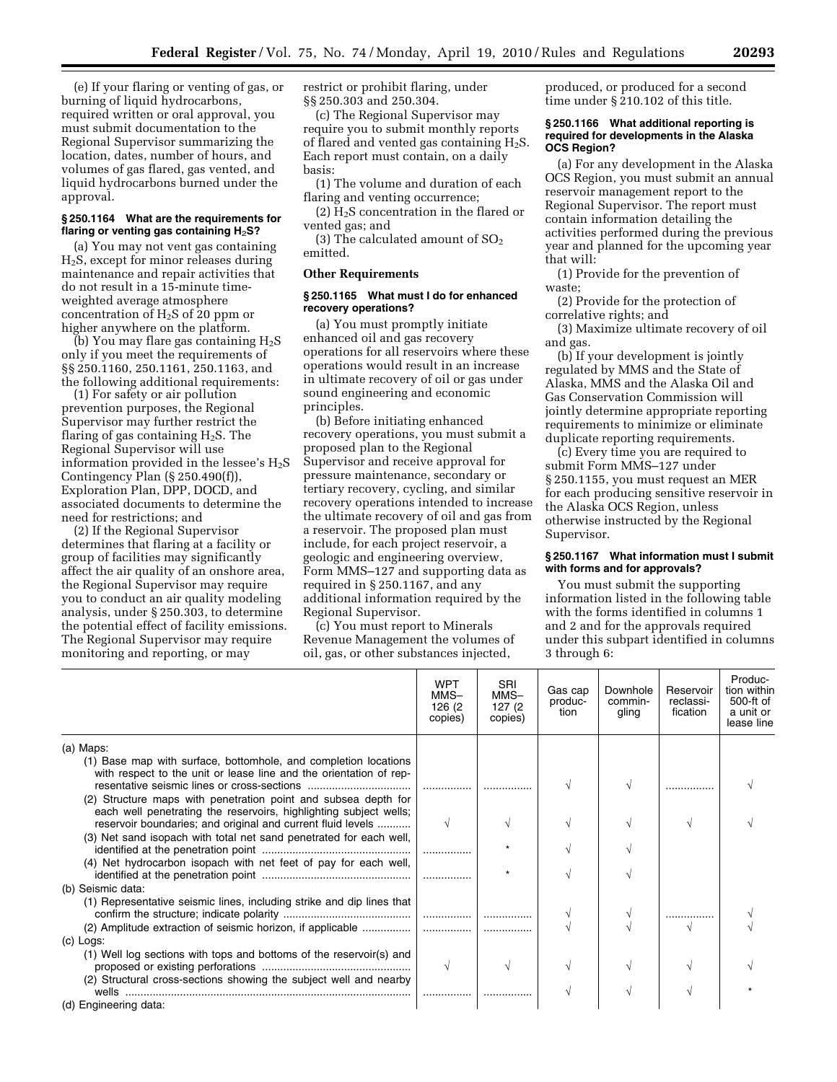(e) If your flaring or venting of gas, or burning of liquid hydrocarbons, required written or oral approval, you must submit documentation to the Regional Supervisor summarizing the location, dates, number of hours, and volumes of gas flared, gas vented, and liquid hydrocarbons burned under the approval.

## **§ 250.1164 What are the requirements for flaring or venting gas containing H**2**S?**

(a) You may not vent gas containing  $H<sub>2</sub>S$ , except for minor releases during maintenance and repair activities that do not result in a 15-minute timeweighted average atmosphere concentration of H2S of 20 ppm or higher anywhere on the platform.

(b) You may flare gas containing  $H_2S$ only if you meet the requirements of §§ 250.1160, 250.1161, 250.1163, and the following additional requirements:

(1) For safety or air pollution prevention purposes, the Regional Supervisor may further restrict the flaring of gas containing  $H_2S$ . The Regional Supervisor will use information provided in the lessee's  $H_2S$ Contingency Plan (§ 250.490(f)), Exploration Plan, DPP, DOCD, and associated documents to determine the need for restrictions; and

(2) If the Regional Supervisor determines that flaring at a facility or group of facilities may significantly affect the air quality of an onshore area, the Regional Supervisor may require you to conduct an air quality modeling analysis, under § 250.303, to determine the potential effect of facility emissions. The Regional Supervisor may require monitoring and reporting, or may

restrict or prohibit flaring, under §§ 250.303 and 250.304.

(c) The Regional Supervisor may require you to submit monthly reports of flared and vented gas containing  $H_2S$ . Each report must contain, on a daily basis:

(1) The volume and duration of each flaring and venting occurrence;

 $(2)$  H<sub>2</sub>S concentration in the flared or vented gas; and

(3) The calculated amount of  $SO<sub>2</sub>$ emitted.

#### **Other Requirements**

### **§ 250.1165 What must I do for enhanced recovery operations?**

(a) You must promptly initiate enhanced oil and gas recovery operations for all reservoirs where these operations would result in an increase in ultimate recovery of oil or gas under sound engineering and economic principles.

(b) Before initiating enhanced recovery operations, you must submit a proposed plan to the Regional Supervisor and receive approval for pressure maintenance, secondary or tertiary recovery, cycling, and similar recovery operations intended to increase the ultimate recovery of oil and gas from a reservoir. The proposed plan must include, for each project reservoir, a geologic and engineering overview, Form MMS–127 and supporting data as required in § 250.1167, and any additional information required by the Regional Supervisor.

(c) You must report to Minerals Revenue Management the volumes of oil, gas, or other substances injected,

produced, or produced for a second time under § 210.102 of this title.

### **§ 250.1166 What additional reporting is required for developments in the Alaska OCS Region?**

(a) For any development in the Alaska OCS Region, you must submit an annual reservoir management report to the Regional Supervisor. The report must contain information detailing the activities performed during the previous year and planned for the upcoming year that will:

(1) Provide for the prevention of waste;

(2) Provide for the protection of correlative rights; and

(3) Maximize ultimate recovery of oil and gas.

(b) If your development is jointly regulated by MMS and the State of Alaska, MMS and the Alaska Oil and Gas Conservation Commission will jointly determine appropriate reporting requirements to minimize or eliminate duplicate reporting requirements.

(c) Every time you are required to submit Form MMS–127 under § 250.1155, you must request an MER for each producing sensitive reservoir in the Alaska OCS Region, unless otherwise instructed by the Regional Supervisor.

## **§ 250.1167 What information must I submit with forms and for approvals?**

You must submit the supporting information listed in the following table with the forms identified in columns 1 and 2 and for the approvals required under this subpart identified in columns 3 through 6:

|                                                                                                                                                                                                    | <b>WPT</b>                | <b>SRI</b>                | Gas cap         | Downhole<br>commin-<br>gling | Reservoir<br>reclassi-<br>fication | Produc-<br>tion within<br>500-ft of<br>a unit or<br>lease line |
|----------------------------------------------------------------------------------------------------------------------------------------------------------------------------------------------------|---------------------------|---------------------------|-----------------|------------------------------|------------------------------------|----------------------------------------------------------------|
|                                                                                                                                                                                                    | MMS-<br>126 (2<br>copies) | MMS-<br>127(2)<br>copies) | produc-<br>tion |                              |                                    |                                                                |
| (a) Maps:                                                                                                                                                                                          |                           |                           |                 |                              |                                    |                                                                |
| (1) Base map with surface, bottomhole, and completion locations<br>with respect to the unit or lease line and the orientation of rep-                                                              |                           |                           |                 |                              |                                    |                                                                |
| (2) Structure maps with penetration point and subsea depth for<br>each well penetrating the reservoirs, highlighting subject wells;<br>reservoir boundaries; and original and current fluid levels | V                         | V                         |                 |                              |                                    |                                                                |
| (3) Net sand isopach with total net sand penetrated for each well,                                                                                                                                 |                           |                           |                 |                              |                                    |                                                                |
| (4) Net hydrocarbon isopach with net feet of pay for each well,                                                                                                                                    |                           |                           |                 |                              |                                    |                                                                |
| (b) Seismic data:<br>(1) Representative seismic lines, including strike and dip lines that                                                                                                         |                           |                           |                 |                              |                                    |                                                                |
|                                                                                                                                                                                                    |                           |                           |                 |                              |                                    |                                                                |
| (c) Logs:                                                                                                                                                                                          |                           |                           |                 |                              |                                    |                                                                |
| (1) Well log sections with tops and bottoms of the reservoir(s) and                                                                                                                                | N                         | V                         |                 |                              |                                    |                                                                |
| (2) Structural cross-sections showing the subject well and nearby<br>wells<br>(d) Engineering data:                                                                                                |                           |                           |                 |                              |                                    |                                                                |